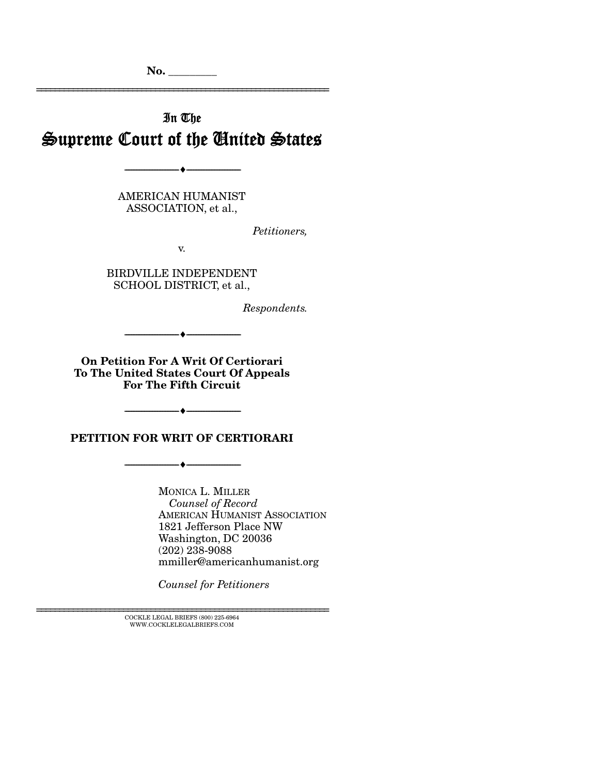No. \_\_\_\_\_\_\_\_\_

# In The Supreme Court of the United States

================================================================

AMERICAN HUMANIST ASSOCIATION, et al.,

--------------------------------- ---------------------------------

*Petitioners,* 

v.

BIRDVILLE INDEPENDENT SCHOOL DISTRICT, et al.,

*Respondents.* 

On Petition For A Writ Of Certiorari To The United States Court Of Appeals For The Fifth Circuit

--------------------------------- ---------------------------------

--------------------------------- ---------------------------------

--------------------------------- ---------------------------------

PETITION FOR WRIT OF CERTIORARI

MONICA L. MILLER  *Counsel of Record*  AMERICAN HUMANIST ASSOCIATION 1821 Jefferson Place NW Washington, DC 20036 (202) 238-9088 mmiller@americanhumanist.org

*Counsel for Petitioners* 

 ${\rm COCKLE\;LEGAL\; BRIEFS\; (800)\;225-6964}\\ {\rm WWW. COCKLELEGALBRIEFS. COM}$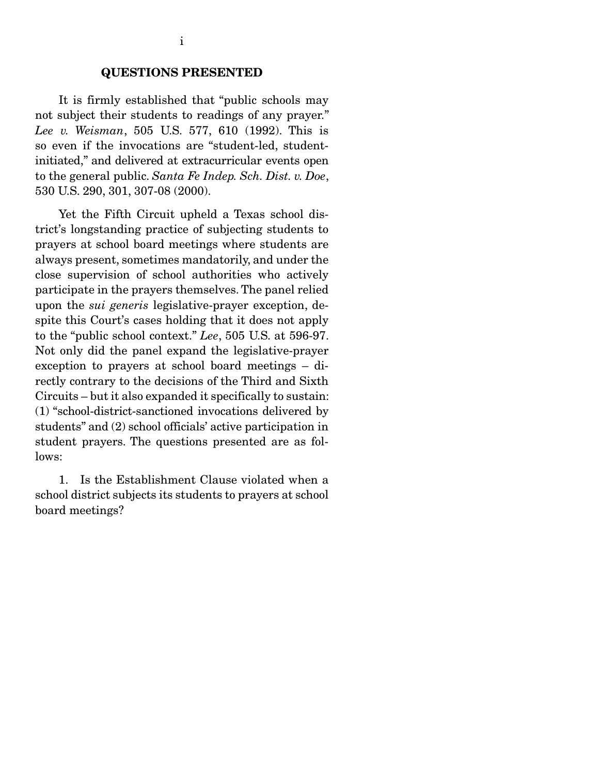It is firmly established that "public schools may not subject their students to readings of any prayer." *Lee v. Weisman*, 505 U.S. 577, 610 (1992). This is so even if the invocations are "student-led, studentinitiated," and delivered at extracurricular events open to the general public. *Santa Fe Indep. Sch. Dist. v. Doe*, 530 U.S. 290, 301, 307-08 (2000).

 Yet the Fifth Circuit upheld a Texas school district's longstanding practice of subjecting students to prayers at school board meetings where students are always present, sometimes mandatorily, and under the close supervision of school authorities who actively participate in the prayers themselves. The panel relied upon the *sui generis* legislative-prayer exception, despite this Court's cases holding that it does not apply to the "public school context." *Lee*, 505 U.S. at 596-97. Not only did the panel expand the legislative-prayer exception to prayers at school board meetings – directly contrary to the decisions of the Third and Sixth Circuits – but it also expanded it specifically to sustain: (1) "school-district-sanctioned invocations delivered by students" and (2) school officials' active participation in student prayers. The questions presented are as follows:

 1. Is the Establishment Clause violated when a school district subjects its students to prayers at school board meetings?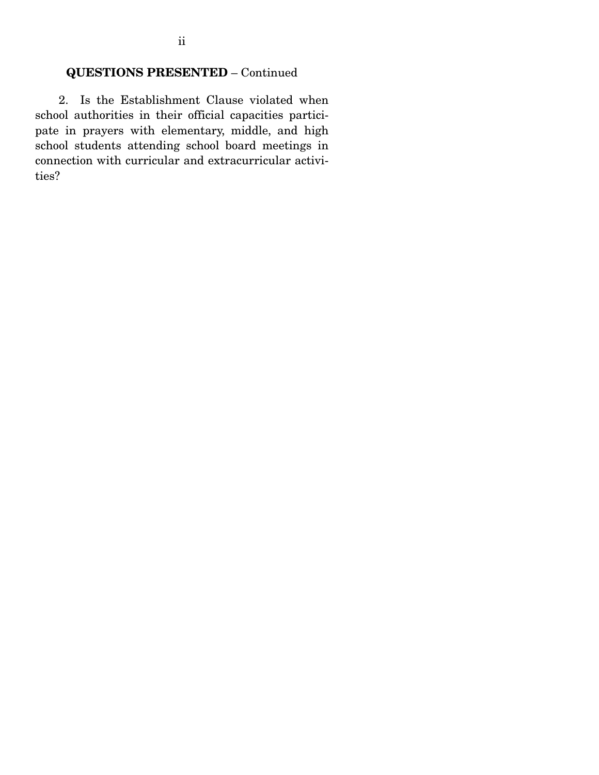2. Is the Establishment Clause violated when school authorities in their official capacities participate in prayers with elementary, middle, and high school students attending school board meetings in connection with curricular and extracurricular activities?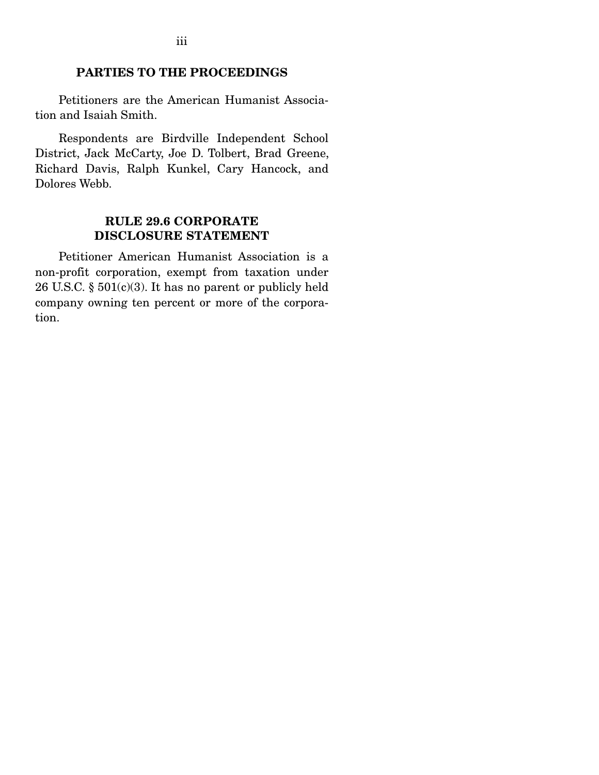### PARTIES TO THE PROCEEDINGS

 Petitioners are the American Humanist Association and Isaiah Smith.

 Respondents are Birdville Independent School District, Jack McCarty, Joe D. Tolbert, Brad Greene, Richard Davis, Ralph Kunkel, Cary Hancock, and Dolores Webb.

### RULE 29.6 CORPORATE DISCLOSURE STATEMENT

 Petitioner American Humanist Association is a non-profit corporation, exempt from taxation under 26 U.S.C. § 501(c)(3). It has no parent or publicly held company owning ten percent or more of the corporation.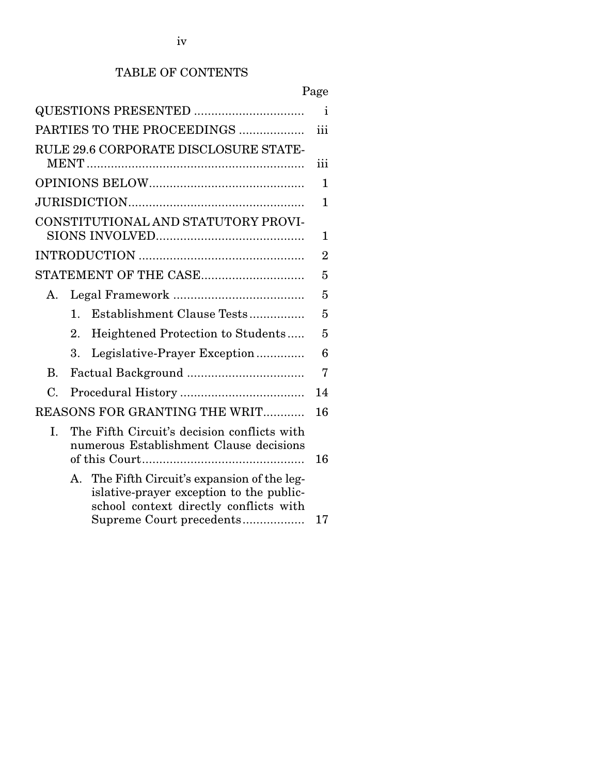# TABLE OF CONTENTS

|                            |                                                                                                                                                                | Page           |
|----------------------------|----------------------------------------------------------------------------------------------------------------------------------------------------------------|----------------|
|                            |                                                                                                                                                                | i              |
| PARTIES TO THE PROCEEDINGS |                                                                                                                                                                |                |
|                            | RULE 29.6 CORPORATE DISCLOSURE STATE-                                                                                                                          | iii            |
|                            |                                                                                                                                                                | 1              |
|                            |                                                                                                                                                                | 1              |
|                            | CONSTITUTIONAL AND STATUTORY PROVI-                                                                                                                            | 1              |
|                            |                                                                                                                                                                | $\overline{2}$ |
|                            | STATEMENT OF THE CASE                                                                                                                                          | 5              |
| $A_{\cdot}$                |                                                                                                                                                                | 5              |
|                            | Establishment Clause Tests<br>$\mathbf 1$ .                                                                                                                    | 5              |
|                            | 2.<br>Heightened Protection to Students                                                                                                                        | 5              |
|                            | Legislative-Prayer Exception<br>$\mathbf{R}$                                                                                                                   | 6              |
| $\mathbf{B}$ .             |                                                                                                                                                                | 7              |
| C.                         |                                                                                                                                                                | 14             |
|                            | REASONS FOR GRANTING THE WRIT                                                                                                                                  | 16             |
| L.                         | The Fifth Circuit's decision conflicts with<br>numerous Establishment Clause decisions                                                                         | 16             |
|                            | A. The Fifth Circuit's expansion of the leg-<br>islative-prayer exception to the public-<br>school context directly conflicts with<br>Supreme Court precedents | 17             |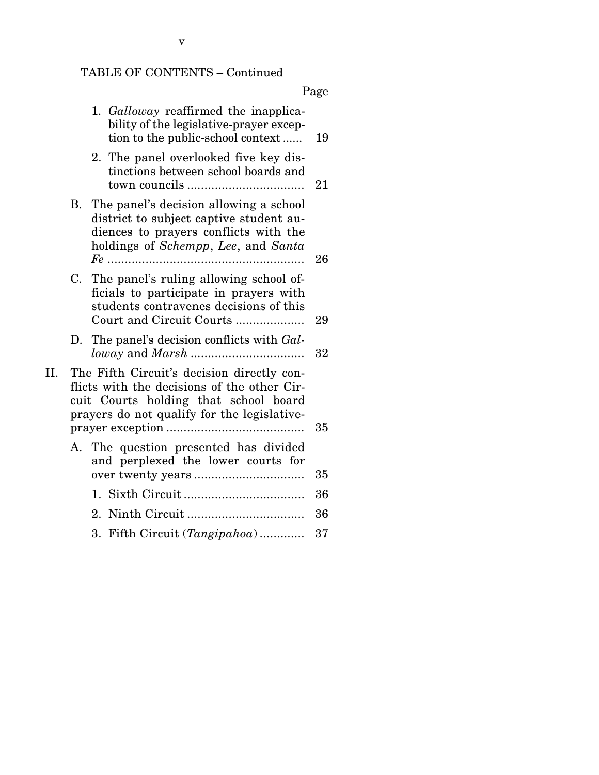# TABLE OF CONTENTS – Continued

|--|

|     |    | 1. Galloway reaffirmed the inapplica-<br>bility of the legislative-prayer excep-<br>tion to the public-school context                                                             | 19 |
|-----|----|-----------------------------------------------------------------------------------------------------------------------------------------------------------------------------------|----|
|     |    | 2. The panel overlooked five key dis-<br>tinctions between school boards and                                                                                                      | 21 |
|     | В. | The panel's decision allowing a school<br>district to subject captive student au-<br>diences to prayers conflicts with the<br>holdings of Schempp, Lee, and Santa<br>$Fe$         | 26 |
|     | C. | The panel's ruling allowing school of-<br>ficials to participate in prayers with<br>students contravenes decisions of this<br>Court and Circuit Courts                            | 29 |
|     |    | D. The panel's decision conflicts with Gal-                                                                                                                                       | 32 |
| II. |    | The Fifth Circuit's decision directly con-<br>flicts with the decisions of the other Cir-<br>cuit Courts holding that school board<br>prayers do not qualify for the legislative- | 35 |
|     |    | A. The question presented has divided<br>and perplexed the lower courts for                                                                                                       | 35 |
|     |    |                                                                                                                                                                                   | 36 |
|     |    |                                                                                                                                                                                   | 36 |
|     |    | 3. Fifth Circuit (Tangipahoa)                                                                                                                                                     | 37 |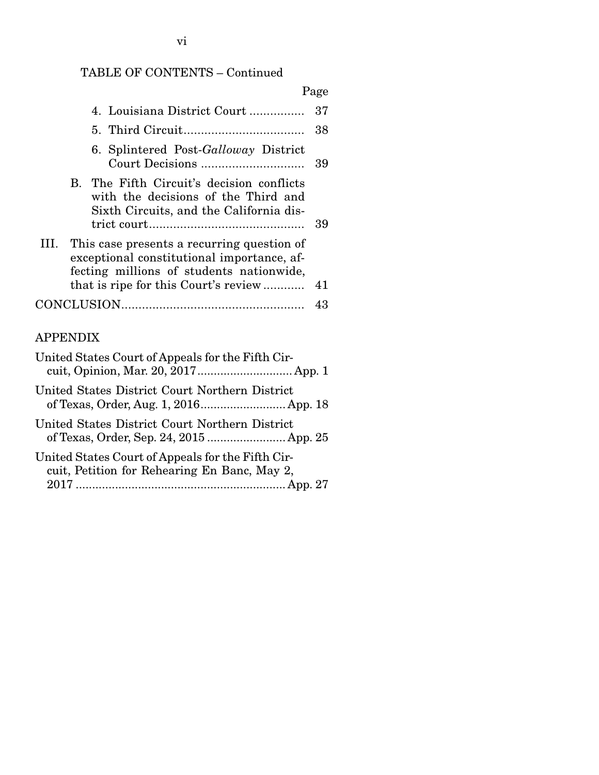# TABLE OF CONTENTS – Continued

|                                                                                                                                                                                   | Page |
|-----------------------------------------------------------------------------------------------------------------------------------------------------------------------------------|------|
| 4. Louisiana District Court                                                                                                                                                       | 37   |
|                                                                                                                                                                                   | 38   |
| 6. Splintered Post-Galloway District                                                                                                                                              | 39   |
| B. The Fifth Circuit's decision conflicts<br>with the decisions of the Third and<br>Sixth Circuits, and the California dis-                                                       | 39   |
| III. This case presents a recurring question of<br>exceptional constitutional importance, af-<br>fecting millions of students nationwide,<br>that is ripe for this Court's review | 41   |
|                                                                                                                                                                                   | 43   |
|                                                                                                                                                                                   |      |

# APPENDIX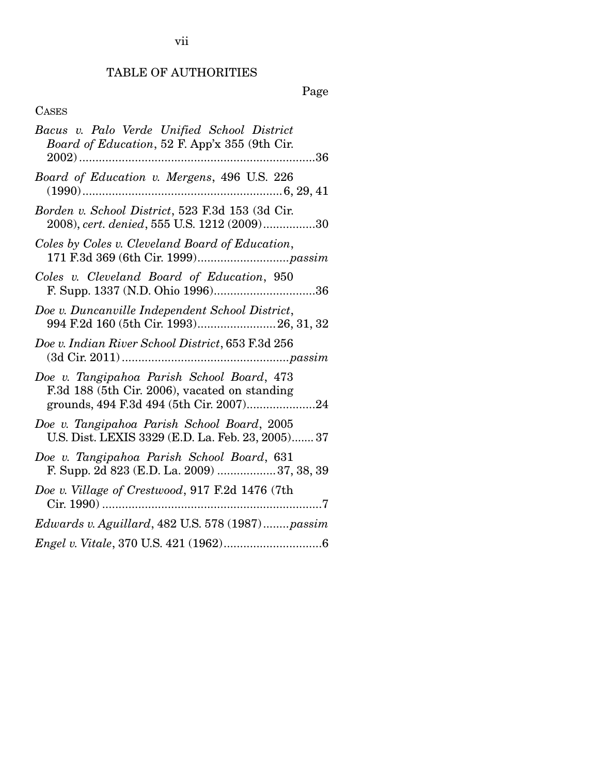# TABLE OF AUTHORITIES

# Page

# CASES

| Bacus v. Palo Verde Unified School District<br>Board of Education, 52 F. App'x 355 (9th Cir.                                           |
|----------------------------------------------------------------------------------------------------------------------------------------|
|                                                                                                                                        |
| Board of Education v. Mergens, 496 U.S. 226                                                                                            |
| Borden v. School District, 523 F.3d 153 (3d Cir.<br>2008), cert. denied, 555 U.S. 1212 (2009)30                                        |
| Coles by Coles v. Cleveland Board of Education,                                                                                        |
| Coles v. Cleveland Board of Education, 950                                                                                             |
| Doe v. Duncanville Independent School District,<br>994 F.2d 160 (5th Cir. 1993) 26, 31, 32                                             |
| Doe v. Indian River School District, 653 F.3d 256                                                                                      |
| Doe v. Tangipahoa Parish School Board, 473<br>F.3d 188 (5th Cir. 2006), vacated on standing<br>grounds, 494 F.3d 494 (5th Cir. 2007)24 |
| Doe v. Tangipahoa Parish School Board, 2005<br>U.S. Dist. LEXIS 3329 (E.D. La. Feb. 23, 2005) 37                                       |
| Doe v. Tangipahoa Parish School Board, 631<br>F. Supp. 2d 823 (E.D. La. 2009) 37, 38, 39                                               |
| Doe v. Village of Crestwood, 917 F.2d 1476 (7th<br>Cir. 1990)                                                                          |
| Edwards v. Aguillard, 482 U.S. 578 (1987)passim                                                                                        |
|                                                                                                                                        |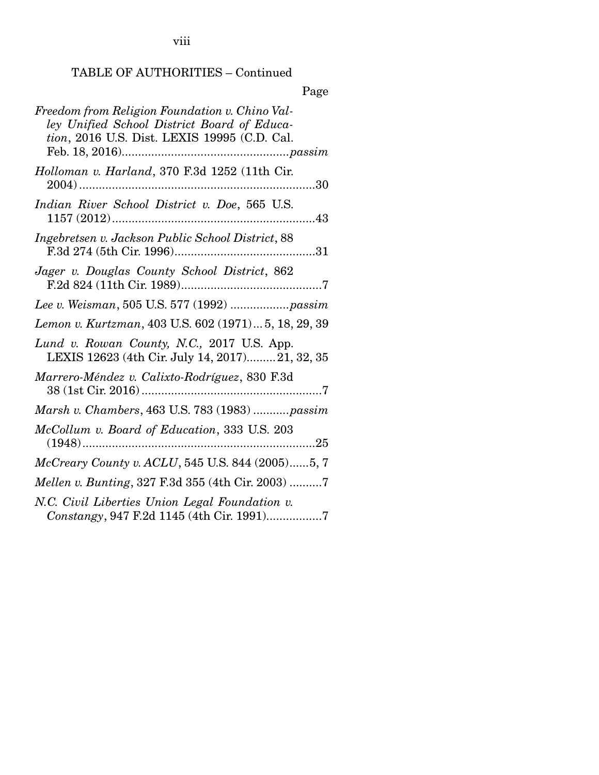viii

# TABLE OF AUTHORITIES – Continued

Page

| Freedom from Religion Foundation v. Chino Val-<br>ley Unified School District Board of Educa-<br>tion, 2016 U.S. Dist. LEXIS 19995 (C.D. Cal. |
|-----------------------------------------------------------------------------------------------------------------------------------------------|
| Holloman v. Harland, 370 F.3d 1252 (11th Cir.                                                                                                 |
| Indian River School District v. Doe, 565 U.S.<br>$1157(2012)$<br>43                                                                           |
| Ingebretsen v. Jackson Public School District, 88<br>F.3d 274 (5th Cir. 1996)<br>31                                                           |
| Jager v. Douglas County School District, 862                                                                                                  |
|                                                                                                                                               |
| Lemon v. Kurtzman, 403 U.S. 602 (1971) 5, 18, 29, 39                                                                                          |
| Lund v. Rowan County, N.C., 2017 U.S. App.<br>LEXIS 12623 (4th Cir. July 14, 2017)21, 32, 35                                                  |
| Marrero-Méndez v. Calixto-Rodríguez, 830 F.3d                                                                                                 |
| Marsh v. Chambers, 463 U.S. 783 (1983) passim                                                                                                 |
| McCollum v. Board of Education, 333 U.S. 203<br>$(1948)$<br>25                                                                                |
| McCreary County v. ACLU, 545 U.S. 844 (2005)5, 7                                                                                              |
| Mellen v. Bunting, 327 F.3d 355 (4th Cir. 2003) 7                                                                                             |
| N.C. Civil Liberties Union Legal Foundation v.<br>Constangy, 947 F.2d 1145 (4th Cir. 1991)7                                                   |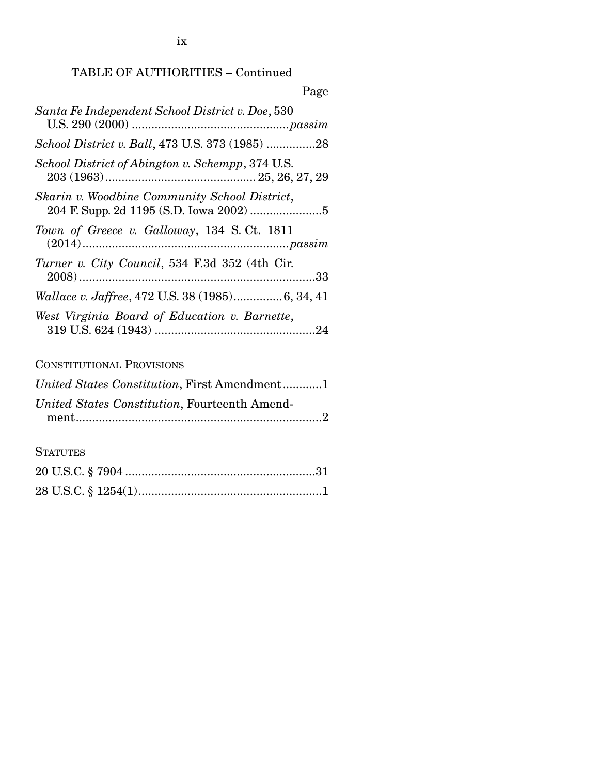ix

# TABLE OF AUTHORITIES – Continued

| Page                                                   |
|--------------------------------------------------------|
| Santa Fe Independent School District v. Doe, 530       |
| School District v. Ball, 473 U.S. 373 (1985) 28        |
| School District of Abington v. Schempp, 374 U.S.       |
| Skarin v. Woodbine Community School District,          |
| Town of Greece v. Galloway, 134 S.Ct. 1811             |
| <i>Turner v. City Council</i> , 534 F.3d 352 (4th Cir. |
| Wallace v. Jaffree, 472 U.S. 38 (1985)6, 34, 41        |
| West Virginia Board of Education v. Barnette,          |

# CONSTITUTIONAL PROVISIONS

| United States Constitution, First Amendment1  |
|-----------------------------------------------|
| United States Constitution, Fourteenth Amend- |
|                                               |

**STATUTES**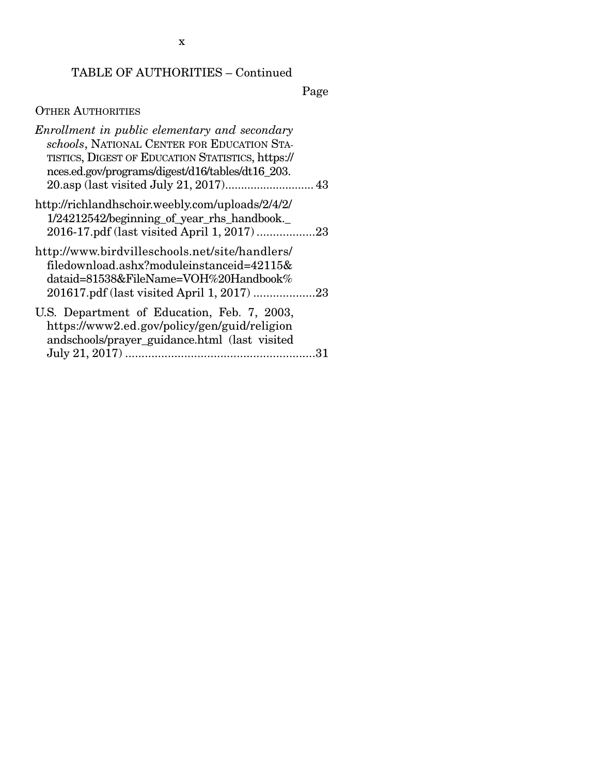# TABLE OF AUTHORITIES – Continued

Page

# OTHER AUTHORITIES

| Enrollment in public elementary and secondary<br>schools, NATIONAL CENTER FOR EDUCATION STA-<br>TISTICS, DIGEST OF EDUCATION STATISTICS, https://<br>nces.ed.gov/programs/digest/d16/tables/dt16_203. |    |
|-------------------------------------------------------------------------------------------------------------------------------------------------------------------------------------------------------|----|
| http://richlandhschoir.weebly.com/uploads/2/4/2/<br>1/24212542/beginning_of_year_rhs_handbook._                                                                                                       |    |
| http://www.birdvilleschools.net/site/handlers/<br>filedownload.ashx?moduleinstanceid=42115&<br>dataid=81538&FileName=VOH%20Handbook%<br>201617.pdf (last visited April 1, 2017) 23                    |    |
| U.S. Department of Education, Feb. 7, 2003,<br>https://www2.ed.gov/policy/gen/guid/religion<br>andschools/prayer_guidance.html (last visited                                                          | 31 |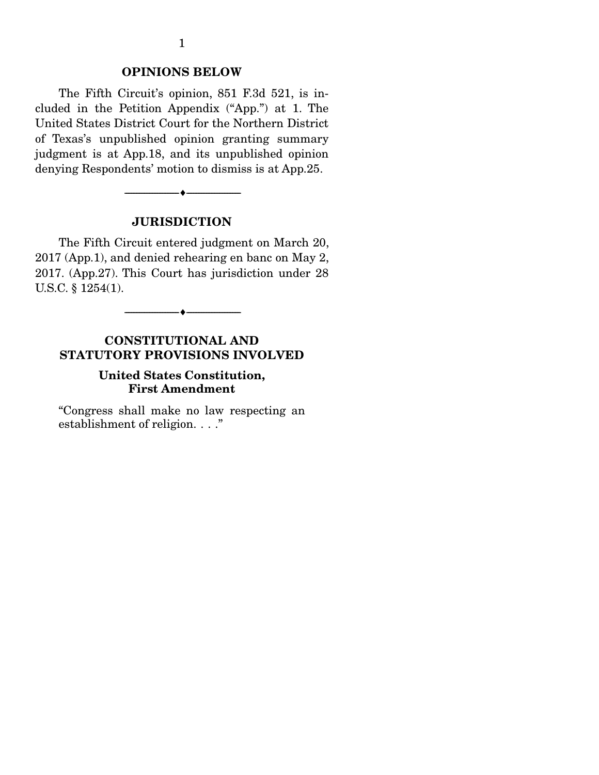### OPINIONS BELOW

 The Fifth Circuit's opinion, 851 F.3d 521, is included in the Petition Appendix ("App.") at 1. The United States District Court for the Northern District of Texas's unpublished opinion granting summary judgment is at App.18, and its unpublished opinion denying Respondents' motion to dismiss is at App.25.

### **JURISDICTION**

--------------------------------- ---------------------------------

 The Fifth Circuit entered judgment on March 20, 2017 (App.1), and denied rehearing en banc on May 2, 2017. (App.27). This Court has jurisdiction under 28 U.S.C. § 1254(1).

--------------------------------- ---------------------------------

## CONSTITUTIONAL AND STATUTORY PROVISIONS INVOLVED

### United States Constitution, First Amendment

"Congress shall make no law respecting an establishment of religion. . . ."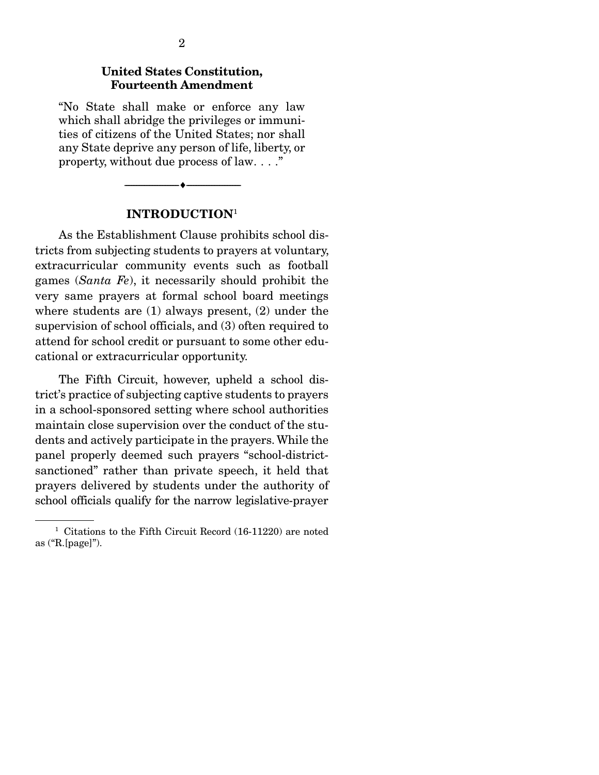### United States Constitution, Fourteenth Amendment

"No State shall make or enforce any law which shall abridge the privileges or immunities of citizens of the United States; nor shall any State deprive any person of life, liberty, or property, without due process of law. . . ."



#### INTRODUCTION<sup>1</sup>

 As the Establishment Clause prohibits school districts from subjecting students to prayers at voluntary, extracurricular community events such as football games (*Santa Fe*), it necessarily should prohibit the very same prayers at formal school board meetings where students are (1) always present, (2) under the supervision of school officials, and (3) often required to attend for school credit or pursuant to some other educational or extracurricular opportunity.

 The Fifth Circuit, however, upheld a school district's practice of subjecting captive students to prayers in a school-sponsored setting where school authorities maintain close supervision over the conduct of the students and actively participate in the prayers. While the panel properly deemed such prayers "school-districtsanctioned" rather than private speech, it held that prayers delivered by students under the authority of school officials qualify for the narrow legislative-prayer

<sup>&</sup>lt;sup>1</sup> Citations to the Fifth Circuit Record (16-11220) are noted as ("R.[page]").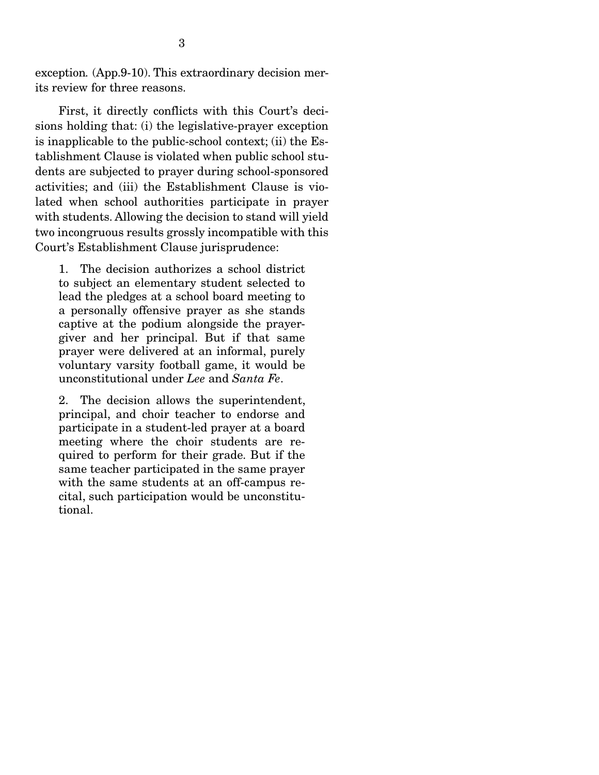exception*.* (App.9-10). This extraordinary decision merits review for three reasons.

 First, it directly conflicts with this Court's decisions holding that: (i) the legislative-prayer exception is inapplicable to the public-school context; (ii) the Establishment Clause is violated when public school students are subjected to prayer during school-sponsored activities; and (iii) the Establishment Clause is violated when school authorities participate in prayer with students. Allowing the decision to stand will yield two incongruous results grossly incompatible with this Court's Establishment Clause jurisprudence:

1. The decision authorizes a school district to subject an elementary student selected to lead the pledges at a school board meeting to a personally offensive prayer as she stands captive at the podium alongside the prayergiver and her principal. But if that same prayer were delivered at an informal, purely voluntary varsity football game, it would be unconstitutional under *Lee* and *Santa Fe*.

2. The decision allows the superintendent, principal, and choir teacher to endorse and participate in a student-led prayer at a board meeting where the choir students are required to perform for their grade. But if the same teacher participated in the same prayer with the same students at an off-campus recital, such participation would be unconstitutional.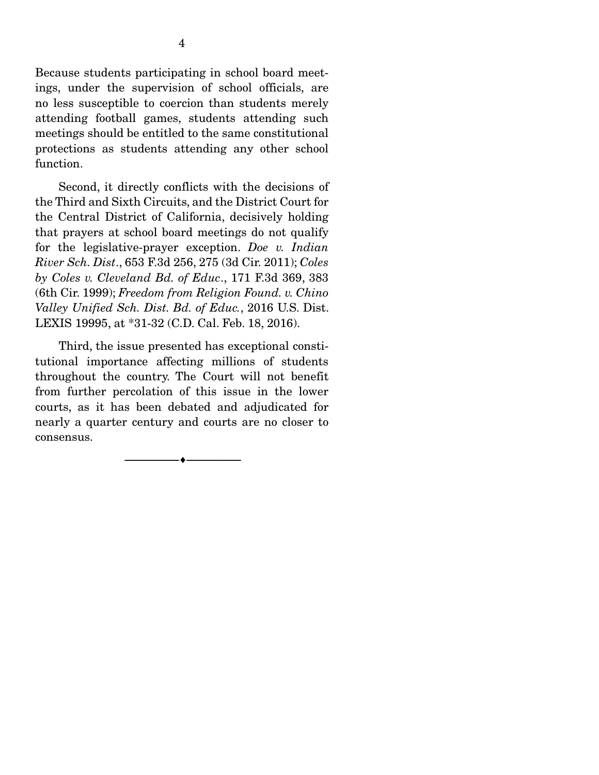Because students participating in school board meetings, under the supervision of school officials, are no less susceptible to coercion than students merely attending football games, students attending such meetings should be entitled to the same constitutional protections as students attending any other school function.

 Second, it directly conflicts with the decisions of the Third and Sixth Circuits, and the District Court for the Central District of California, decisively holding that prayers at school board meetings do not qualify for the legislative-prayer exception. *Doe v. Indian River Sch. Dist*., 653 F.3d 256, 275 (3d Cir. 2011); *Coles by Coles v. Cleveland Bd. of Educ*., 171 F.3d 369, 383 (6th Cir. 1999); *Freedom from Religion Found. v. Chino Valley Unified Sch. Dist. Bd. of Educ.*, 2016 U.S. Dist. LEXIS 19995, at \*31-32 (C.D. Cal. Feb. 18, 2016).

 Third, the issue presented has exceptional constitutional importance affecting millions of students throughout the country. The Court will not benefit from further percolation of this issue in the lower courts, as it has been debated and adjudicated for nearly a quarter century and courts are no closer to consensus.

--------------------------------- ---------------------------------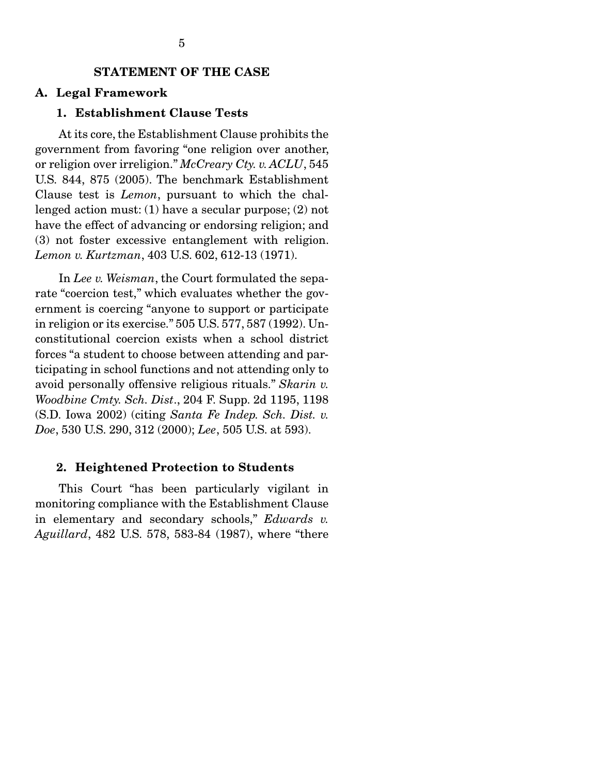### STATEMENT OF THE CASE

#### A. Legal Framework

### 1. Establishment Clause Tests

 At its core, the Establishment Clause prohibits the government from favoring "one religion over another, or religion over irreligion." *McCreary Cty. v. ACLU*, 545 U.S. 844, 875 (2005). The benchmark Establishment Clause test is *Lemon*, pursuant to which the challenged action must: (1) have a secular purpose; (2) not have the effect of advancing or endorsing religion; and (3) not foster excessive entanglement with religion. *Lemon v. Kurtzman*, 403 U.S. 602, 612-13 (1971).

 In *Lee v. Weisman*, the Court formulated the separate "coercion test," which evaluates whether the government is coercing "anyone to support or participate in religion or its exercise." 505 U.S. 577, 587 (1992). Unconstitutional coercion exists when a school district forces "a student to choose between attending and participating in school functions and not attending only to avoid personally offensive religious rituals." *Skarin v. Woodbine Cmty. Sch. Dist*., 204 F. Supp. 2d 1195, 1198 (S.D. Iowa 2002) (citing *Santa Fe Indep. Sch. Dist. v. Doe*, 530 U.S. 290, 312 (2000); *Lee*, 505 U.S. at 593).

### 2. Heightened Protection to Students

 This Court "has been particularly vigilant in monitoring compliance with the Establishment Clause in elementary and secondary schools," *Edwards v. Aguillard*, 482 U.S. 578, 583-84 (1987), where "there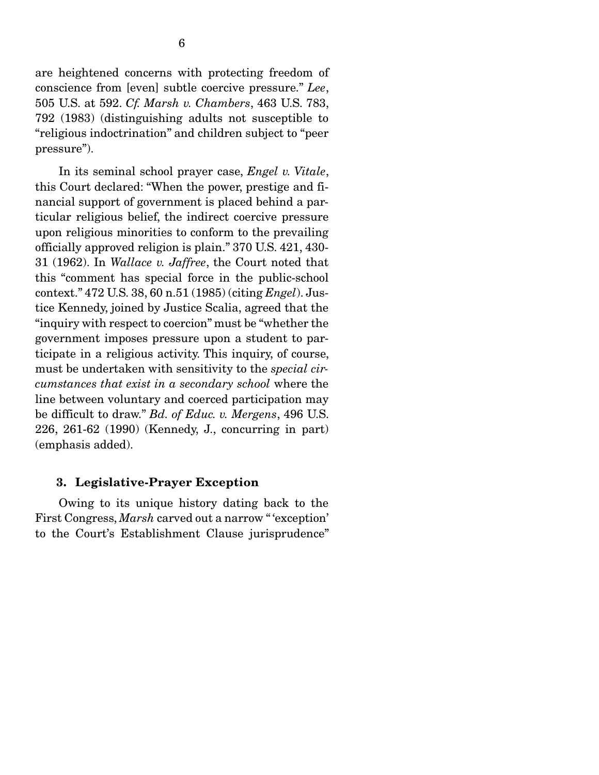are heightened concerns with protecting freedom of conscience from [even] subtle coercive pressure." *Lee*, 505 U.S. at 592. *Cf. Marsh v. Chambers*, 463 U.S. 783, 792 (1983) (distinguishing adults not susceptible to "religious indoctrination" and children subject to "peer pressure").

 In its seminal school prayer case, *Engel v. Vitale*, this Court declared: "When the power, prestige and financial support of government is placed behind a particular religious belief, the indirect coercive pressure upon religious minorities to conform to the prevailing officially approved religion is plain." 370 U.S. 421, 430- 31 (1962). In *Wallace v. Jaffree*, the Court noted that this "comment has special force in the public-school context." 472 U.S. 38, 60 n.51 (1985) (citing *Engel*). Justice Kennedy, joined by Justice Scalia, agreed that the "inquiry with respect to coercion" must be "whether the government imposes pressure upon a student to participate in a religious activity. This inquiry, of course, must be undertaken with sensitivity to the *special circumstances that exist in a secondary school* where the line between voluntary and coerced participation may be difficult to draw." *Bd. of Educ. v. Mergens*, 496 U.S. 226, 261-62 (1990) (Kennedy, J., concurring in part) (emphasis added).

#### 3. Legislative-Prayer Exception

 Owing to its unique history dating back to the First Congress, *Marsh* carved out a narrow "'exception' to the Court's Establishment Clause jurisprudence"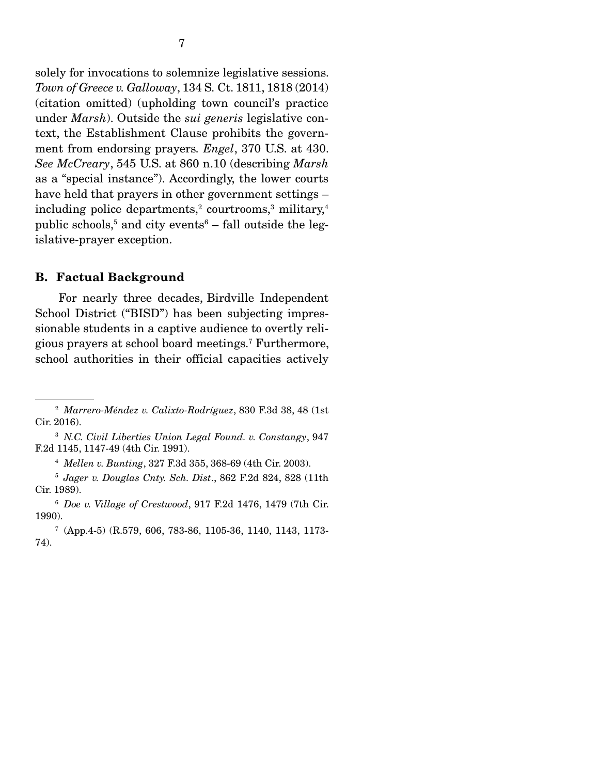solely for invocations to solemnize legislative sessions. *Town of Greece v. Galloway*, 134 S. Ct. 1811, 1818 (2014) (citation omitted) (upholding town council's practice under *Marsh*). Outside the *sui generis* legislative context, the Establishment Clause prohibits the government from endorsing prayers*. Engel*, 370 U.S. at 430. *See McCreary*, 545 U.S. at 860 n.10 (describing *Marsh* as a "special instance"). Accordingly, the lower courts have held that prayers in other government settings –  $\rm{including~ police~ departments,^2~ courtroms,^3~military,^4}$ public schools, $^5$  and city events $^6$  – fall outside the legislative-prayer exception.

#### B. Factual Background

 For nearly three decades, Birdville Independent School District ("BISD") has been subjecting impressionable students in a captive audience to overtly religious prayers at school board meetings.7 Furthermore, school authorities in their official capacities actively

<sup>2</sup> *Marrero-Méndez v. Calixto-Rodríguez*, 830 F.3d 38, 48 (1st Cir. 2016).

<sup>3</sup> *N.C. Civil Liberties Union Legal Found. v. Constangy*, 947 F.2d 1145, 1147-49 (4th Cir. 1991).

<sup>4</sup> *Mellen v. Bunting*, 327 F.3d 355, 368-69 (4th Cir. 2003).

<sup>5</sup>  *Jager v. Douglas Cnty. Sch. Dist*., 862 F.2d 824, 828 (11th Cir. 1989).

<sup>6</sup> *Doe v. Village of Crestwood*, 917 F.2d 1476, 1479 (7th Cir. 1990).

<sup>7</sup> (App.4-5) (R.579, 606, 783-86, 1105-36, 1140, 1143, 1173- 74).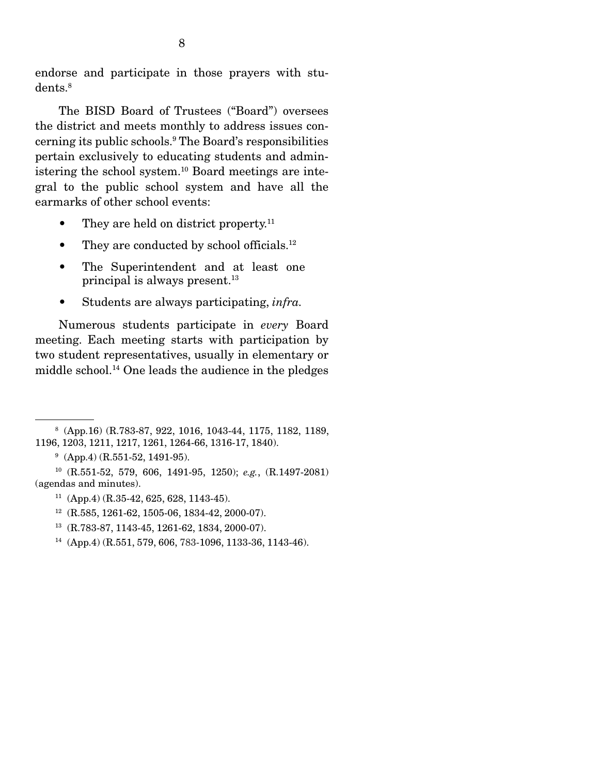endorse and participate in those prayers with students.8

 The BISD Board of Trustees ("Board") oversees the district and meets monthly to address issues concerning its public schools.9 The Board's responsibilities pertain exclusively to educating students and administering the school system.10 Board meetings are integral to the public school system and have all the earmarks of other school events:

- They are held on district property.<sup>11</sup>
- They are conducted by school officials. $12$
- The Superintendent and at least one principal is always present.<sup>13</sup>
- Students are always participating, *infra.*

 Numerous students participate in *every* Board meeting. Each meeting starts with participation by two student representatives, usually in elementary or middle school.14 One leads the audience in the pledges

- 12 (R.585, 1261-62, 1505-06, 1834-42, 2000-07).
- 13 (R.783-87, 1143-45, 1261-62, 1834, 2000-07).
- 14 (App.4) (R.551, 579, 606, 783-1096, 1133-36, 1143-46).

<sup>8</sup> (App.16) (R.783-87, 922, 1016, 1043-44, 1175, 1182, 1189, 1196, 1203, 1211, 1217, 1261, 1264-66, 1316-17, 1840).

 $9$  (App.4) (R.551-52, 1491-95).

<sup>10 (</sup>R.551-52, 579, 606, 1491-95, 1250); *e.g.*, (R.1497-2081) (agendas and minutes).

 $11$  (App.4) (R.35-42, 625, 628, 1143-45).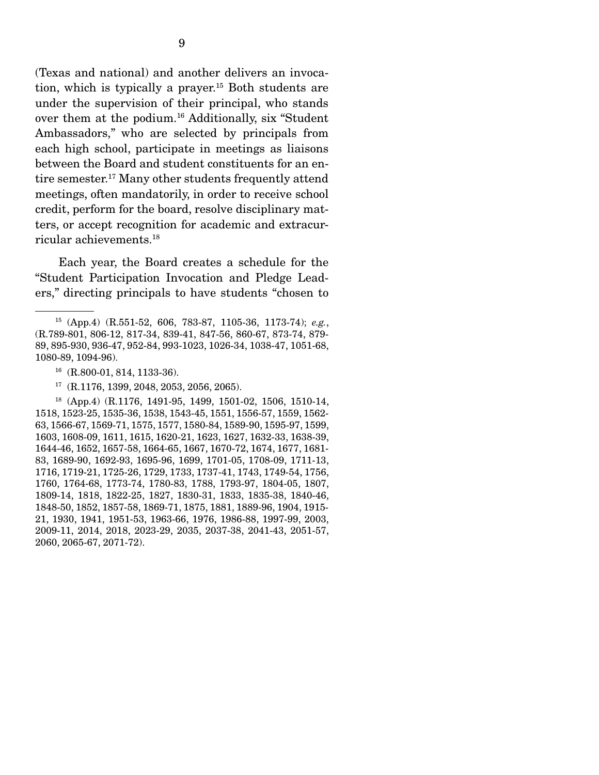(Texas and national) and another delivers an invocation, which is typically a prayer.15 Both students are under the supervision of their principal, who stands over them at the podium.16 Additionally, six "Student Ambassadors," who are selected by principals from each high school, participate in meetings as liaisons between the Board and student constituents for an entire semester.17 Many other students frequently attend meetings, often mandatorily, in order to receive school credit, perform for the board, resolve disciplinary matters, or accept recognition for academic and extracurricular achievements.18

 Each year, the Board creates a schedule for the "Student Participation Invocation and Pledge Leaders," directing principals to have students "chosen to

- <sup>16</sup> (R.800-01, 814, 1133-36).
- 17 (R.1176, 1399, 2048, 2053, 2056, 2065).

<sup>15 (</sup>App.4) (R.551-52, 606, 783-87, 1105-36, 1173-74); *e.g.*, (R.789-801, 806-12, 817-34, 839-41, 847-56, 860-67, 873-74, 879- 89, 895-930, 936-47, 952-84, 993-1023, 1026-34, 1038-47, 1051-68, 1080-89, 1094-96).

<sup>18 (</sup>App.4) (R.1176, 1491-95, 1499, 1501-02, 1506, 1510-14, 1518, 1523-25, 1535-36, 1538, 1543-45, 1551, 1556-57, 1559, 1562- 63, 1566-67, 1569-71, 1575, 1577, 1580-84, 1589-90, 1595-97, 1599, 1603, 1608-09, 1611, 1615, 1620-21, 1623, 1627, 1632-33, 1638-39, 1644-46, 1652, 1657-58, 1664-65, 1667, 1670-72, 1674, 1677, 1681- 83, 1689-90, 1692-93, 1695-96, 1699, 1701-05, 1708-09, 1711-13, 1716, 1719-21, 1725-26, 1729, 1733, 1737-41, 1743, 1749-54, 1756, 1760, 1764-68, 1773-74, 1780-83, 1788, 1793-97, 1804-05, 1807, 1809-14, 1818, 1822-25, 1827, 1830-31, 1833, 1835-38, 1840-46, 1848-50, 1852, 1857-58, 1869-71, 1875, 1881, 1889-96, 1904, 1915- 21, 1930, 1941, 1951-53, 1963-66, 1976, 1986-88, 1997-99, 2003, 2009-11, 2014, 2018, 2023-29, 2035, 2037-38, 2041-43, 2051-57, 2060, 2065-67, 2071-72).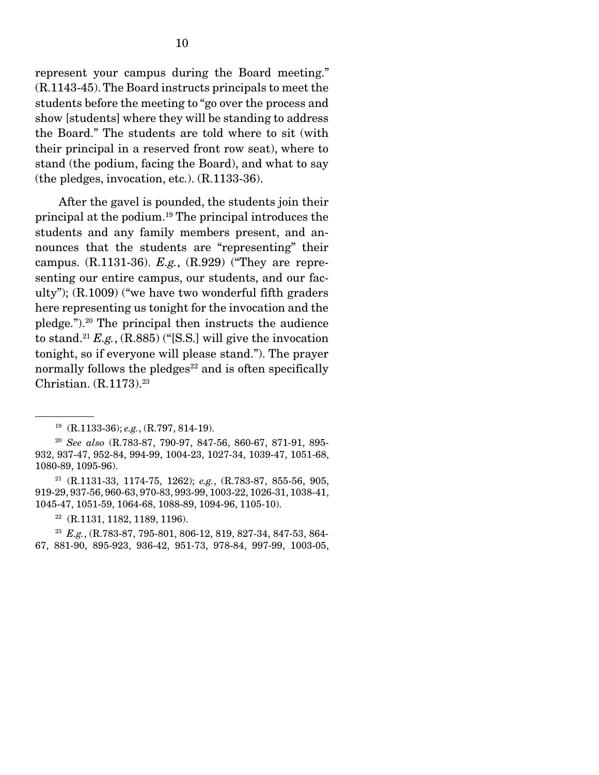represent your campus during the Board meeting." (R.1143-45). The Board instructs principals to meet the students before the meeting to "go over the process and show [students] where they will be standing to address the Board." The students are told where to sit (with their principal in a reserved front row seat), where to stand (the podium, facing the Board), and what to say (the pledges, invocation, etc.). (R.1133-36).

 After the gavel is pounded, the students join their principal at the podium.19 The principal introduces the students and any family members present, and announces that the students are "representing" their campus. (R.1131-36). *E.g.*, (R.929) ("They are representing our entire campus, our students, and our faculty"); (R.1009) ("we have two wonderful fifth graders here representing us tonight for the invocation and the pledge.").20 The principal then instructs the audience to stand.<sup>21</sup>  $E.g., (R.885)$  ("[S.S.] will give the invocation tonight, so if everyone will please stand."). The prayer normally follows the pledges $^{22}$  and is often specifically Christian. (R.1173).23

<sup>19 (</sup>R.1133-36); *e.g.*, (R.797, 814-19).

<sup>20</sup> *See also* (R.783-87, 790-97, 847-56, 860-67, 871-91, 895- 932, 937-47, 952-84, 994-99, 1004-23, 1027-34, 1039-47, 1051-68, 1080-89, 1095-96).

<sup>21 (</sup>R.1131-33, 1174-75, 1262); *e.g.*, (R.783-87, 855-56, 905, 919-29, 937-56, 960-63, 970-83, 993-99, 1003-22, 1026-31, 1038-41, 1045-47, 1051-59, 1064-68, 1088-89, 1094-96, 1105-10).

 $22$  (R.1131, 1182, 1189, 1196).

<sup>23</sup> *E.g.*, (R.783-87, 795-801, 806-12, 819, 827-34, 847-53, 864- 67, 881-90, 895-923, 936-42, 951-73, 978-84, 997-99, 1003-05,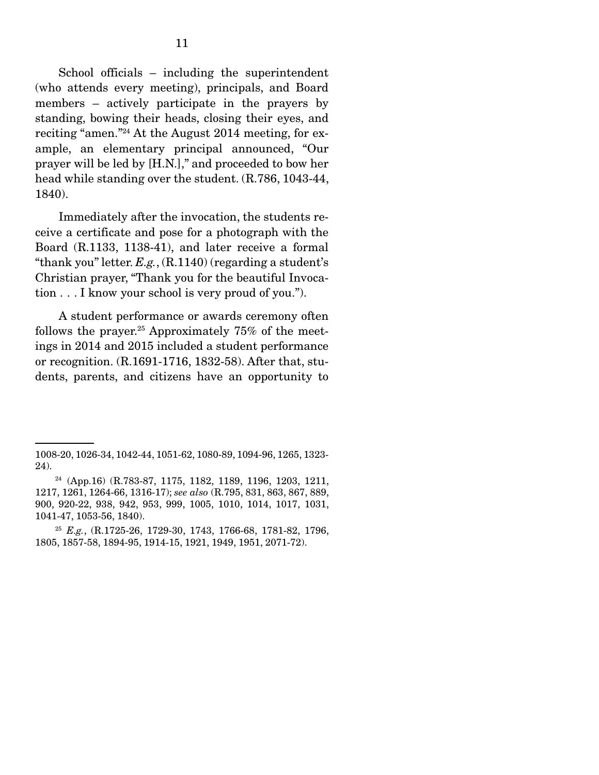School officials – including the superintendent (who attends every meeting), principals, and Board members – actively participate in the prayers by standing, bowing their heads, closing their eyes, and reciting "amen."24 At the August 2014 meeting, for example, an elementary principal announced, "Our prayer will be led by [H.N.]," and proceeded to bow her head while standing over the student. (R.786, 1043-44, 1840).

 Immediately after the invocation, the students receive a certificate and pose for a photograph with the Board (R.1133, 1138-41), and later receive a formal "thank you" letter. *E.g.*, (R.1140) (regarding a student's Christian prayer, "Thank you for the beautiful Invocation . . . I know your school is very proud of you.").

 A student performance or awards ceremony often follows the prayer.<sup>25</sup> Approximately 75% of the meetings in 2014 and 2015 included a student performance or recognition. (R.1691-1716, 1832-58). After that, students, parents, and citizens have an opportunity to

<sup>1008-20, 1026-34, 1042-44, 1051-62, 1080-89, 1094-96, 1265, 1323-</sup> 24).

<sup>24 (</sup>App.16) (R.783-87, 1175, 1182, 1189, 1196, 1203, 1211, 1217, 1261, 1264-66, 1316-17); *see also* (R.795, 831, 863, 867, 889, 900, 920-22, 938, 942, 953, 999, 1005, 1010, 1014, 1017, 1031, 1041-47, 1053-56, 1840).

<sup>25</sup> *E.g.*, (R.1725-26, 1729-30, 1743, 1766-68, 1781-82, 1796, 1805, 1857-58, 1894-95, 1914-15, 1921, 1949, 1951, 2071-72).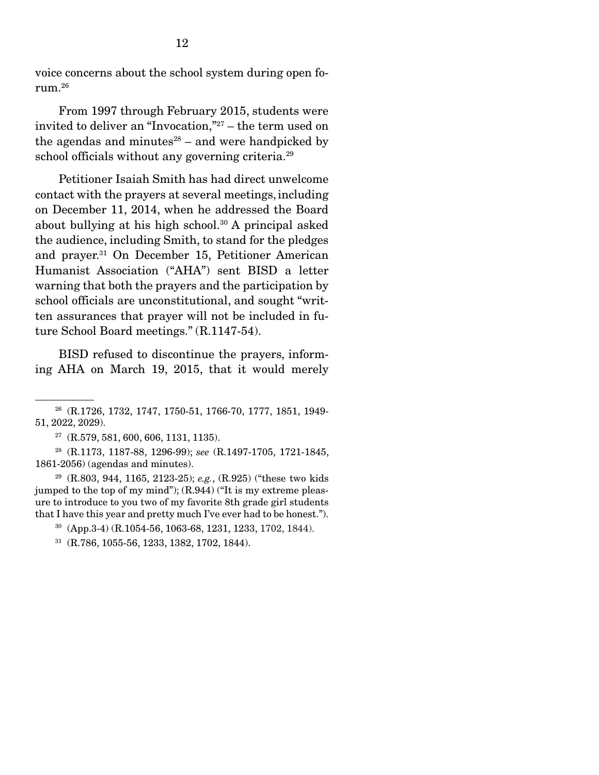voice concerns about the school system during open forum.26

 From 1997 through February 2015, students were invited to deliver an "Invocation,"27 – the term used on the agendas and minutes $28 -$  and were handpicked by school officials without any governing criteria.<sup>29</sup>

 Petitioner Isaiah Smith has had direct unwelcome contact with the prayers at several meetings,including on December 11, 2014, when he addressed the Board about bullying at his high school.<sup>30</sup> A principal asked the audience, including Smith, to stand for the pledges and prayer.31 On December 15, Petitioner American Humanist Association ("AHA") sent BISD a letter warning that both the prayers and the participation by school officials are unconstitutional, and sought "written assurances that prayer will not be included in future School Board meetings." (R.1147-54).

 BISD refused to discontinue the prayers, informing AHA on March 19, 2015, that it would merely

<sup>26 (</sup>R.1726, 1732, 1747, 1750-51, 1766-70, 1777, 1851, 1949- 51, 2022, 2029).

 $27$  (R.579, 581, 600, 606, 1131, 1135).

<sup>28 (</sup>R.1173, 1187-88, 1296-99); *see* (R.1497-1705, 1721-1845, 1861-2056) (agendas and minutes).

<sup>29 (</sup>R.803, 944, 1165, 2123-25); *e.g.*, (R.925) ("these two kids jumped to the top of my mind"); (R.944) ("It is my extreme pleasure to introduce to you two of my favorite 8th grade girl students that I have this year and pretty much I've ever had to be honest.").

<sup>30 (</sup>App.3-4) (R.1054-56, 1063-68, 1231, 1233, 1702, 1844).

<sup>31 (</sup>R.786, 1055-56, 1233, 1382, 1702, 1844).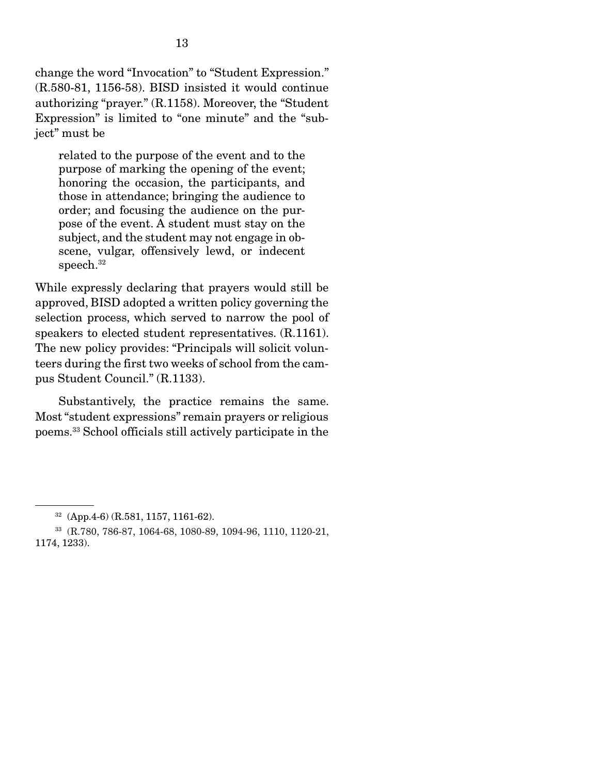change the word "Invocation" to "Student Expression." (R.580-81, 1156-58). BISD insisted it would continue authorizing "prayer." (R.1158). Moreover, the "Student Expression" is limited to "one minute" and the "subject" must be

related to the purpose of the event and to the purpose of marking the opening of the event; honoring the occasion, the participants, and those in attendance; bringing the audience to order; and focusing the audience on the purpose of the event. A student must stay on the subject, and the student may not engage in obscene, vulgar, offensively lewd, or indecent speech.<sup>32</sup>

While expressly declaring that prayers would still be approved, BISD adopted a written policy governing the selection process, which served to narrow the pool of speakers to elected student representatives. (R.1161). The new policy provides: "Principals will solicit volunteers during the first two weeks of school from the campus Student Council." (R.1133).

 Substantively, the practice remains the same. Most "student expressions" remain prayers or religious poems.33 School officials still actively participate in the

<sup>32 (</sup>App.4-6) (R.581, 1157, 1161-62).

<sup>33 (</sup>R.780, 786-87, 1064-68, 1080-89, 1094-96, 1110, 1120-21, 1174, 1233).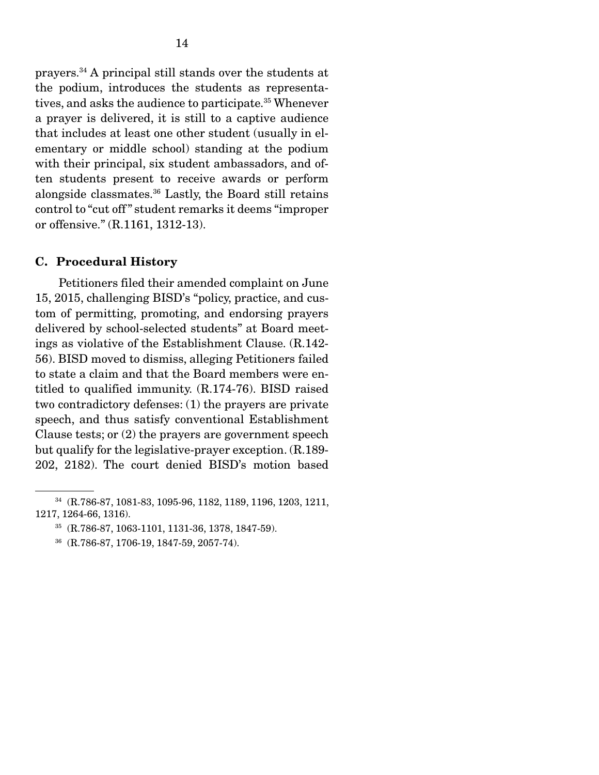prayers.34 A principal still stands over the students at the podium, introduces the students as representatives, and asks the audience to participate.<sup>35</sup> Whenever a prayer is delivered, it is still to a captive audience that includes at least one other student (usually in elementary or middle school) standing at the podium with their principal, six student ambassadors, and often students present to receive awards or perform alongside classmates.36 Lastly, the Board still retains control to "cut off " student remarks it deems "improper or offensive." (R.1161, 1312-13).

#### C. Procedural History

 Petitioners filed their amended complaint on June 15, 2015, challenging BISD's "policy, practice, and custom of permitting, promoting, and endorsing prayers delivered by school-selected students" at Board meetings as violative of the Establishment Clause. (R.142- 56). BISD moved to dismiss, alleging Petitioners failed to state a claim and that the Board members were entitled to qualified immunity. (R.174-76). BISD raised two contradictory defenses: (1) the prayers are private speech, and thus satisfy conventional Establishment Clause tests; or (2) the prayers are government speech but qualify for the legislative-prayer exception. (R.189- 202, 2182). The court denied BISD's motion based

<sup>34 (</sup>R.786-87, 1081-83, 1095-96, 1182, 1189, 1196, 1203, 1211, 1217, 1264-66, 1316).

<sup>35 (</sup>R.786-87, 1063-1101, 1131-36, 1378, 1847-59).

<sup>36 (</sup>R.786-87, 1706-19, 1847-59, 2057-74).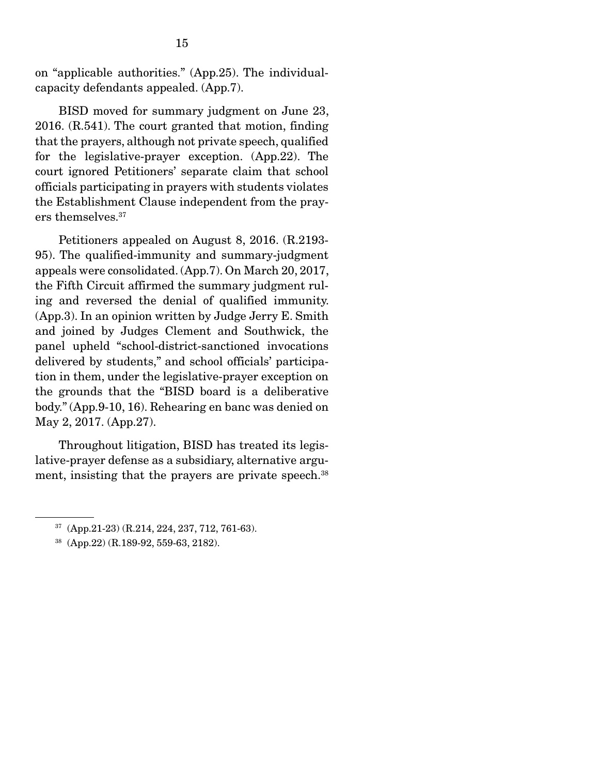on "applicable authorities." (App.25). The individualcapacity defendants appealed. (App.7).

 BISD moved for summary judgment on June 23, 2016. (R.541). The court granted that motion, finding that the prayers, although not private speech, qualified for the legislative-prayer exception. (App.22). The court ignored Petitioners' separate claim that school officials participating in prayers with students violates the Establishment Clause independent from the prayers themselves.37

 Petitioners appealed on August 8, 2016. (R.2193- 95). The qualified-immunity and summary-judgment appeals were consolidated. (App.7). On March 20, 2017, the Fifth Circuit affirmed the summary judgment ruling and reversed the denial of qualified immunity. (App.3). In an opinion written by Judge Jerry E. Smith and joined by Judges Clement and Southwick, the panel upheld "school-district-sanctioned invocations delivered by students," and school officials' participation in them, under the legislative-prayer exception on the grounds that the "BISD board is a deliberative body." (App.9-10, 16). Rehearing en banc was denied on May 2, 2017. (App.27).

 Throughout litigation, BISD has treated its legislative-prayer defense as a subsidiary, alternative argument, insisting that the prayers are private speech.<sup>38</sup>

 $37$  (App.21-23) (R.214, 224, 237, 712, 761-63).

<sup>38 (</sup>App.22) (R.189-92, 559-63, 2182).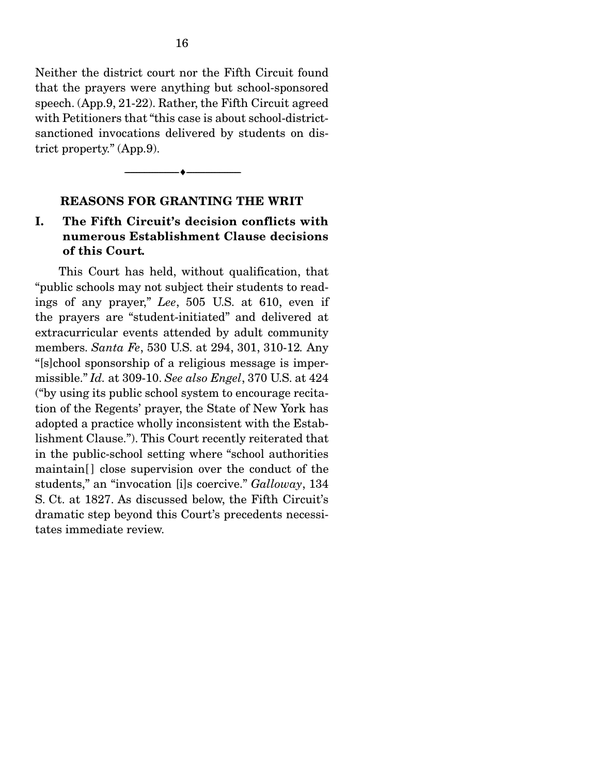Neither the district court nor the Fifth Circuit found that the prayers were anything but school-sponsored speech. (App.9, 21-22). Rather, the Fifth Circuit agreed with Petitioners that "this case is about school-districtsanctioned invocations delivered by students on district property." (App.9).

#### REASONS FOR GRANTING THE WRIT

--------------------------------- ---------------------------------

### I. The Fifth Circuit's decision conflicts with numerous Establishment Clause decisions of this Court*.*

 This Court has held, without qualification, that "public schools may not subject their students to readings of any prayer," *Lee*, 505 U.S. at 610, even if the prayers are "student-initiated" and delivered at extracurricular events attended by adult community members. *Santa Fe*, 530 U.S. at 294, 301, 310-12*.* Any "[s]chool sponsorship of a religious message is impermissible." *Id.* at 309-10. *See also Engel*, 370 U.S. at 424 ("by using its public school system to encourage recitation of the Regents' prayer, the State of New York has adopted a practice wholly inconsistent with the Establishment Clause."). This Court recently reiterated that in the public-school setting where "school authorities maintain<sup>[]</sup> close supervision over the conduct of the students," an "invocation [i]s coercive." *Galloway*, 134 S. Ct. at 1827. As discussed below, the Fifth Circuit's dramatic step beyond this Court's precedents necessitates immediate review.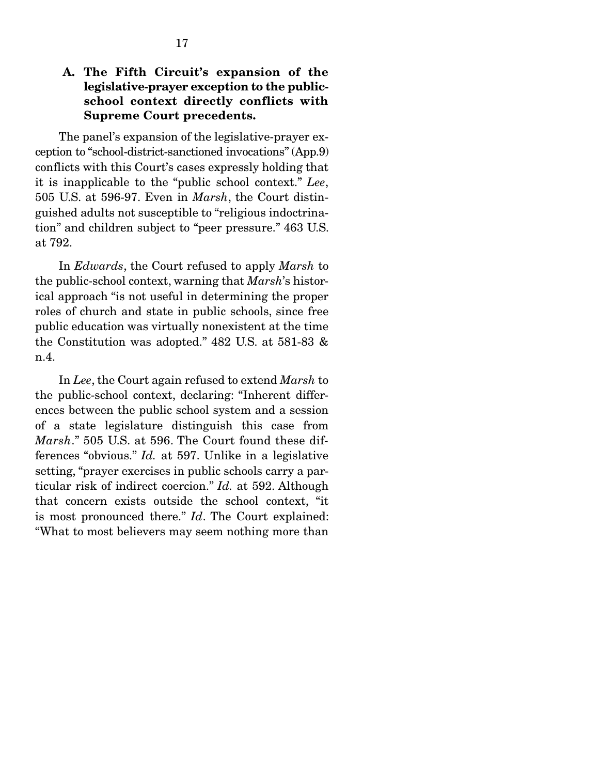## A. The Fifth Circuit's expansion of the legislative-prayer exception to the publicschool context directly conflicts with Supreme Court precedents.

 The panel's expansion of the legislative-prayer exception to "school-district-sanctioned invocations" (App.9) conflicts with this Court's cases expressly holding that it is inapplicable to the "public school context." *Lee*, 505 U.S. at 596-97. Even in *Marsh*, the Court distinguished adults not susceptible to "religious indoctrination" and children subject to "peer pressure." 463 U.S. at 792.

 In *Edwards*, the Court refused to apply *Marsh* to the public-school context, warning that *Marsh*'s historical approach "is not useful in determining the proper roles of church and state in public schools, since free public education was virtually nonexistent at the time the Constitution was adopted." 482 U.S. at 581-83 & n.4.

 In *Lee*, the Court again refused to extend *Marsh* to the public-school context, declaring: "Inherent differences between the public school system and a session of a state legislature distinguish this case from *Marsh*." 505 U.S. at 596. The Court found these differences "obvious." *Id.* at 597. Unlike in a legislative setting, "prayer exercises in public schools carry a particular risk of indirect coercion." *Id.* at 592. Although that concern exists outside the school context, "it is most pronounced there." *Id*. The Court explained: "What to most believers may seem nothing more than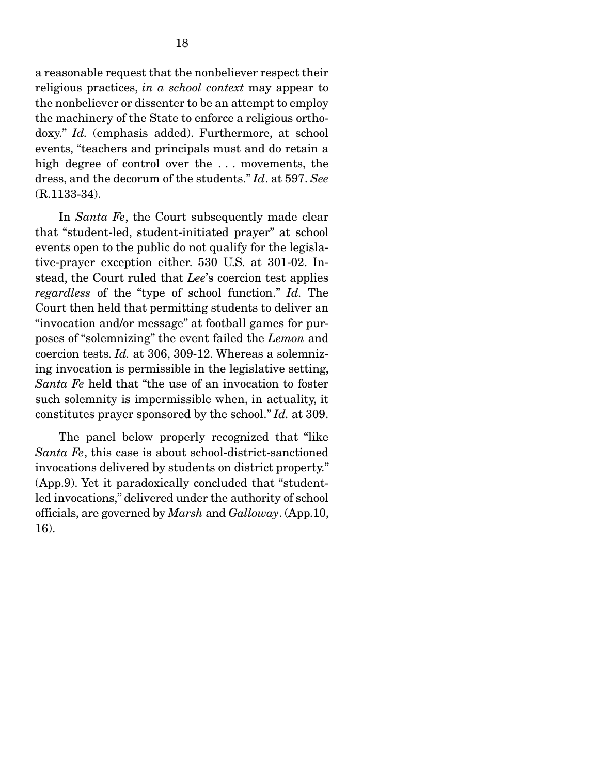a reasonable request that the nonbeliever respect their religious practices, *in a school context* may appear to the nonbeliever or dissenter to be an attempt to employ the machinery of the State to enforce a religious orthodoxy." *Id.* (emphasis added). Furthermore, at school events, "teachers and principals must and do retain a high degree of control over the ... movements, the dress, and the decorum of the students." *Id*. at 597. *See*  (R.1133-34).

 In *Santa Fe*, the Court subsequently made clear that "student-led, student-initiated prayer" at school events open to the public do not qualify for the legislative-prayer exception either. 530 U.S. at 301-02. Instead, the Court ruled that *Lee*'s coercion test applies *regardless* of the "type of school function." *Id.* The Court then held that permitting students to deliver an "invocation and/or message" at football games for purposes of "solemnizing" the event failed the *Lemon* and coercion tests. *Id.* at 306, 309-12. Whereas a solemnizing invocation is permissible in the legislative setting, *Santa Fe* held that "the use of an invocation to foster such solemnity is impermissible when, in actuality, it constitutes prayer sponsored by the school." *Id.* at 309.

 The panel below properly recognized that "like *Santa Fe*, this case is about school-district-sanctioned invocations delivered by students on district property." (App.9). Yet it paradoxically concluded that "studentled invocations," delivered under the authority of school officials, are governed by *Marsh* and *Galloway*. (App.10, 16).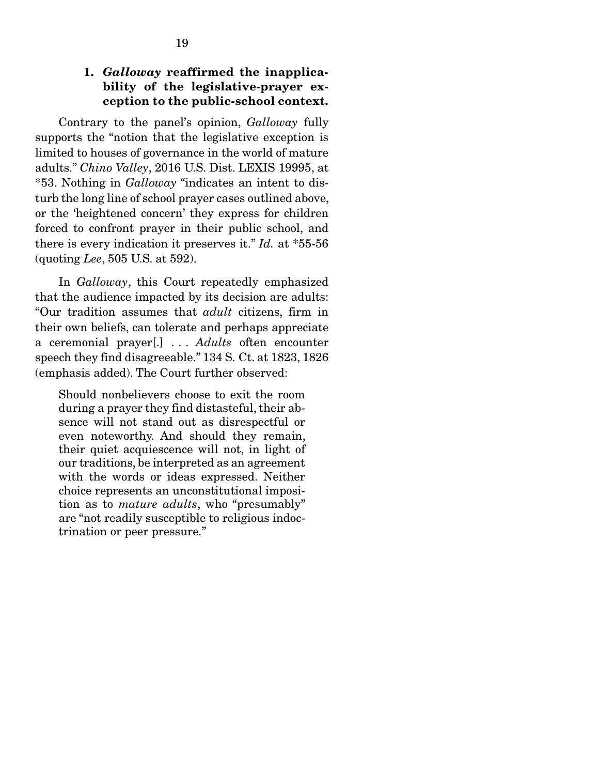## 1. *Galloway* reaffirmed the inapplicability of the legislative-prayer exception to the public-school context.

 Contrary to the panel's opinion, *Galloway* fully supports the "notion that the legislative exception is limited to houses of governance in the world of mature adults." *Chino Valley*, 2016 U.S. Dist. LEXIS 19995, at \*53. Nothing in *Galloway "*indicates an intent to disturb the long line of school prayer cases outlined above, or the 'heightened concern' they express for children forced to confront prayer in their public school, and there is every indication it preserves it." *Id.* at \*55-56 (quoting *Lee*, 505 U.S. at 592).

 In *Galloway*, this Court repeatedly emphasized that the audience impacted by its decision are adults: "Our tradition assumes that *adult* citizens, firm in their own beliefs, can tolerate and perhaps appreciate a ceremonial prayer[.] . . . *Adults* often encounter speech they find disagreeable." 134 S. Ct. at 1823, 1826 (emphasis added). The Court further observed:

Should nonbelievers choose to exit the room during a prayer they find distasteful, their absence will not stand out as disrespectful or even noteworthy. And should they remain, their quiet acquiescence will not, in light of our traditions, be interpreted as an agreement with the words or ideas expressed. Neither choice represents an unconstitutional imposition as to *mature adults*, who "presumably" are "not readily susceptible to religious indoctrination or peer pressure."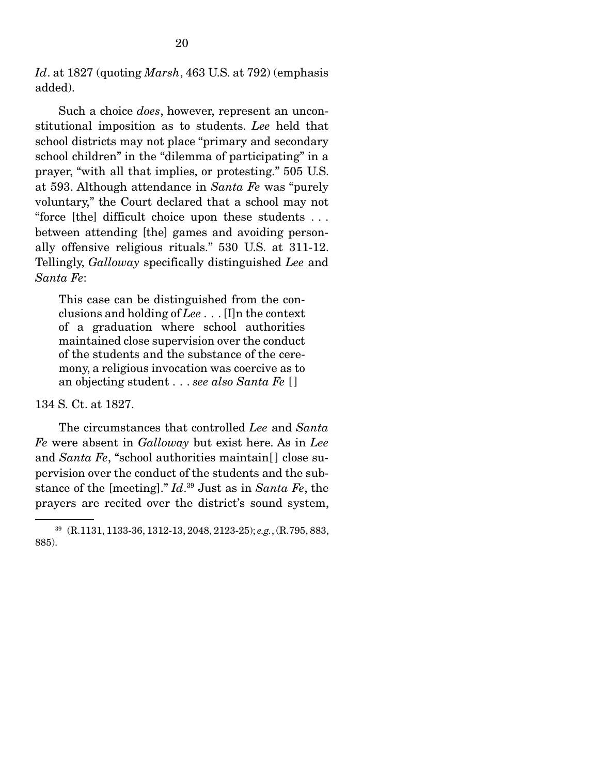*Id*. at 1827 (quoting *Marsh*, 463 U.S. at 792) (emphasis added).

 Such a choice *does*, however, represent an unconstitutional imposition as to students. *Lee* held that school districts may not place "primary and secondary school children" in the "dilemma of participating" in a prayer, "with all that implies, or protesting." 505 U.S. at 593. Although attendance in *Santa Fe* was "purely voluntary," the Court declared that a school may not "force [the] difficult choice upon these students . . . between attending [the] games and avoiding personally offensive religious rituals." 530 U.S. at 311-12. Tellingly, *Galloway* specifically distinguished *Lee* and *Santa Fe*:

This case can be distinguished from the conclusions and holding of *Lee* . . . [I]n the context of a graduation where school authorities maintained close supervision over the conduct of the students and the substance of the ceremony, a religious invocation was coercive as to an objecting student . . . *see also Santa Fe* [ ]

#### 134 S. Ct. at 1827.

 The circumstances that controlled *Lee* and *Santa Fe* were absent in *Galloway* but exist here. As in *Lee*  and *Santa Fe*, "school authorities maintain[ ] close supervision over the conduct of the students and the substance of the [meeting]." *Id*. 39 Just as in *Santa Fe*, the prayers are recited over the district's sound system,

<sup>39 (</sup>R.1131, 1133-36, 1312-13, 2048, 2123-25); *e.g.*, (R.795, 883, 885).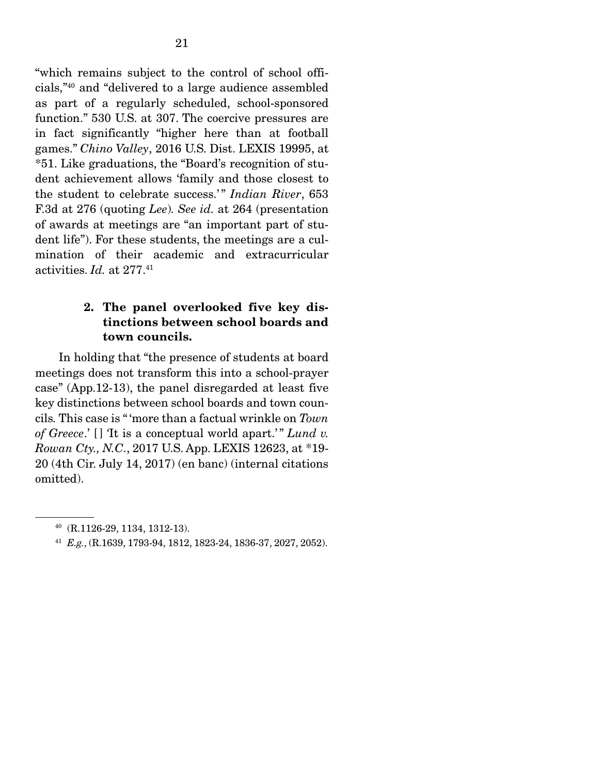"which remains subject to the control of school officials,"40 and "delivered to a large audience assembled as part of a regularly scheduled, school-sponsored function." 530 U.S. at 307. The coercive pressures are in fact significantly "higher here than at football games." *Chino Valley*, 2016 U.S. Dist. LEXIS 19995, at \*51. Like graduations, the "Board's recognition of student achievement allows 'family and those closest to the student to celebrate success.'" *Indian River*, 653 F.3d at 276 (quoting *Lee*)*. See id.* at 264 (presentation of awards at meetings are "an important part of student life"). For these students, the meetings are a culmination of their academic and extracurricular activities. *Id.* at 277.41

## 2. The panel overlooked five key distinctions between school boards and town councils.

 In holding that "the presence of students at board meetings does not transform this into a school-prayer case" (App.12-13), the panel disregarded at least five key distinctions between school boards and town councils*.* This case is " 'more than a factual wrinkle on *Town of Greece.*' [] 'It is a conceptual world apart.'" Lund v. *Rowan Cty., N.C*., 2017 U.S. App. LEXIS 12623, at \*19- 20 (4th Cir. July 14, 2017) (en banc) (internal citations omitted).

<sup>40 (</sup>R.1126-29, 1134, 1312-13).

<sup>41</sup> *E.g.*, (R.1639, 1793-94, 1812, 1823-24, 1836-37, 2027, 2052).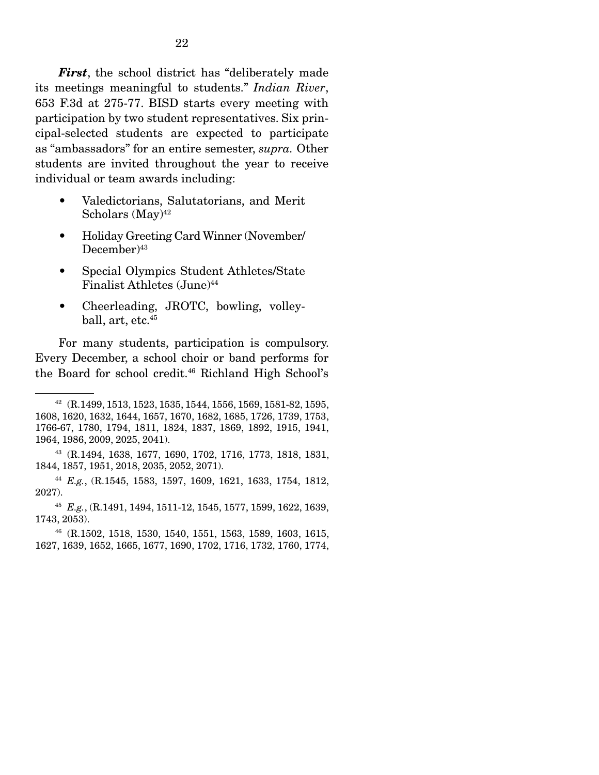*First*, the school district has "deliberately made its meetings meaningful to students." *Indian River*, 653 F.3d at 275-77. BISD starts every meeting with participation by two student representatives. Six principal-selected students are expected to participate as "ambassadors" for an entire semester, *supra.* Other students are invited throughout the year to receive individual or team awards including:

- Valedictorians, Salutatorians, and Merit Scholars  $(May)^{42}$
- Holiday Greeting Card Winner (November/  $December)^{43}$
- Special Olympics Student Athletes/State Finalist Athletes (June)<sup>44</sup>
- Cheerleading, JROTC, bowling, volleyball, art, etc.<sup>45</sup>

 For many students, participation is compulsory. Every December, a school choir or band performs for the Board for school credit.<sup>46</sup> Richland High School's

<sup>42 (</sup>R.1499, 1513, 1523, 1535, 1544, 1556, 1569, 1581-82, 1595, 1608, 1620, 1632, 1644, 1657, 1670, 1682, 1685, 1726, 1739, 1753, 1766-67, 1780, 1794, 1811, 1824, 1837, 1869, 1892, 1915, 1941, 1964, 1986, 2009, 2025, 2041).

<sup>43 (</sup>R.1494, 1638, 1677, 1690, 1702, 1716, 1773, 1818, 1831, 1844, 1857, 1951, 2018, 2035, 2052, 2071).

<sup>44</sup> *E.g.*, (R.1545, 1583, 1597, 1609, 1621, 1633, 1754, 1812, 2027).

<sup>45</sup> *E.g.*, (R.1491, 1494, 1511-12, 1545, 1577, 1599, 1622, 1639, 1743, 2053).

<sup>46 (</sup>R.1502, 1518, 1530, 1540, 1551, 1563, 1589, 1603, 1615, 1627, 1639, 1652, 1665, 1677, 1690, 1702, 1716, 1732, 1760, 1774,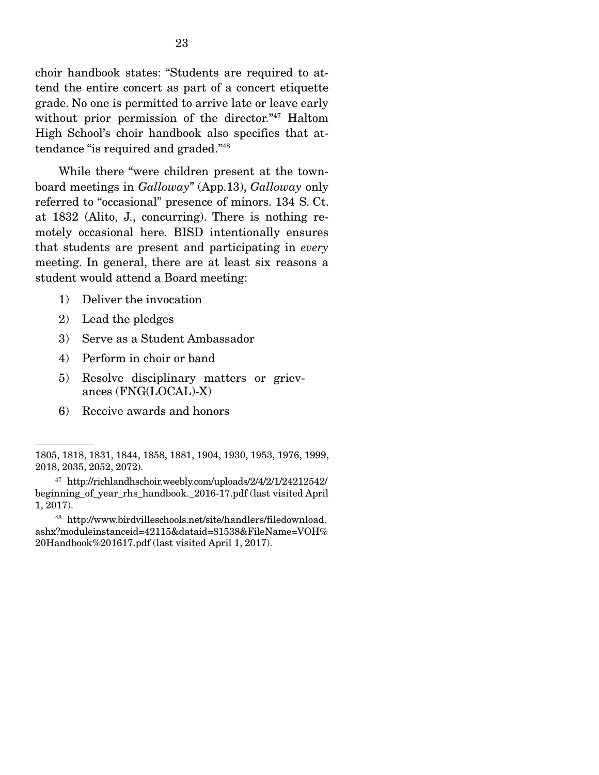choir handbook states: "Students are required to attend the entire concert as part of a concert etiquette grade. No one is permitted to arrive late or leave early without prior permission of the director."47 Haltom High School's choir handbook also specifies that attendance "is required and graded."48

 While there "were children present at the townboard meetings in *Galloway*" (App.13), *Galloway* only referred to "occasional" presence of minors. 134 S. Ct. at 1832 (Alito, J., concurring). There is nothing remotely occasional here. BISD intentionally ensures that students are present and participating in *every* meeting. In general, there are at least six reasons a student would attend a Board meeting:

- 1) Deliver the invocation
- 2) Lead the pledges
- 3) Serve as a Student Ambassador
- 4) Perform in choir or band
- 5) Resolve disciplinary matters or grievances (FNG(LOCAL)-X)
- 6) Receive awards and honors

<sup>1805, 1818, 1831, 1844, 1858, 1881, 1904, 1930, 1953, 1976, 1999,</sup>  2018, 2035, 2052, 2072).

<sup>47</sup> http://richlandhschoir.weebly.com/uploads/2/4/2/1/24212542/ beginning of year rhs handbook. 2016-17.pdf (last visited April 1, 2017).

<sup>48</sup> http://www.birdvilleschools.net/site/handlers/filedownload. ashx?moduleinstanceid=42115&dataid=81538&FileName=VOH% 20Handbook%201617.pdf (last visited April 1, 2017).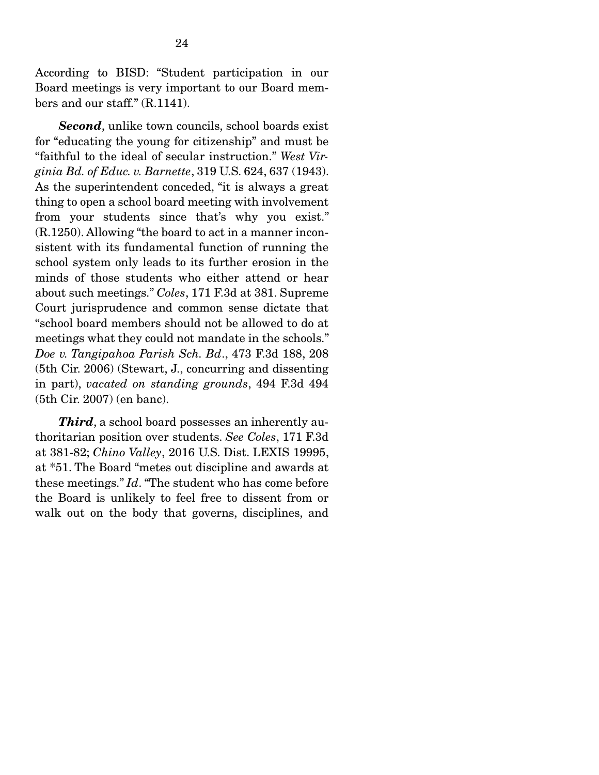According to BISD: "Student participation in our Board meetings is very important to our Board members and our staff." (R.1141).

*Second*, unlike town councils, school boards exist for "educating the young for citizenship" and must be "faithful to the ideal of secular instruction." *West Virginia Bd. of Educ. v. Barnette*, 319 U.S. 624, 637 (1943). As the superintendent conceded, "it is always a great thing to open a school board meeting with involvement from your students since that's why you exist." (R.1250). Allowing "the board to act in a manner inconsistent with its fundamental function of running the school system only leads to its further erosion in the minds of those students who either attend or hear about such meetings." *Coles*, 171 F.3d at 381. Supreme Court jurisprudence and common sense dictate that "school board members should not be allowed to do at meetings what they could not mandate in the schools." *Doe v. Tangipahoa Parish Sch. Bd*., 473 F.3d 188, 208 (5th Cir. 2006) (Stewart, J., concurring and dissenting in part), *vacated on standing grounds*, 494 F.3d 494 (5th Cir. 2007) (en banc).

**Third**, a school board possesses an inherently authoritarian position over students. *See Coles*, 171 F.3d at 381-82; *Chino Valley*, 2016 U.S. Dist. LEXIS 19995, at \*51. The Board "metes out discipline and awards at these meetings." *Id*. "The student who has come before the Board is unlikely to feel free to dissent from or walk out on the body that governs, disciplines, and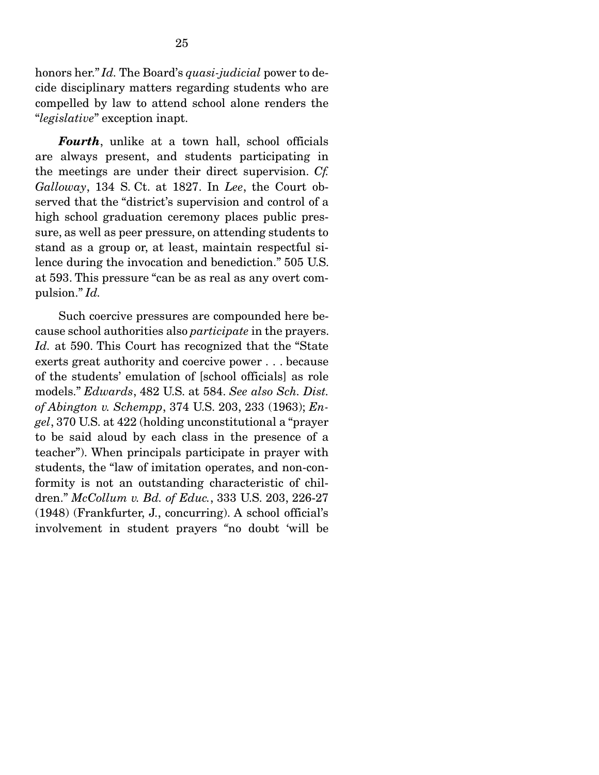honors her." *Id.* The Board's *quasi-judicial* power to decide disciplinary matters regarding students who are compelled by law to attend school alone renders the "*legislative*" exception inapt.

*Fourth*, unlike at a town hall, school officials are always present, and students participating in the meetings are under their direct supervision. *Cf. Galloway*, 134 S. Ct. at 1827. In *Lee*, the Court observed that the "district's supervision and control of a high school graduation ceremony places public pressure, as well as peer pressure, on attending students to stand as a group or, at least, maintain respectful silence during the invocation and benediction." 505 U.S. at 593. This pressure "can be as real as any overt compulsion." *Id.* 

 Such coercive pressures are compounded here because school authorities also *participate* in the prayers. *Id.* at 590. This Court has recognized that the "State exerts great authority and coercive power . . . because of the students' emulation of [school officials] as role models." *Edwards*, 482 U.S. at 584. *See also Sch. Dist. of Abington v. Schempp*, 374 U.S. 203, 233 (1963); *Engel*, 370 U.S. at 422 (holding unconstitutional a "prayer to be said aloud by each class in the presence of a teacher"). When principals participate in prayer with students, the "law of imitation operates, and non-conformity is not an outstanding characteristic of children." *McCollum v. Bd. of Educ.*, 333 U.S. 203, 226-27 (1948) (Frankfurter, J., concurring). A school official's involvement in student prayers *"*no doubt 'will be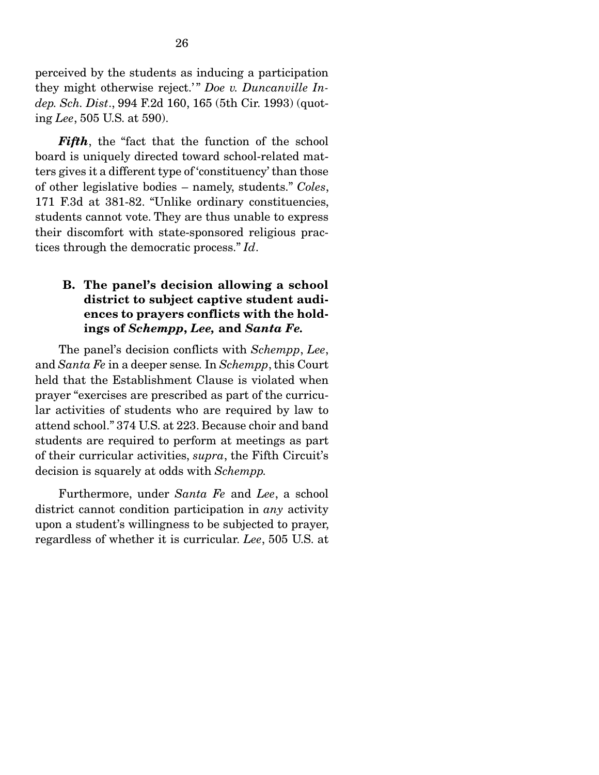perceived by the students as inducing a participation they might otherwise reject.'" Doe v. Duncanville In*dep. Sch. Dist*., 994 F.2d 160, 165 (5th Cir. 1993) (quoting *Lee*, 505 U.S. at 590).

*Fifth*, the "fact that the function of the school board is uniquely directed toward school-related matters gives it a different type of 'constituency' than those of other legislative bodies – namely, students." *Coles*, 171 F.3d at 381-82. "Unlike ordinary constituencies, students cannot vote. They are thus unable to express their discomfort with state-sponsored religious practices through the democratic process." *Id*.

## B. The panel's decision allowing a school district to subject captive student audiences to prayers conflicts with the holdings of *Schempp*, *Lee,* and *Santa Fe.*

 The panel's decision conflicts with *Schempp*, *Lee*, and *Santa Fe* in a deeper sense*.* In *Schempp*, this Court held that the Establishment Clause is violated when prayer "exercises are prescribed as part of the curricular activities of students who are required by law to attend school." 374 U.S. at 223. Because choir and band students are required to perform at meetings as part of their curricular activities, *supra*, the Fifth Circuit's decision is squarely at odds with *Schempp.* 

 Furthermore, under *Santa Fe* and *Lee*, a school district cannot condition participation in *any* activity upon a student's willingness to be subjected to prayer, regardless of whether it is curricular. *Lee*, 505 U.S. at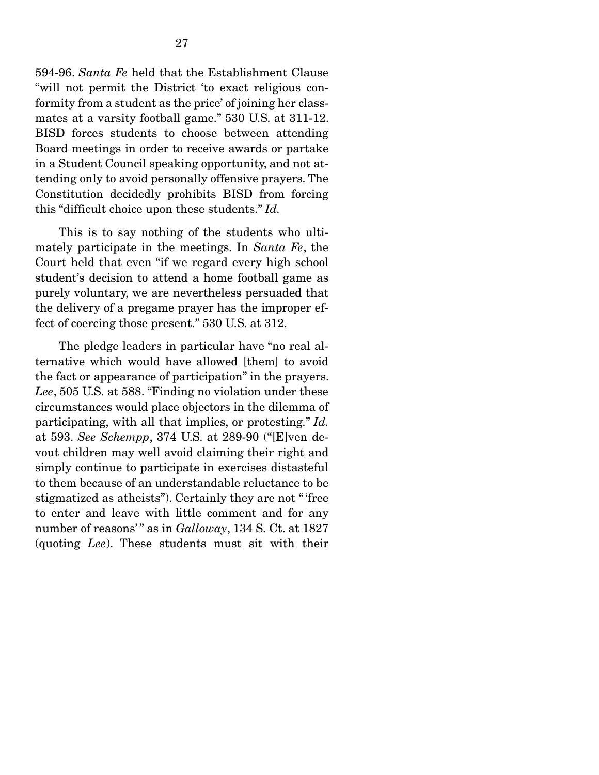594-96. *Santa Fe* held that the Establishment Clause "will not permit the District 'to exact religious conformity from a student as the price' of joining her classmates at a varsity football game." 530 U.S. at 311-12. BISD forces students to choose between attending Board meetings in order to receive awards or partake in a Student Council speaking opportunity, and not attending only to avoid personally offensive prayers. The Constitution decidedly prohibits BISD from forcing this "difficult choice upon these students." *Id.* 

 This is to say nothing of the students who ultimately participate in the meetings. In *Santa Fe*, the Court held that even "if we regard every high school student's decision to attend a home football game as purely voluntary, we are nevertheless persuaded that the delivery of a pregame prayer has the improper effect of coercing those present." 530 U.S. at 312.

 The pledge leaders in particular have "no real alternative which would have allowed [them] to avoid the fact or appearance of participation" in the prayers. *Lee*, 505 U.S. at 588. "Finding no violation under these circumstances would place objectors in the dilemma of participating, with all that implies, or protesting." *Id.*  at 593. *See Schempp*, 374 U.S. at 289-90 ("[E]ven devout children may well avoid claiming their right and simply continue to participate in exercises distasteful to them because of an understandable reluctance to be stigmatized as atheists"). Certainly they are not " 'free to enter and leave with little comment and for any number of reasons'" as in *Galloway*, 134 S. Ct. at 1827 (quoting *Lee*). These students must sit with their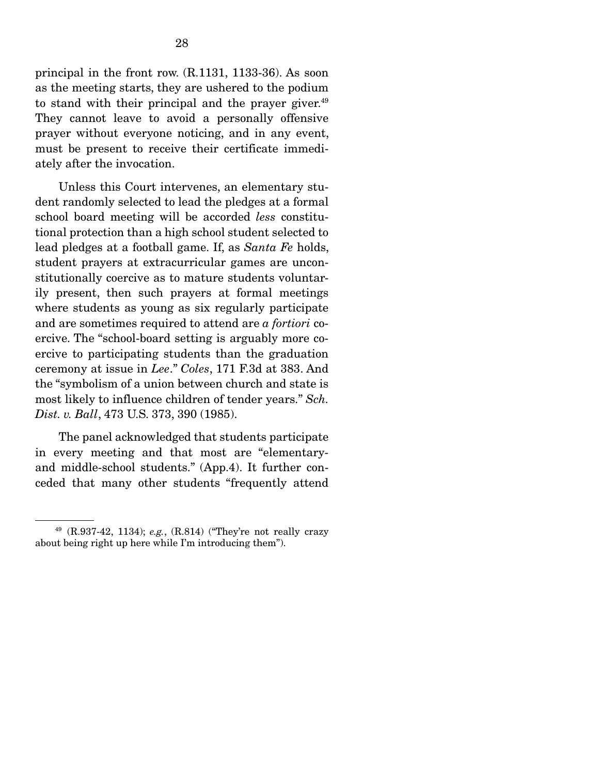principal in the front row. (R.1131, 1133-36). As soon as the meeting starts, they are ushered to the podium to stand with their principal and the prayer giver. $49$ They cannot leave to avoid a personally offensive prayer without everyone noticing, and in any event, must be present to receive their certificate immediately after the invocation.

 Unless this Court intervenes, an elementary student randomly selected to lead the pledges at a formal school board meeting will be accorded *less* constitutional protection than a high school student selected to lead pledges at a football game. If, as *Santa Fe* holds, student prayers at extracurricular games are unconstitutionally coercive as to mature students voluntarily present, then such prayers at formal meetings where students as young as six regularly participate and are sometimes required to attend are *a fortiori* coercive. The "school-board setting is arguably more coercive to participating students than the graduation ceremony at issue in *Lee*." *Coles*, 171 F.3d at 383. And the "symbolism of a union between church and state is most likely to influence children of tender years." *Sch. Dist. v. Ball*, 473 U.S. 373, 390 (1985).

 The panel acknowledged that students participate in every meeting and that most are "elementaryand middle-school students." (App.4). It further conceded that many other students "frequently attend

<sup>49 (</sup>R.937-42, 1134); *e.g.*, (R.814) ("They're not really crazy about being right up here while I'm introducing them").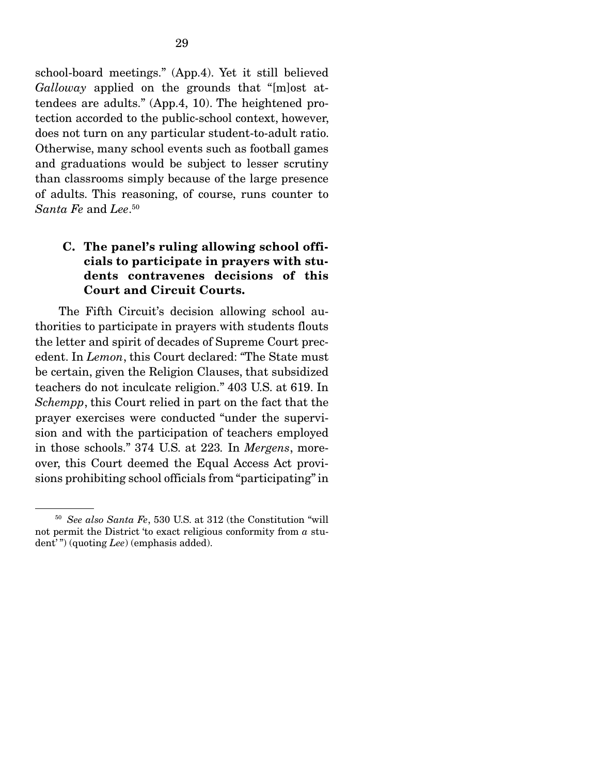school-board meetings." (App.4). Yet it still believed *Galloway* applied on the grounds that "[m]ost attendees are adults." (App.4, 10). The heightened protection accorded to the public-school context, however, does not turn on any particular student-to-adult ratio. Otherwise, many school events such as football games and graduations would be subject to lesser scrutiny than classrooms simply because of the large presence of adults. This reasoning, of course, runs counter to *Santa Fe* and *Lee*. 50

## C. The panel's ruling allowing school officials to participate in prayers with students contravenes decisions of this Court and Circuit Courts.

 The Fifth Circuit's decision allowing school authorities to participate in prayers with students flouts the letter and spirit of decades of Supreme Court precedent. In *Lemon*, this Court declared: *"*The State must be certain, given the Religion Clauses, that subsidized teachers do not inculcate religion." 403 U.S. at 619. In *Schempp*, this Court relied in part on the fact that the prayer exercises were conducted "under the supervision and with the participation of teachers employed in those schools." 374 U.S. at 223*.* In *Mergens*, moreover, this Court deemed the Equal Access Act provisions prohibiting school officials from "participating" in

<sup>50</sup> *See also Santa Fe*, 530 U.S. at 312 (the Constitution "will not permit the District 'to exact religious conformity from *a* student'") (quoting *Lee*) (emphasis added).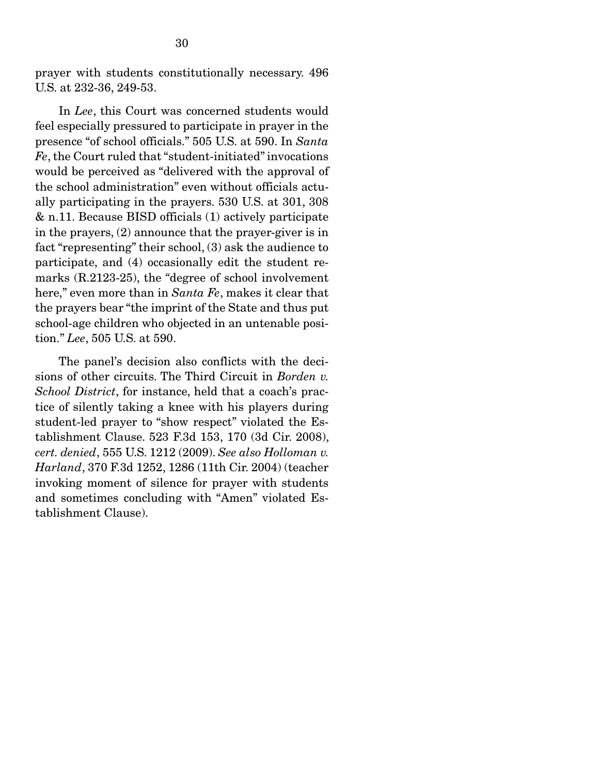prayer with students constitutionally necessary. 496 U.S. at 232-36, 249-53.

 In *Lee*, this Court was concerned students would feel especially pressured to participate in prayer in the presence "of school officials." 505 U.S. at 590. In *Santa Fe*, the Court ruled that "student-initiated" invocations would be perceived as "delivered with the approval of the school administration" even without officials actually participating in the prayers. 530 U.S. at 301, 308 & n.11. Because BISD officials (1) actively participate in the prayers, (2) announce that the prayer-giver is in fact "representing" their school, (3) ask the audience to participate, and (4) occasionally edit the student remarks (R.2123-25), the *"*degree of school involvement here," even more than in *Santa Fe*, makes it clear that the prayers bear "the imprint of the State and thus put school-age children who objected in an untenable position." *Lee*, 505 U.S. at 590.

 The panel's decision also conflicts with the decisions of other circuits. The Third Circuit in *Borden v. School District*, for instance, held that a coach's practice of silently taking a knee with his players during student-led prayer to "show respect" violated the Establishment Clause. 523 F.3d 153, 170 (3d Cir. 2008), *cert. denied*, 555 U.S. 1212 (2009). *See also Holloman v. Harland*, 370 F.3d 1252, 1286 (11th Cir. 2004) (teacher invoking moment of silence for prayer with students and sometimes concluding with "Amen" violated Establishment Clause).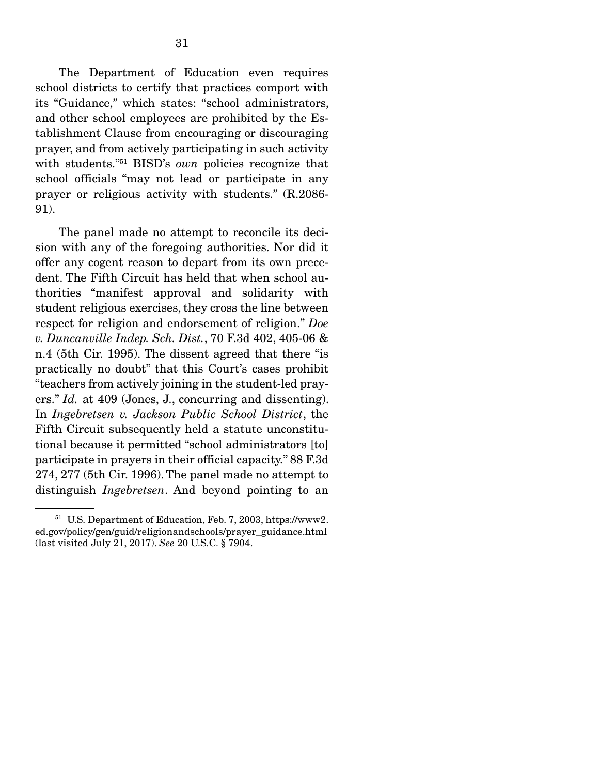The Department of Education even requires school districts to certify that practices comport with its "Guidance," which states: "school administrators, and other school employees are prohibited by the Establishment Clause from encouraging or discouraging prayer, and from actively participating in such activity with students."51 BISD's *own* policies recognize that school officials "may not lead or participate in any prayer or religious activity with students." (R.2086- 91).

 The panel made no attempt to reconcile its decision with any of the foregoing authorities. Nor did it offer any cogent reason to depart from its own precedent. The Fifth Circuit has held that when school authorities "manifest approval and solidarity with student religious exercises, they cross the line between respect for religion and endorsement of religion." *Doe v. Duncanville Indep. Sch. Dist.*, 70 F.3d 402, 405-06 & n.4 (5th Cir. 1995). The dissent agreed that there "is practically no doubt" that this Court's cases prohibit "teachers from actively joining in the student-led prayers." *Id.* at 409 (Jones, J., concurring and dissenting). In *Ingebretsen v. Jackson Public School District*, the Fifth Circuit subsequently held a statute unconstitutional because it permitted "school administrators [to] participate in prayers in their official capacity." 88 F.3d 274, 277 (5th Cir. 1996).The panel made no attempt to distinguish *Ingebretsen*. And beyond pointing to an

<sup>51</sup> U.S. Department of Education, Feb. 7, 2003, https://www2. ed.gov/policy/gen/guid/religionandschools/prayer\_guidance.html (last visited July 21, 2017). *See* 20 U.S.C. § 7904.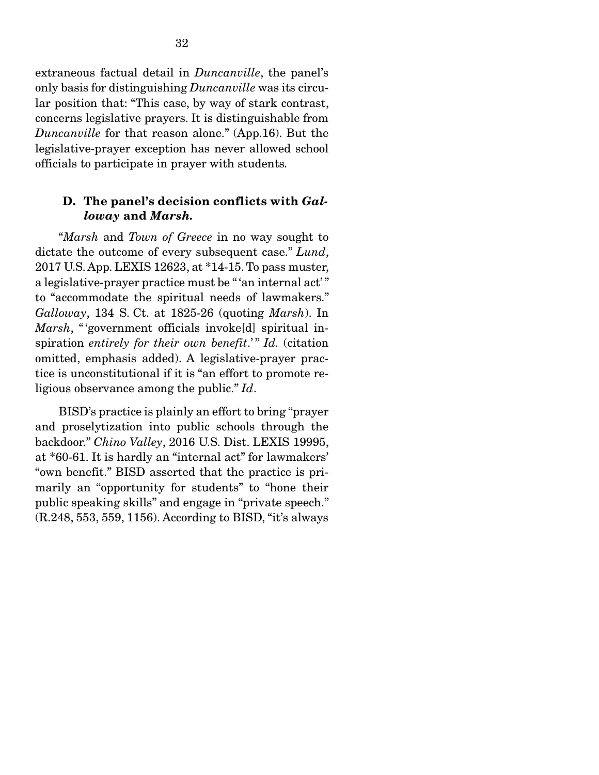extraneous factual detail in *Duncanville*, the panel's only basis for distinguishing *Duncanville* was its circular position that: "This case, by way of stark contrast, concerns legislative prayers. It is distinguishable from *Duncanville* for that reason alone." (App.16). But the legislative-prayer exception has never allowed school officials to participate in prayer with students*.* 

### D. The panel's decision conflicts with *Galloway* and *Marsh.*

 "*Marsh* and *Town of Greece* in no way sought to dictate the outcome of every subsequent case." *Lund*, 2017 U.S. App. LEXIS 12623, at \*14-15. To pass muster, a legislative-prayer practice must be " 'an internal act' " to "accommodate the spiritual needs of lawmakers." *Galloway*, 134 S. Ct. at 1825-26 (quoting *Marsh*). In *Marsh*, " 'government officials invoke[d] spiritual inspiration *entirely for their own benefit.*" *Id.* (citation omitted, emphasis added). A legislative-prayer practice is unconstitutional if it is "an effort to promote religious observance among the public." *Id*.

 BISD's practice is plainly an effort to bring "prayer and proselytization into public schools through the backdoor." *Chino Valley*, 2016 U.S. Dist. LEXIS 19995, at \*60-61. It is hardly an "internal act" for lawmakers' "own benefit." BISD asserted that the practice is primarily an "opportunity for students" to "hone their public speaking skills" and engage in "private speech." (R.248, 553, 559, 1156). According to BISD, "it's always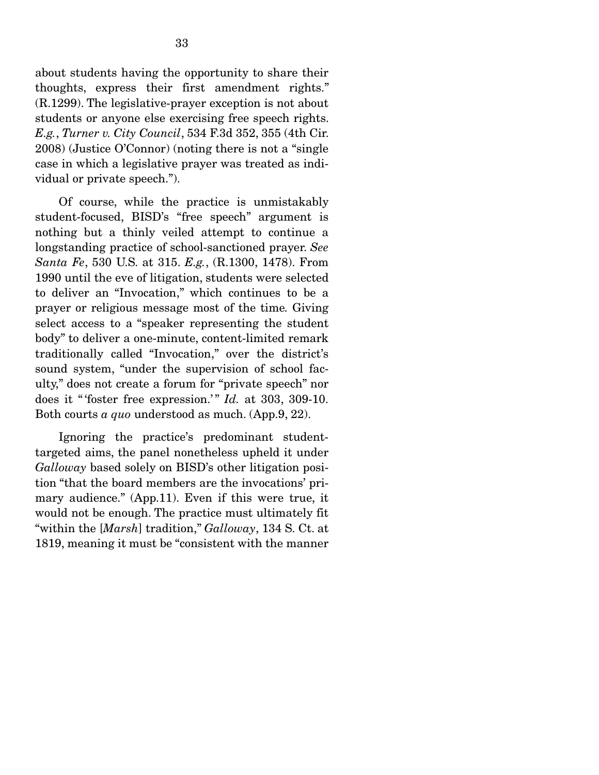about students having the opportunity to share their thoughts, express their first amendment rights." (R.1299). The legislative-prayer exception is not about students or anyone else exercising free speech rights. *E.g.*, *Turner v. City Council*, 534 F.3d 352, 355 (4th Cir. 2008) (Justice O'Connor) (noting there is not a "single case in which a legislative prayer was treated as individual or private speech.").

 Of course, while the practice is unmistakably student-focused, BISD's "free speech" argument is nothing but a thinly veiled attempt to continue a longstanding practice of school-sanctioned prayer. *See Santa Fe*, 530 U.S. at 315. *E.g.*, (R.1300, 1478). From 1990 until the eve of litigation, students were selected to deliver an "Invocation," which continues to be a prayer or religious message most of the time*.* Giving select access to a "speaker representing the student body" to deliver a one-minute, content-limited remark traditionally called "Invocation," over the district's sound system, "under the supervision of school faculty," does not create a forum for "private speech" nor does it "foster free expression." *Id.* at 303, 309-10. Both courts *a quo* understood as much. (App.9, 22).

 Ignoring the practice's predominant studenttargeted aims, the panel nonetheless upheld it under *Galloway* based solely on BISD's other litigation position "that the board members are the invocations' primary audience." (App.11). Even if this were true, it would not be enough. The practice must ultimately fit "within the [*Marsh*] tradition," *Galloway*, 134 S. Ct. at 1819, meaning it must be "consistent with the manner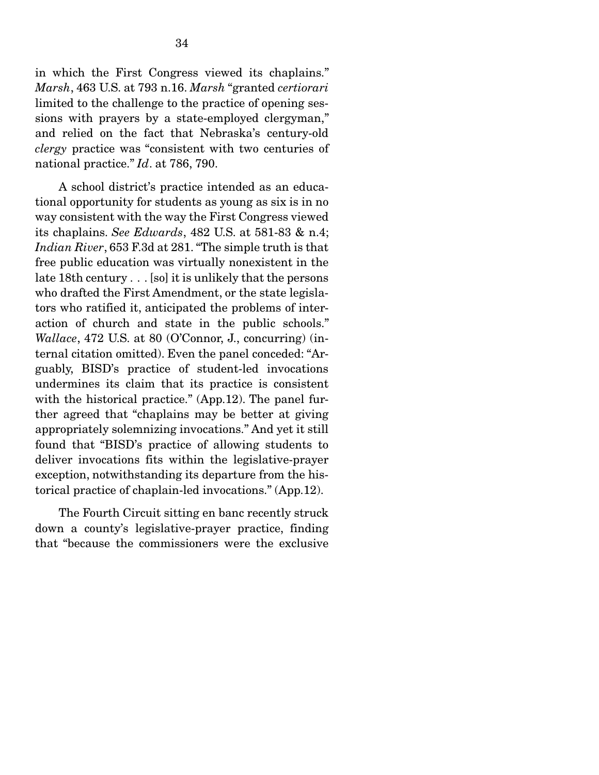in which the First Congress viewed its chaplains." *Marsh*, 463 U.S. at 793 n.16. *Marsh* "granted *certiorari* limited to the challenge to the practice of opening sessions with prayers by a state-employed clergyman," and relied on the fact that Nebraska's century-old *clergy* practice was "consistent with two centuries of national practice." *Id*. at 786, 790.

 A school district's practice intended as an educational opportunity for students as young as six is in no way consistent with the way the First Congress viewed its chaplains. *See Edwards*, 482 U.S. at 581-83 & n.4; *Indian River*, 653 F.3d at 281. "The simple truth is that free public education was virtually nonexistent in the late 18th century . . . [so] it is unlikely that the persons who drafted the First Amendment, or the state legislators who ratified it, anticipated the problems of interaction of church and state in the public schools." *Wallace*, 472 U.S. at 80 (O'Connor, J., concurring) (internal citation omitted). Even the panel conceded: "Arguably, BISD's practice of student-led invocations undermines its claim that its practice is consistent with the historical practice." (App.12). The panel further agreed that "chaplains may be better at giving appropriately solemnizing invocations." And yet it still found that "BISD's practice of allowing students to deliver invocations fits within the legislative-prayer exception, notwithstanding its departure from the historical practice of chaplain-led invocations." (App.12).

 The Fourth Circuit sitting en banc recently struck down a county's legislative-prayer practice, finding that "because the commissioners were the exclusive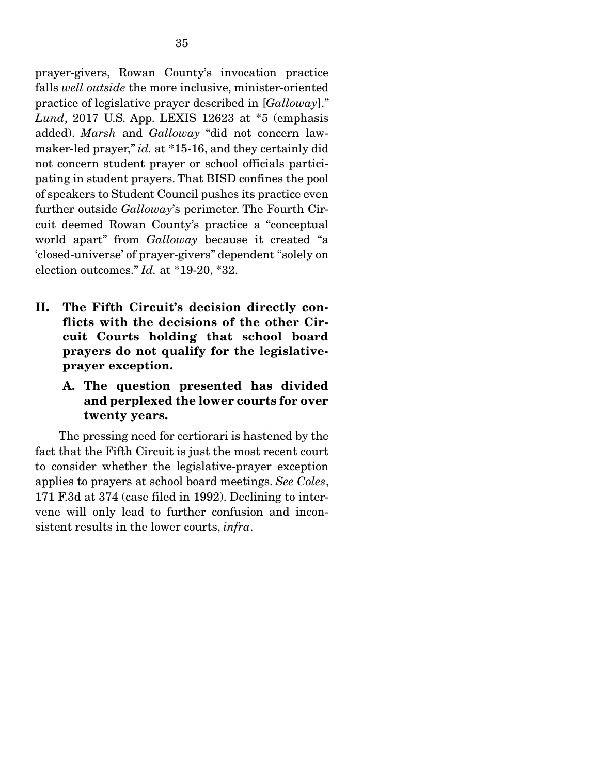prayer-givers, Rowan County's invocation practice falls *well outside* the more inclusive, minister-oriented practice of legislative prayer described in [*Galloway*]." *Lund*, 2017 U.S. App. LEXIS 12623 at \*5 (emphasis added). *Marsh* and *Galloway* "did not concern lawmaker-led prayer," *id.* at \*15-16, and they certainly did not concern student prayer or school officials participating in student prayers. That BISD confines the pool of speakers to Student Council pushes its practice even further outside *Galloway*'s perimeter. The Fourth Circuit deemed Rowan County's practice a "conceptual world apart" from *Galloway* because it created "a 'closed-universe' of prayer-givers" dependent "solely on election outcomes." *Id.* at \*19-20, \*32.

- II. The Fifth Circuit's decision directly conflicts with the decisions of the other Circuit Courts holding that school board prayers do not qualify for the legislativeprayer exception.
	- A. The question presented has divided and perplexed the lower courts for over twenty years.

 The pressing need for certiorari is hastened by the fact that the Fifth Circuit is just the most recent court to consider whether the legislative-prayer exception applies to prayers at school board meetings. *See Coles*, 171 F.3d at 374 (case filed in 1992). Declining to intervene will only lead to further confusion and inconsistent results in the lower courts, *infra*.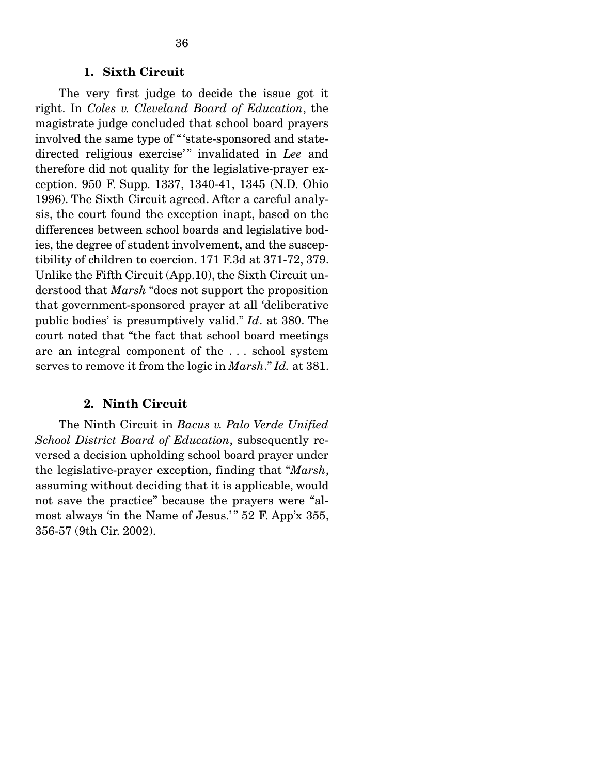#### 1. Sixth Circuit

 The very first judge to decide the issue got it right. In *Coles v. Cleveland Board of Education*, the magistrate judge concluded that school board prayers involved the same type of " 'state-sponsored and statedirected religious exercise'" invalidated in Lee and therefore did not quality for the legislative-prayer exception. 950 F. Supp. 1337, 1340-41, 1345 (N.D. Ohio 1996). The Sixth Circuit agreed. After a careful analysis, the court found the exception inapt, based on the differences between school boards and legislative bodies, the degree of student involvement, and the susceptibility of children to coercion. 171 F.3d at 371-72, 379. Unlike the Fifth Circuit (App.10), the Sixth Circuit understood that *Marsh* "does not support the proposition that government-sponsored prayer at all 'deliberative public bodies' is presumptively valid." *Id*. at 380. The court noted that "the fact that school board meetings are an integral component of the . . . school system serves to remove it from the logic in *Marsh*." *Id.* at 381.

#### 2. Ninth Circuit

 The Ninth Circuit in *Bacus v. Palo Verde Unified School District Board of Education*, subsequently reversed a decision upholding school board prayer under the legislative-prayer exception, finding that "*Marsh*, assuming without deciding that it is applicable, would not save the practice" because the prayers were "almost always 'in the Name of Jesus.'" 52 F. App'x 355, 356-57 (9th Cir. 2002).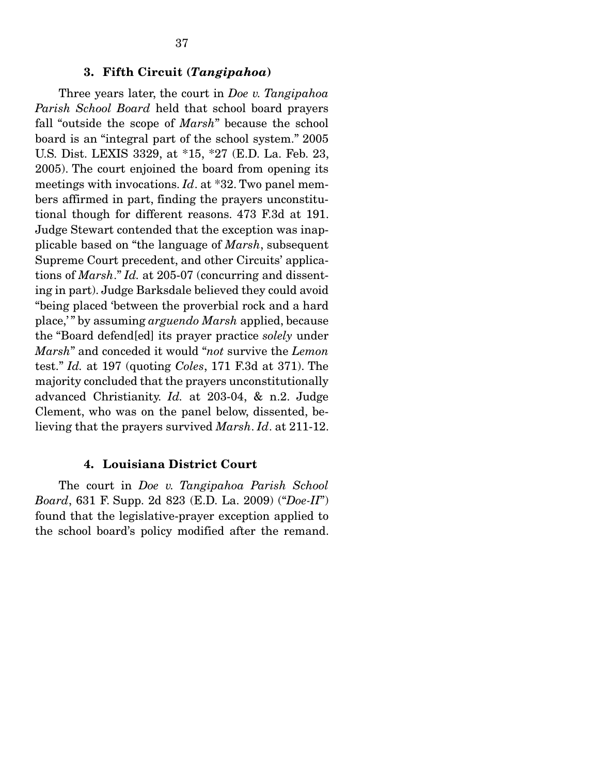#### 3. Fifth Circuit (*Tangipahoa*)

 Three years later, the court in *Doe v. Tangipahoa Parish School Board* held that school board prayers fall "outside the scope of *Marsh*" because the school board is an "integral part of the school system." 2005 U.S. Dist. LEXIS 3329, at \*15, \*27 (E.D. La. Feb. 23, 2005). The court enjoined the board from opening its meetings with invocations. *Id*. at \*32. Two panel members affirmed in part, finding the prayers unconstitutional though for different reasons. 473 F.3d at 191. Judge Stewart contended that the exception was inapplicable based on "the language of *Marsh*, subsequent Supreme Court precedent, and other Circuits' applications of *Marsh*." *Id.* at 205-07 (concurring and dissenting in part). Judge Barksdale believed they could avoid "being placed 'between the proverbial rock and a hard place,' " by assuming *arguendo Marsh* applied, because the "Board defend[ed] its prayer practice *solely* under *Marsh*" and conceded it would "*not* survive the *Lemon*  test." *Id.* at 197 (quoting *Coles*, 171 F.3d at 371). The majority concluded that the prayers unconstitutionally advanced Christianity. *Id.* at 203-04, & n.2. Judge Clement, who was on the panel below, dissented, believing that the prayers survived *Marsh*. *Id*. at 211-12.

### 4. Louisiana District Court

 The court in *Doe v. Tangipahoa Parish School Board*, 631 F. Supp. 2d 823 (E.D. La. 2009) ("*Doe-II*") found that the legislative-prayer exception applied to the school board's policy modified after the remand.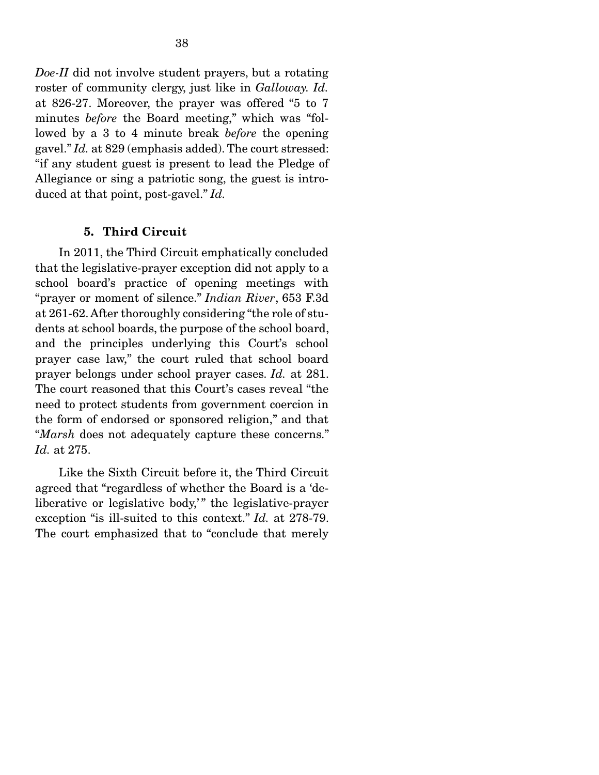*Doe-II* did not involve student prayers, but a rotating roster of community clergy, just like in *Galloway. Id.*  at 826-27. Moreover, the prayer was offered "5 to 7 minutes *before* the Board meeting," which was "followed by a 3 to 4 minute break *before* the opening gavel." *Id.* at 829 (emphasis added). The court stressed: "if any student guest is present to lead the Pledge of Allegiance or sing a patriotic song, the guest is introduced at that point, post-gavel." *Id.* 

### 5. Third Circuit

 In 2011, the Third Circuit emphatically concluded that the legislative-prayer exception did not apply to a school board's practice of opening meetings with "prayer or moment of silence." *Indian River*, 653 F.3d at 261-62. After thoroughly considering "the role of students at school boards, the purpose of the school board, and the principles underlying this Court's school prayer case law," the court ruled that school board prayer belongs under school prayer cases. *Id.* at 281. The court reasoned that this Court's cases reveal "the need to protect students from government coercion in the form of endorsed or sponsored religion," and that "*Marsh* does not adequately capture these concerns." *Id.* at 275.

 Like the Sixth Circuit before it, the Third Circuit agreed that "regardless of whether the Board is a 'deliberative or legislative body," the legislative-prayer exception "is ill-suited to this context." *Id.* at 278-79. The court emphasized that to "conclude that merely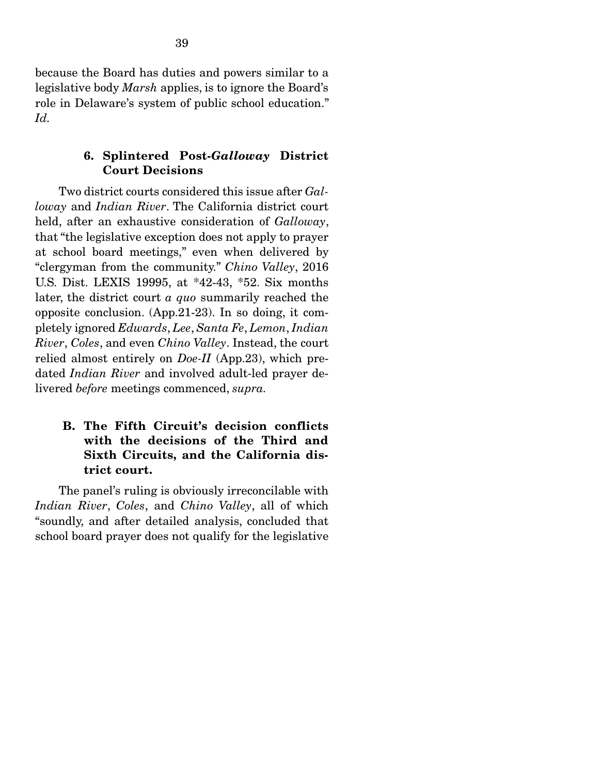because the Board has duties and powers similar to a legislative body *Marsh* applies, is to ignore the Board's role in Delaware's system of public school education." *Id.*

## 6. Splintered Post-*Galloway* District Court Decisions

 Two district courts considered this issue after *Galloway* and *Indian River*. The California district court held, after an exhaustive consideration of *Galloway*, that "the legislative exception does not apply to prayer at school board meetings," even when delivered by "clergyman from the community." *Chino Valley*, 2016 U.S. Dist. LEXIS 19995, at \*42-43, \*52. Six months later, the district court *a quo* summarily reached the opposite conclusion. (App.21-23). In so doing, it completely ignored *Edwards*, *Lee*, *Santa Fe*, *Lemon*, *Indian River*, *Coles*, and even *Chino Valley*. Instead, the court relied almost entirely on *Doe-II* (App.23), which predated *Indian River* and involved adult-led prayer delivered *before* meetings commenced, *supra.* 

# B. The Fifth Circuit's decision conflicts with the decisions of the Third and Sixth Circuits, and the California district court.

 The panel's ruling is obviously irreconcilable with *Indian River*, *Coles*, and *Chino Valley*, all of which "soundly, and after detailed analysis, concluded that school board prayer does not qualify for the legislative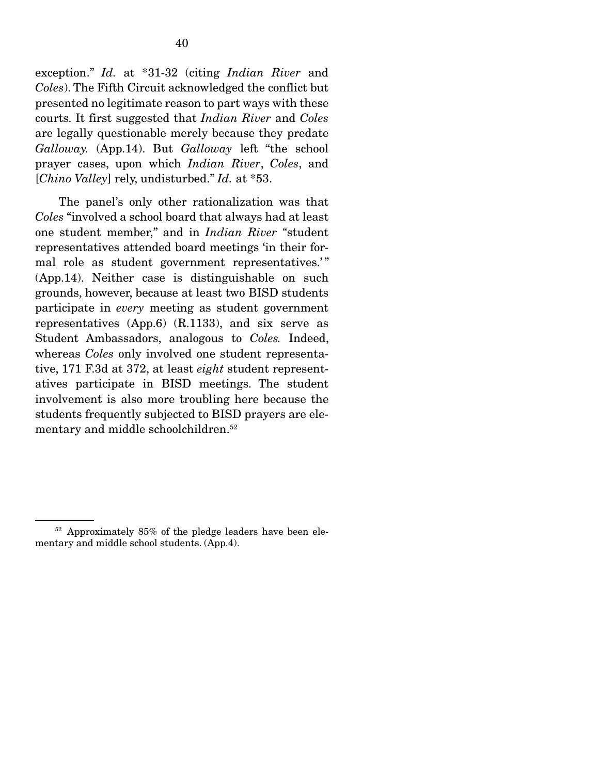exception." *Id.* at \*31-32 (citing *Indian River* and *Coles*). The Fifth Circuit acknowledged the conflict but presented no legitimate reason to part ways with these courts. It first suggested that *Indian River* and *Coles*  are legally questionable merely because they predate *Galloway.* (App.14). But *Galloway* left "the school prayer cases, upon which *Indian River*, *Coles*, and [*Chino Valley*] rely, undisturbed." *Id.* at \*53.

 The panel's only other rationalization was that *Coles* "involved a school board that always had at least one student member," and in *Indian River "*student representatives attended board meetings 'in their formal role as student government representatives." (App.14). Neither case is distinguishable on such grounds, however, because at least two BISD students participate in *every* meeting as student government representatives (App.6) (R.1133), and six serve as Student Ambassadors, analogous to *Coles.* Indeed, whereas *Coles* only involved one student representative, 171 F.3d at 372, at least *eight* student representatives participate in BISD meetings. The student involvement is also more troubling here because the students frequently subjected to BISD prayers are elementary and middle schoolchildren.52

<sup>52</sup> Approximately 85% of the pledge leaders have been elementary and middle school students. (App.4).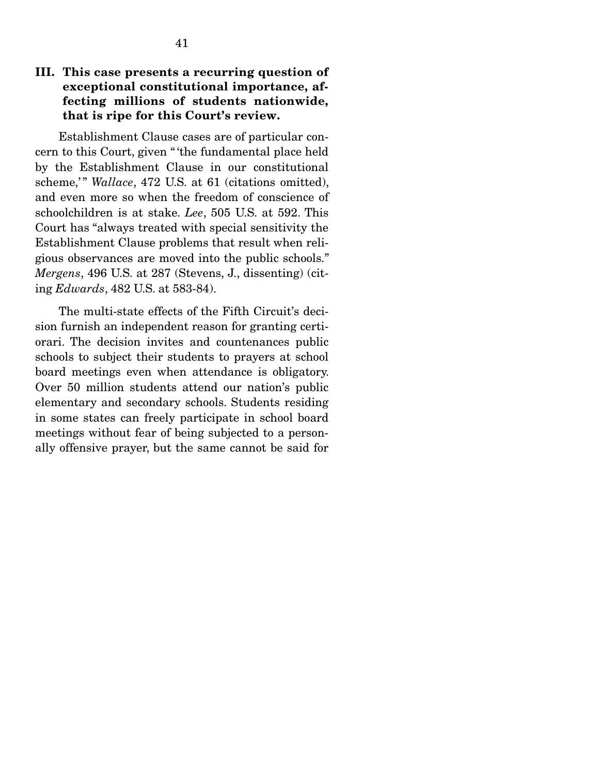Establishment Clause cases are of particular concern to this Court, given " 'the fundamental place held by the Establishment Clause in our constitutional scheme,'" *Wallace*, 472 U.S. at 61 (citations omitted), and even more so when the freedom of conscience of schoolchildren is at stake. *Lee*, 505 U.S. at 592. This Court has "always treated with special sensitivity the Establishment Clause problems that result when religious observances are moved into the public schools." *Mergens*, 496 U.S. at 287 (Stevens, J., dissenting) (citing *Edwards*, 482 U.S. at 583-84).

 The multi-state effects of the Fifth Circuit's decision furnish an independent reason for granting certiorari. The decision invites and countenances public schools to subject their students to prayers at school board meetings even when attendance is obligatory. Over 50 million students attend our nation's public elementary and secondary schools. Students residing in some states can freely participate in school board meetings without fear of being subjected to a personally offensive prayer, but the same cannot be said for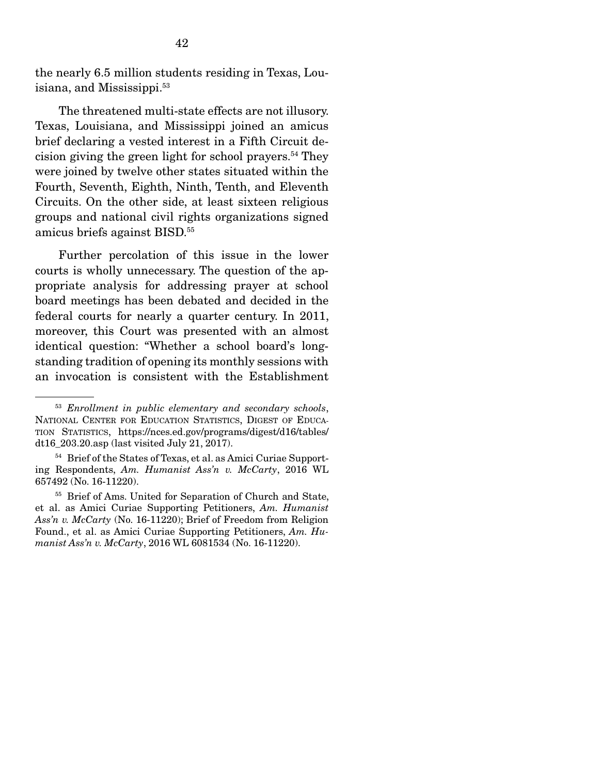the nearly 6.5 million students residing in Texas, Louisiana, and Mississippi.53

 The threatened multi-state effects are not illusory. Texas, Louisiana, and Mississippi joined an amicus brief declaring a vested interest in a Fifth Circuit decision giving the green light for school prayers.54 They were joined by twelve other states situated within the Fourth, Seventh, Eighth, Ninth, Tenth, and Eleventh Circuits. On the other side, at least sixteen religious groups and national civil rights organizations signed amicus briefs against BISD.55

 Further percolation of this issue in the lower courts is wholly unnecessary. The question of the appropriate analysis for addressing prayer at school board meetings has been debated and decided in the federal courts for nearly a quarter century. In 2011, moreover, this Court was presented with an almost identical question: "Whether a school board's longstanding tradition of opening its monthly sessions with an invocation is consistent with the Establishment

<sup>53</sup> *Enrollment in public elementary and secondary schools*, NATIONAL CENTER FOR EDUCATION STATISTICS, DIGEST OF EDUCA-TION STATISTICS, https://nces.ed.gov/programs/digest/d16/tables/ dt16\_203.20.asp (last visited July 21, 2017).

<sup>54</sup> Brief of the States of Texas, et al. as Amici Curiae Supporting Respondents, *Am. Humanist Ass'n v. McCarty*, 2016 WL 657492 (No. 16-11220).

<sup>55</sup> Brief of Ams. United for Separation of Church and State, et al. as Amici Curiae Supporting Petitioners, *Am. Humanist Ass'n v. McCarty* (No. 16-11220); Brief of Freedom from Religion Found., et al. as Amici Curiae Supporting Petitioners, *Am. Humanist Ass'n v. McCarty*, 2016 WL 6081534 (No. 16-11220).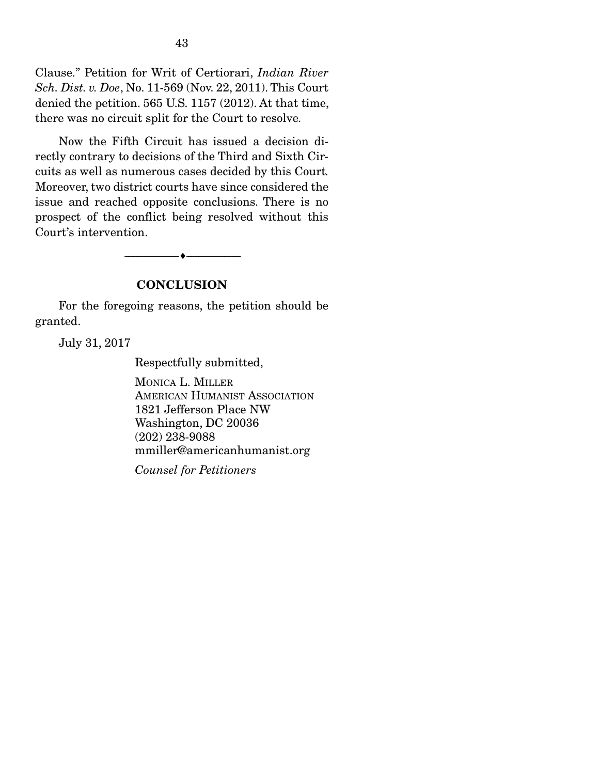Clause." Petition for Writ of Certiorari, *Indian River Sch. Dist. v. Doe*, No. 11-569 (Nov. 22, 2011). This Court denied the petition. 565 U.S. 1157 (2012). At that time, there was no circuit split for the Court to resolve*.* 

 Now the Fifth Circuit has issued a decision directly contrary to decisions of the Third and Sixth Circuits as well as numerous cases decided by this Court*.*  Moreover, two district courts have since considered the issue and reached opposite conclusions. There is no prospect of the conflict being resolved without this Court's intervention.

--------------------------------- ---------------------------------

### **CONCLUSION**

 For the foregoing reasons, the petition should be granted.

July 31, 2017

Respectfully submitted,

MONICA L. MILLER AMERICAN HUMANIST ASSOCIATION 1821 Jefferson Place NW Washington, DC 20036 (202) 238-9088 mmiller@americanhumanist.org

*Counsel for Petitioners*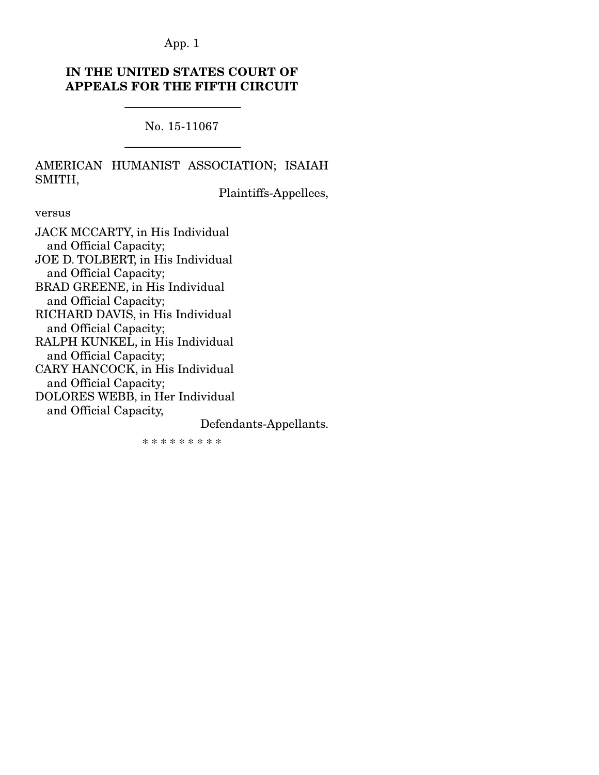# IN THE UNITED STATES COURT OF APPEALS FOR THE FIFTH CIRCUIT

No. 15-11067

-----------------------------------------------------------------------

-----------------------------------------------------------------------

# AMERICAN HUMANIST ASSOCIATION; ISAIAH SMITH,

Plaintiffs-Appellees,

versus

JACK MCCARTY, in His Individual and Official Capacity; JOE D. TOLBERT, in His Individual and Official Capacity; BRAD GREENE, in His Individual and Official Capacity; RICHARD DAVIS, in His Individual and Official Capacity; RALPH KUNKEL, in His Individual and Official Capacity; CARY HANCOCK, in His Individual and Official Capacity; DOLORES WEBB, in Her Individual and Official Capacity,

Defendants-Appellants.

\* \* \* \* \* \* \* \* \*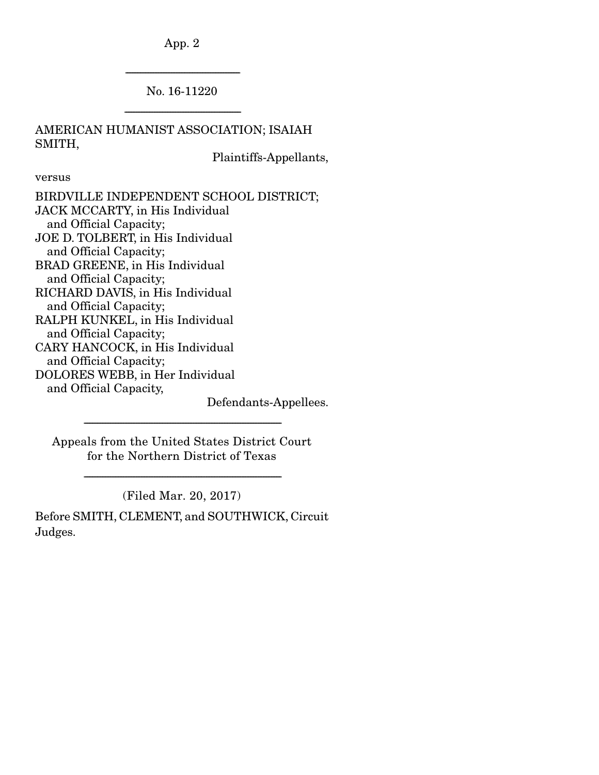---------------------------------------------------------------------- No. 16-11220

-----------------------------------------------------------------------

AMERICAN HUMANIST ASSOCIATION; ISAIAH SMITH,

Plaintiffs-Appellants,

versus

Defendants-Appellees.

Appeals from the United States District Court for the Northern District of Texas

-------------------------------------------------------------------------------------------------------------------------

(Filed Mar. 20, 2017)

-------------------------------------------------------------------------------------------------------------------------

Before SMITH, CLEMENT, and SOUTHWICK, Circuit Judges.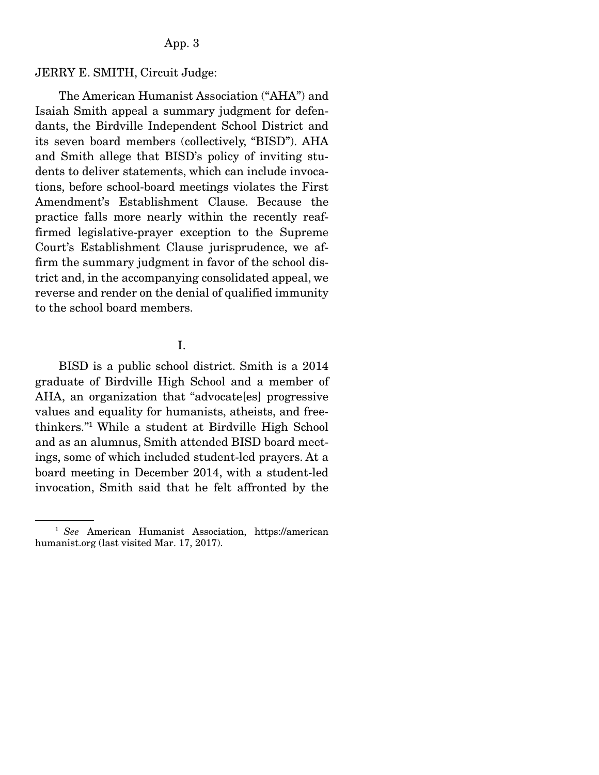#### JERRY E. SMITH, Circuit Judge:

 The American Humanist Association ("AHA") and Isaiah Smith appeal a summary judgment for defendants, the Birdville Independent School District and its seven board members (collectively, "BISD"). AHA and Smith allege that BISD's policy of inviting students to deliver statements, which can include invocations, before school-board meetings violates the First Amendment's Establishment Clause. Because the practice falls more nearly within the recently reaffirmed legislative-prayer exception to the Supreme Court's Establishment Clause jurisprudence, we affirm the summary judgment in favor of the school district and, in the accompanying consolidated appeal, we reverse and render on the denial of qualified immunity to the school board members.

### I.

 BISD is a public school district. Smith is a 2014 graduate of Birdville High School and a member of AHA, an organization that "advocate[es] progressive values and equality for humanists, atheists, and freethinkers."1 While a student at Birdville High School and as an alumnus, Smith attended BISD board meetings, some of which included student-led prayers. At a board meeting in December 2014, with a student-led invocation, Smith said that he felt affronted by the

<sup>1</sup> *See* American Humanist Association, https://american humanist.org (last visited Mar. 17, 2017).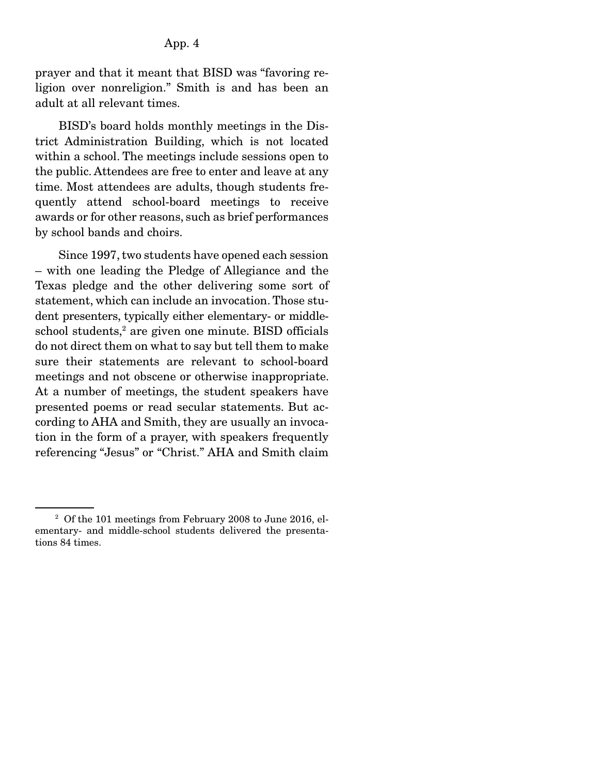prayer and that it meant that BISD was "favoring religion over nonreligion." Smith is and has been an adult at all relevant times.

 BISD's board holds monthly meetings in the District Administration Building, which is not located within a school. The meetings include sessions open to the public. Attendees are free to enter and leave at any time. Most attendees are adults, though students frequently attend school-board meetings to receive awards or for other reasons, such as brief performances by school bands and choirs.

 Since 1997, two students have opened each session – with one leading the Pledge of Allegiance and the Texas pledge and the other delivering some sort of statement, which can include an invocation. Those student presenters, typically either elementary- or middleschool students,<sup>2</sup> are given one minute. BISD officials do not direct them on what to say but tell them to make sure their statements are relevant to school-board meetings and not obscene or otherwise inappropriate. At a number of meetings, the student speakers have presented poems or read secular statements. But according to AHA and Smith, they are usually an invocation in the form of a prayer, with speakers frequently referencing "Jesus" or "Christ." AHA and Smith claim

<sup>&</sup>lt;sup>2</sup> Of the 101 meetings from February 2008 to June 2016, elementary- and middle-school students delivered the presentations 84 times.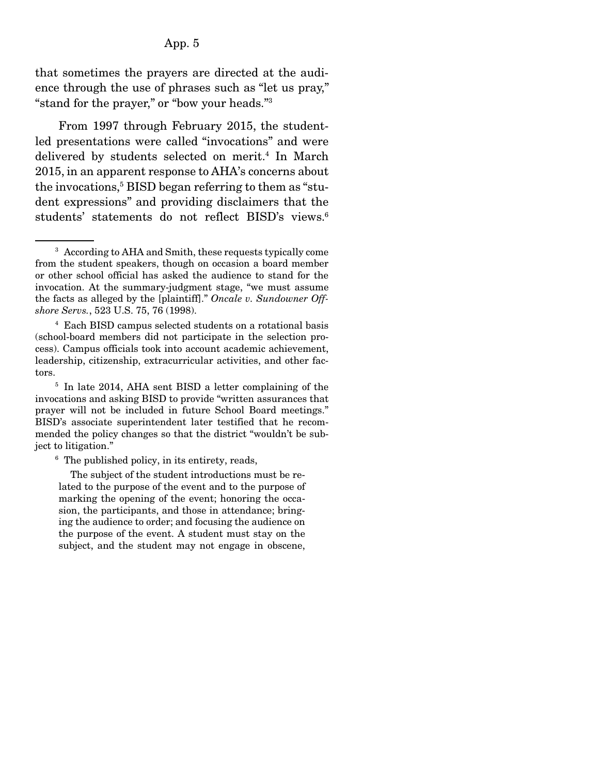that sometimes the prayers are directed at the audience through the use of phrases such as "let us pray," "stand for the prayer," or "bow your heads."3

 From 1997 through February 2015, the studentled presentations were called "invocations" and were delivered by students selected on merit.<sup>4</sup> In March 2015, in an apparent response to AHA's concerns about the invocations,<sup>5</sup> BISD began referring to them as "student expressions" and providing disclaimers that the students' statements do not reflect BISD's views.<sup>6</sup>

6 The published policy, in its entirety, reads,

 The subject of the student introductions must be related to the purpose of the event and to the purpose of marking the opening of the event; honoring the occasion, the participants, and those in attendance; bringing the audience to order; and focusing the audience on the purpose of the event. A student must stay on the subject, and the student may not engage in obscene,

<sup>&</sup>lt;sup>3</sup> According to AHA and Smith, these requests typically come from the student speakers, though on occasion a board member or other school official has asked the audience to stand for the invocation. At the summary-judgment stage, "we must assume the facts as alleged by the [plaintiff]." *Oncale v. Sundowner Offshore Servs.*, 523 U.S. 75, 76 (1998).

<sup>4</sup> Each BISD campus selected students on a rotational basis (school-board members did not participate in the selection process). Campus officials took into account academic achievement, leadership, citizenship, extracurricular activities, and other factors.

<sup>5</sup> In late 2014, AHA sent BISD a letter complaining of the invocations and asking BISD to provide "written assurances that prayer will not be included in future School Board meetings." BISD's associate superintendent later testified that he recommended the policy changes so that the district "wouldn't be subject to litigation."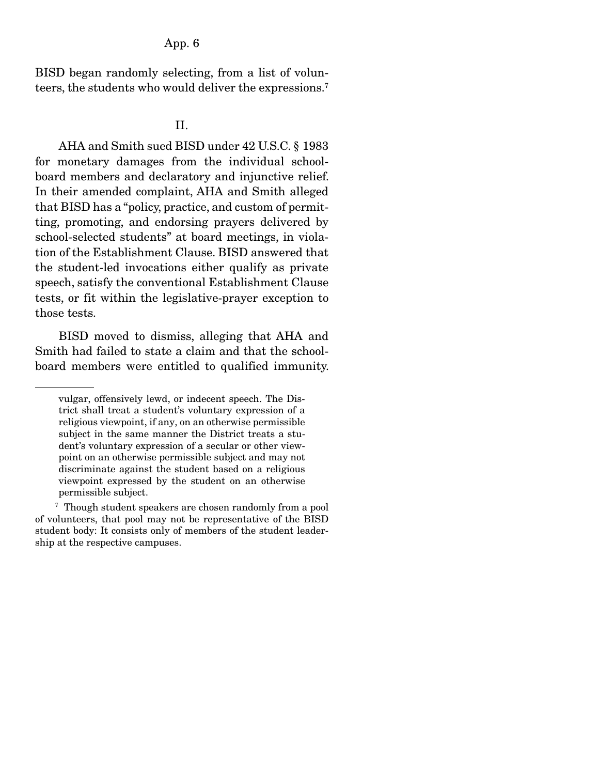BISD began randomly selecting, from a list of volunteers, the students who would deliver the expressions.7

#### II.

 AHA and Smith sued BISD under 42 U.S.C. § 1983 for monetary damages from the individual schoolboard members and declaratory and injunctive relief. In their amended complaint, AHA and Smith alleged that BISD has a "policy, practice, and custom of permitting, promoting, and endorsing prayers delivered by school-selected students" at board meetings, in violation of the Establishment Clause. BISD answered that the student-led invocations either qualify as private speech, satisfy the conventional Establishment Clause tests, or fit within the legislative-prayer exception to those tests.

 BISD moved to dismiss, alleging that AHA and Smith had failed to state a claim and that the schoolboard members were entitled to qualified immunity.

vulgar, offensively lewd, or indecent speech. The District shall treat a student's voluntary expression of a religious viewpoint, if any, on an otherwise permissible subject in the same manner the District treats a student's voluntary expression of a secular or other viewpoint on an otherwise permissible subject and may not discriminate against the student based on a religious viewpoint expressed by the student on an otherwise permissible subject.

<sup>7</sup> Though student speakers are chosen randomly from a pool of volunteers, that pool may not be representative of the BISD student body: It consists only of members of the student leadership at the respective campuses.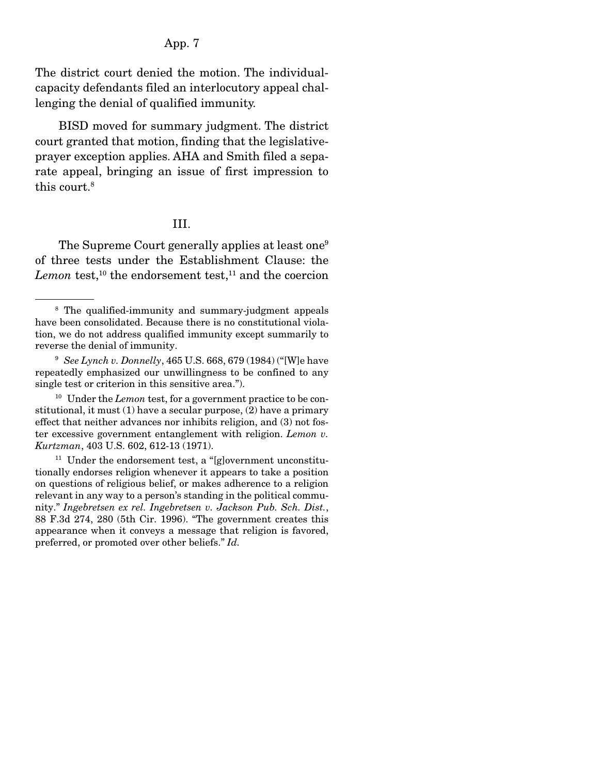The district court denied the motion. The individualcapacity defendants filed an interlocutory appeal challenging the denial of qualified immunity.

 BISD moved for summary judgment. The district court granted that motion, finding that the legislativeprayer exception applies. AHA and Smith filed a separate appeal, bringing an issue of first impression to this court.<sup>8</sup>

### III.

The Supreme Court generally applies at least one<sup>9</sup> of three tests under the Establishment Clause: the  $Lemon$  test,<sup>10</sup> the endorsement test,<sup>11</sup> and the coercion

<sup>8</sup> The qualified-immunity and summary-judgment appeals have been consolidated. Because there is no constitutional violation, we do not address qualified immunity except summarily to reverse the denial of immunity.

<sup>9</sup> *See Lynch v. Donnelly*, 465 U.S. 668, 679 (1984) ("[W]e have repeatedly emphasized our unwillingness to be confined to any single test or criterion in this sensitive area.").

<sup>&</sup>lt;sup>10</sup> Under the *Lemon* test, for a government practice to be constitutional, it must (1) have a secular purpose, (2) have a primary effect that neither advances nor inhibits religion, and (3) not foster excessive government entanglement with religion. *Lemon v. Kurtzman*, 403 U.S. 602, 612-13 (1971).

 $11$  Under the endorsement test, a "[g]overnment unconstitutionally endorses religion whenever it appears to take a position on questions of religious belief, or makes adherence to a religion relevant in any way to a person's standing in the political community." *Ingebretsen ex rel. Ingebretsen v. Jackson Pub. Sch. Dist.*, 88 F.3d 274, 280 (5th Cir. 1996). "The government creates this appearance when it conveys a message that religion is favored, preferred, or promoted over other beliefs." *Id.*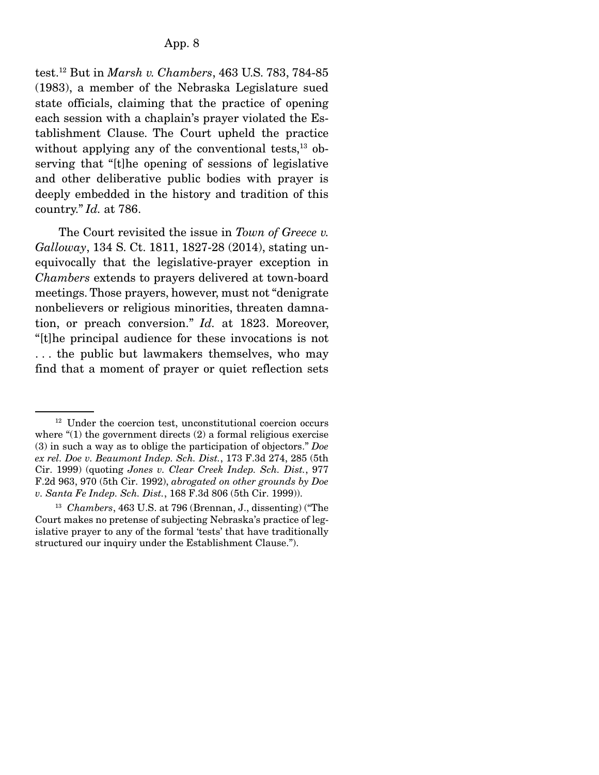test.12 But in *Marsh v. Chambers*, 463 U.S. 783, 784-85 (1983), a member of the Nebraska Legislature sued state officials, claiming that the practice of opening each session with a chaplain's prayer violated the Establishment Clause. The Court upheld the practice without applying any of the conventional tests, $^{13}$  observing that "[t]he opening of sessions of legislative and other deliberative public bodies with prayer is deeply embedded in the history and tradition of this country." *Id.* at 786.

 The Court revisited the issue in *Town of Greece v. Galloway*, 134 S. Ct. 1811, 1827-28 (2014), stating unequivocally that the legislative-prayer exception in *Chambers* extends to prayers delivered at town-board meetings. Those prayers, however, must not "denigrate nonbelievers or religious minorities, threaten damnation, or preach conversion." *Id.* at 1823. Moreover, "[t]he principal audience for these invocations is not . . . the public but lawmakers themselves, who may find that a moment of prayer or quiet reflection sets

<sup>&</sup>lt;sup>12</sup> Under the coercion test, unconstitutional coercion occurs where "(1) the government directs (2) a formal religious exercise (3) in such a way as to oblige the participation of objectors." *Doe ex rel. Doe v. Beaumont Indep. Sch. Dist.*, 173 F.3d 274, 285 (5th Cir. 1999) (quoting *Jones v. Clear Creek Indep. Sch. Dist.*, 977 F.2d 963, 970 (5th Cir. 1992), *abrogated on other grounds by Doe v. Santa Fe Indep. Sch. Dist.*, 168 F.3d 806 (5th Cir. 1999)).

<sup>13</sup> *Chambers*, 463 U.S. at 796 (Brennan, J., dissenting) ("The Court makes no pretense of subjecting Nebraska's practice of legislative prayer to any of the formal 'tests' that have traditionally structured our inquiry under the Establishment Clause.").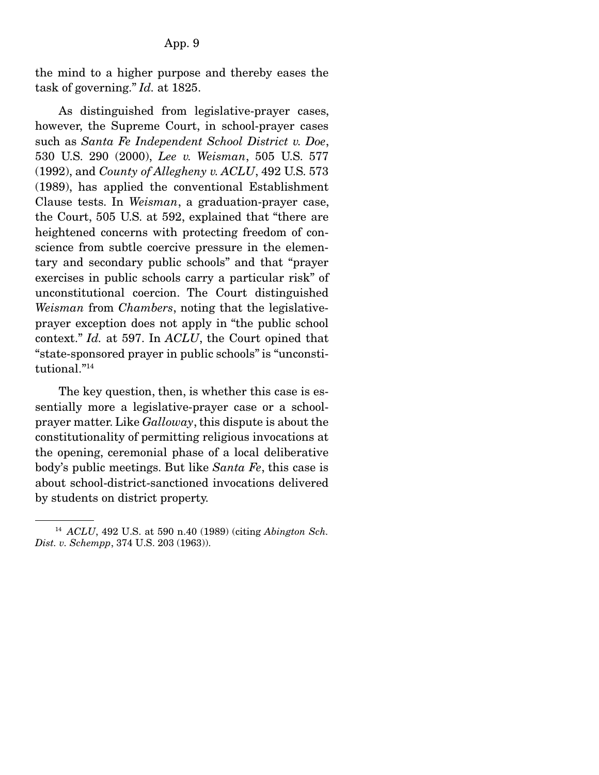the mind to a higher purpose and thereby eases the task of governing." *Id.* at 1825.

 As distinguished from legislative-prayer cases, however, the Supreme Court, in school-prayer cases such as *Santa Fe Independent School District v. Doe*, 530 U.S. 290 (2000), *Lee v. Weisman*, 505 U.S. 577 (1992), and *County of Allegheny v. ACLU*, 492 U.S. 573 (1989), has applied the conventional Establishment Clause tests. In *Weisman*, a graduation-prayer case, the Court, 505 U.S. at 592, explained that "there are heightened concerns with protecting freedom of conscience from subtle coercive pressure in the elementary and secondary public schools" and that "prayer exercises in public schools carry a particular risk" of unconstitutional coercion. The Court distinguished *Weisman* from *Chambers*, noting that the legislativeprayer exception does not apply in "the public school context." *Id.* at 597. In *ACLU*, the Court opined that "state-sponsored prayer in public schools" is "unconstitutional."14

 The key question, then, is whether this case is essentially more a legislative-prayer case or a schoolprayer matter. Like *Galloway*, this dispute is about the constitutionality of permitting religious invocations at the opening, ceremonial phase of a local deliberative body's public meetings. But like *Santa Fe*, this case is about school-district-sanctioned invocations delivered by students on district property.

<sup>14</sup> *ACLU*, 492 U.S. at 590 n.40 (1989) (citing *Abington Sch. Dist. v. Schempp*, 374 U.S. 203 (1963)).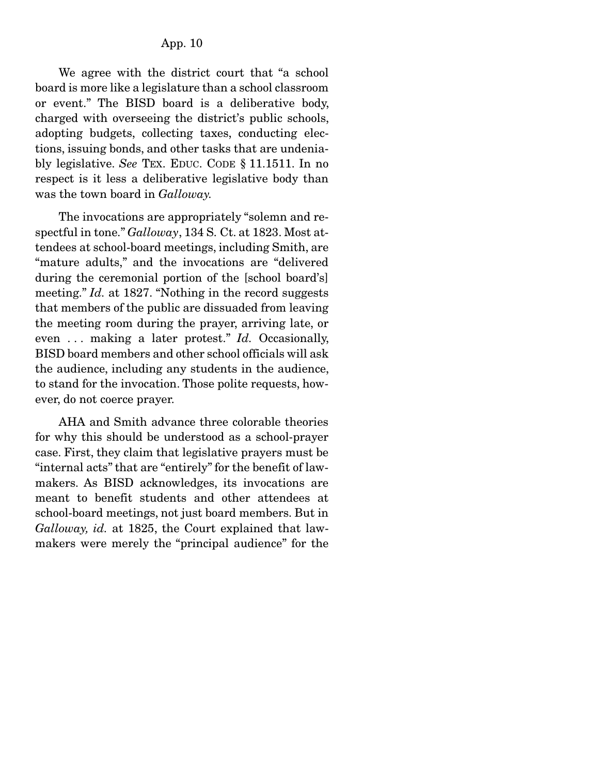We agree with the district court that "a school board is more like a legislature than a school classroom or event." The BISD board is a deliberative body, charged with overseeing the district's public schools, adopting budgets, collecting taxes, conducting elections, issuing bonds, and other tasks that are undeniably legislative. *See* TEX. EDUC. CODE § 11.1511. In no respect is it less a deliberative legislative body than was the town board in *Galloway.* 

The invocations are appropriately "solemn and respectful in tone." *Galloway*, 134 S. Ct. at 1823. Most attendees at school-board meetings, including Smith, are "mature adults," and the invocations are "delivered during the ceremonial portion of the [school board's] meeting." *Id.* at 1827. "Nothing in the record suggests that members of the public are dissuaded from leaving the meeting room during the prayer, arriving late, or even . . . making a later protest." *Id.* Occasionally, BISD board members and other school officials will ask the audience, including any students in the audience, to stand for the invocation. Those polite requests, however, do not coerce prayer.

 AHA and Smith advance three colorable theories for why this should be understood as a school-prayer case. First, they claim that legislative prayers must be "internal acts" that are "entirely" for the benefit of lawmakers. As BISD acknowledges, its invocations are meant to benefit students and other attendees at school-board meetings, not just board members. But in *Galloway, id.* at 1825, the Court explained that lawmakers were merely the "principal audience" for the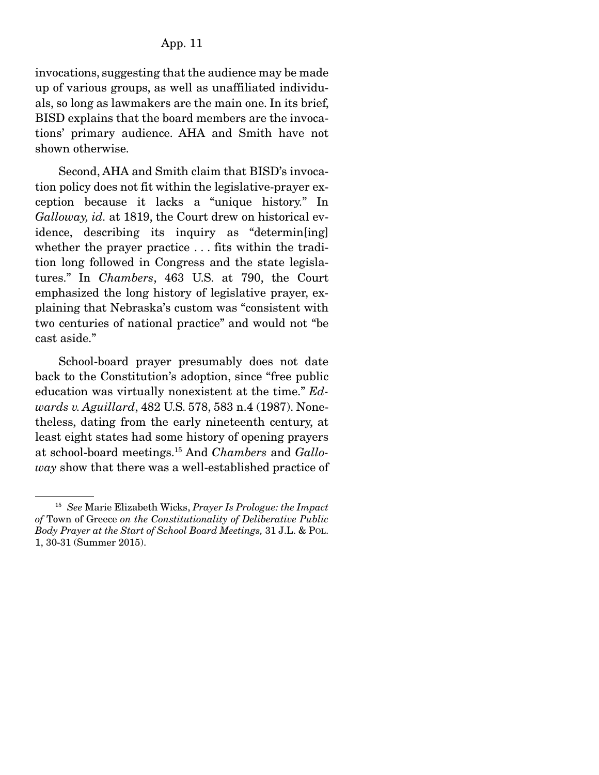invocations, suggesting that the audience may be made up of various groups, as well as unaffiliated individuals, so long as lawmakers are the main one. In its brief, BISD explains that the board members are the invocations' primary audience. AHA and Smith have not shown otherwise.

 Second, AHA and Smith claim that BISD's invocation policy does not fit within the legislative-prayer exception because it lacks a "unique history." In *Galloway, id.* at 1819, the Court drew on historical evidence, describing its inquiry as "determin[ing] whether the prayer practice . . . fits within the tradition long followed in Congress and the state legislatures." In *Chambers*, 463 U.S. at 790, the Court emphasized the long history of legislative prayer, explaining that Nebraska's custom was "consistent with two centuries of national practice" and would not "be cast aside."

 School-board prayer presumably does not date back to the Constitution's adoption, since "free public education was virtually nonexistent at the time." *Edwards v. Aguillard*, 482 U.S. 578, 583 n.4 (1987). Nonetheless, dating from the early nineteenth century, at least eight states had some history of opening prayers at school-board meetings.15 And *Chambers* and *Galloway* show that there was a well-established practice of

<sup>15</sup> *See* Marie Elizabeth Wicks, *Prayer Is Prologue: the Impact of* Town of Greece *on the Constitutionality of Deliberative Public Body Prayer at the Start of School Board Meetings,* 31 J.L. & POL. 1, 30-31 (Summer 2015).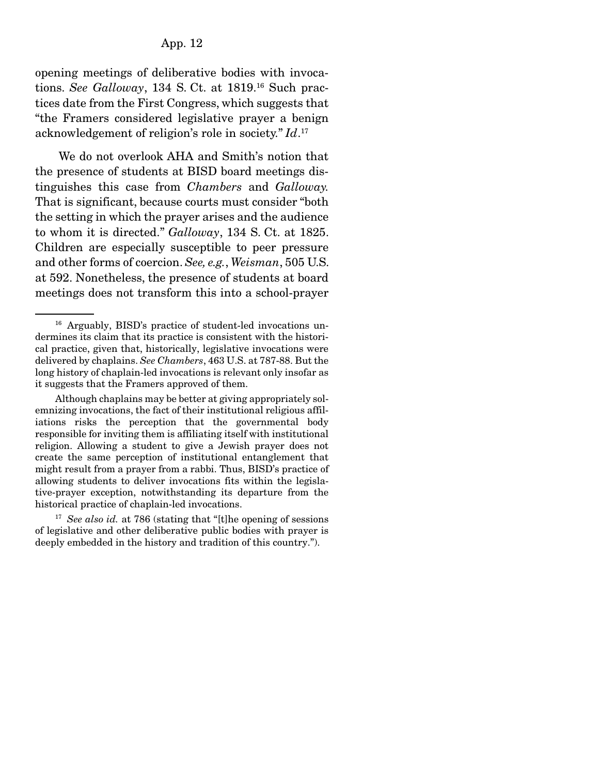opening meetings of deliberative bodies with invocations. *See Galloway*, 134 S. Ct. at 1819.16 Such practices date from the First Congress, which suggests that "the Framers considered legislative prayer a benign acknowledgement of religion's role in society." *Id*. 17

 We do not overlook AHA and Smith's notion that the presence of students at BISD board meetings distinguishes this case from *Chambers* and *Galloway.*  That is significant, because courts must consider "both the setting in which the prayer arises and the audience to whom it is directed." *Galloway*, 134 S. Ct. at 1825. Children are especially susceptible to peer pressure and other forms of coercion. *See, e.g.*, *Weisman*, 505 U.S. at 592. Nonetheless, the presence of students at board meetings does not transform this into a school-prayer

<sup>16</sup> Arguably, BISD's practice of student-led invocations undermines its claim that its practice is consistent with the historical practice, given that, historically, legislative invocations were delivered by chaplains. *See Chambers*, 463 U.S. at 787-88. But the long history of chaplain-led invocations is relevant only insofar as it suggests that the Framers approved of them.

Although chaplains may be better at giving appropriately solemnizing invocations, the fact of their institutional religious affiliations risks the perception that the governmental body responsible for inviting them is affiliating itself with institutional religion. Allowing a student to give a Jewish prayer does not create the same perception of institutional entanglement that might result from a prayer from a rabbi. Thus, BISD's practice of allowing students to deliver invocations fits within the legislative-prayer exception, notwithstanding its departure from the historical practice of chaplain-led invocations.

<sup>&</sup>lt;sup>17</sup> *See also id.* at 786 (stating that "[t]he opening of sessions of legislative and other deliberative public bodies with prayer is deeply embedded in the history and tradition of this country.").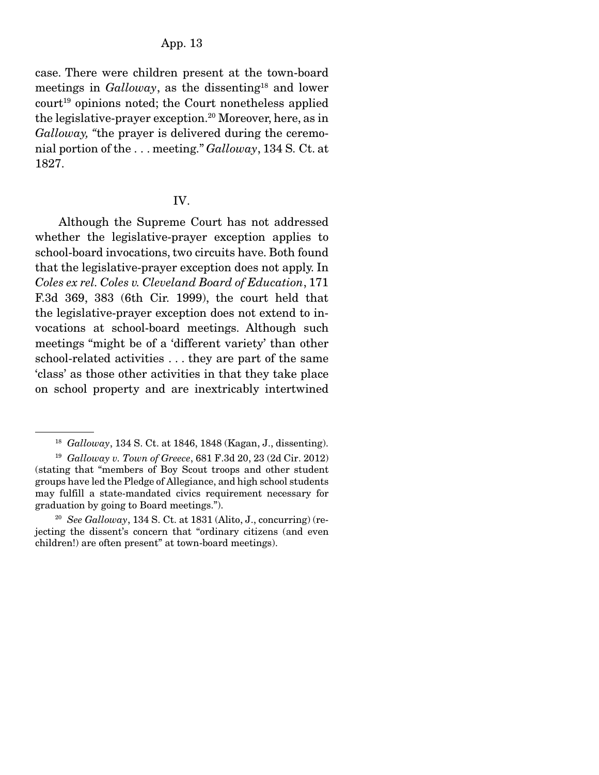case. There were children present at the town-board meetings in *Galloway*, as the dissenting<sup>18</sup> and lower  $court<sup>19</sup> opinions noted: the Court nonetheless applied$ the legislative-prayer exception.<sup>20</sup> Moreover, here, as in *Galloway, "*the prayer is delivered during the ceremonial portion of the . . . meeting." *Galloway*, 134 S. Ct. at 1827.

#### IV.

 Although the Supreme Court has not addressed whether the legislative-prayer exception applies to school-board invocations, two circuits have. Both found that the legislative-prayer exception does not apply. In *Coles ex rel. Coles v. Cleveland Board of Education*, 171 F.3d 369, 383 (6th Cir. 1999), the court held that the legislative-prayer exception does not extend to invocations at school-board meetings. Although such meetings "might be of a 'different variety' than other school-related activities . . . they are part of the same 'class' as those other activities in that they take place on school property and are inextricably intertwined

<sup>18</sup> *Galloway*, 134 S. Ct. at 1846, 1848 (Kagan, J., dissenting).

<sup>19</sup> *Galloway v. Town of Greece*, 681 F.3d 20, 23 (2d Cir. 2012) (stating that "members of Boy Scout troops and other student groups have led the Pledge of Allegiance, and high school students may fulfill a state-mandated civics requirement necessary for graduation by going to Board meetings.").

<sup>20</sup> *See Galloway*, 134 S. Ct. at 1831 (Alito, J., concurring) (rejecting the dissent's concern that "ordinary citizens (and even children!) are often present" at town-board meetings).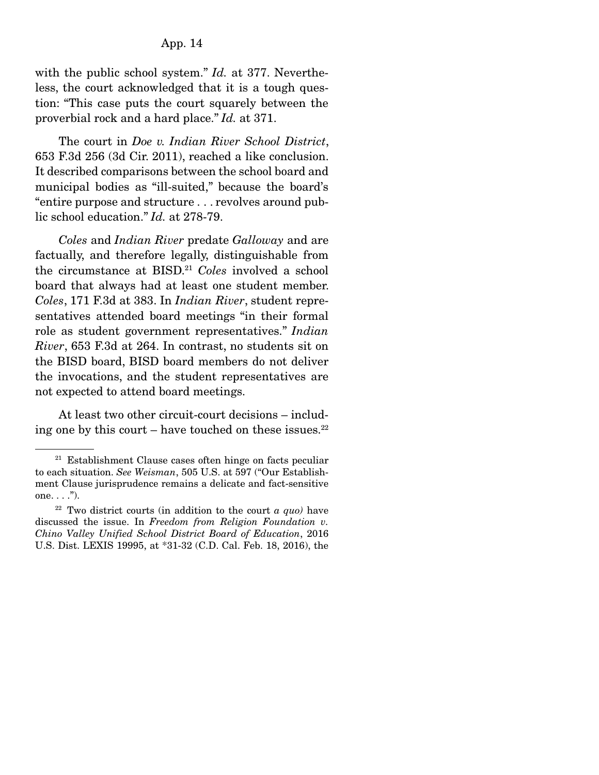with the public school system." *Id.* at 377. Nevertheless, the court acknowledged that it is a tough question: "This case puts the court squarely between the proverbial rock and a hard place." *Id.* at 371.

 The court in *Doe v. Indian River School District*, 653 F.3d 256 (3d Cir. 2011), reached a like conclusion. It described comparisons between the school board and municipal bodies as "ill-suited," because the board's "entire purpose and structure . . . revolves around public school education." *Id.* at 278-79.

*Coles* and *Indian River* predate *Galloway* and are factually, and therefore legally, distinguishable from the circumstance at BISD.21 *Coles* involved a school board that always had at least one student member. *Coles*, 171 F.3d at 383. In *Indian River*, student representatives attended board meetings "in their formal role as student government representatives." *Indian River*, 653 F.3d at 264. In contrast, no students sit on the BISD board, BISD board members do not deliver the invocations, and the student representatives are not expected to attend board meetings.

 At least two other circuit-court decisions – including one by this court – have touched on these issues. $22$ 

 $21$  Establishment Clause cases often hinge on facts peculiar to each situation. *See Weisman*, 505 U.S. at 597 ("Our Establishment Clause jurisprudence remains a delicate and fact-sensitive one.  $\ldots$ ").

 $22$  Two district courts (in addition to the court  $a$  *quo)* have discussed the issue. In *Freedom from Religion Foundation v. Chino Valley Unified School District Board of Education*, 2016 U.S. Dist. LEXIS 19995, at \*31-32 (C.D. Cal. Feb. 18, 2016), the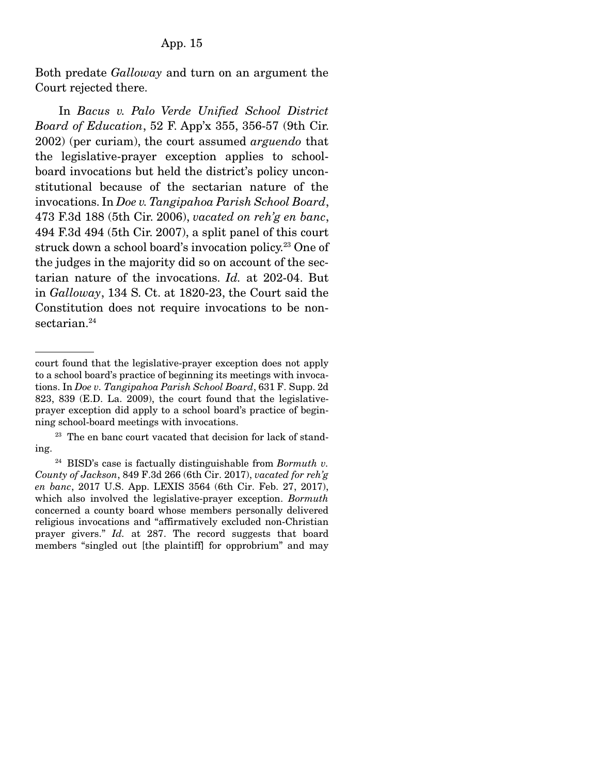Both predate *Galloway* and turn on an argument the Court rejected there.

 In *Bacus v. Palo Verde Unified School District Board of Education*, 52 F. App'x 355, 356-57 (9th Cir. 2002) (per curiam), the court assumed *arguendo* that the legislative-prayer exception applies to schoolboard invocations but held the district's policy unconstitutional because of the sectarian nature of the invocations. In *Doe v. Tangipahoa Parish School Board*, 473 F.3d 188 (5th Cir. 2006), *vacated on reh'g en banc*, 494 F.3d 494 (5th Cir. 2007), a split panel of this court struck down a school board's invocation policy.<sup>23</sup> One of the judges in the majority did so on account of the sectarian nature of the invocations. *Id.* at 202-04. But in *Galloway*, 134 S. Ct. at 1820-23, the Court said the Constitution does not require invocations to be nonsectarian.<sup>24</sup>

court found that the legislative-prayer exception does not apply to a school board's practice of beginning its meetings with invocations. In *Doe v. Tangipahoa Parish School Board*, 631 F. Supp. 2d 823, 839 (E.D. La. 2009), the court found that the legislativeprayer exception did apply to a school board's practice of beginning school-board meetings with invocations.

<sup>&</sup>lt;sup>23</sup> The en banc court vacated that decision for lack of standing.

<sup>24</sup> BISD's case is factually distinguishable from *Bormuth v. County of Jackson*, 849 F.3d 266 (6th Cir. 2017), *vacated for reh'g en banc*, 2017 U.S. App. LEXIS 3564 (6th Cir. Feb. 27, 2017), which also involved the legislative-prayer exception. *Bormuth*  concerned a county board whose members personally delivered religious invocations and "affirmatively excluded non-Christian prayer givers." *Id.* at 287. The record suggests that board members "singled out [the plaintiff] for opprobrium" and may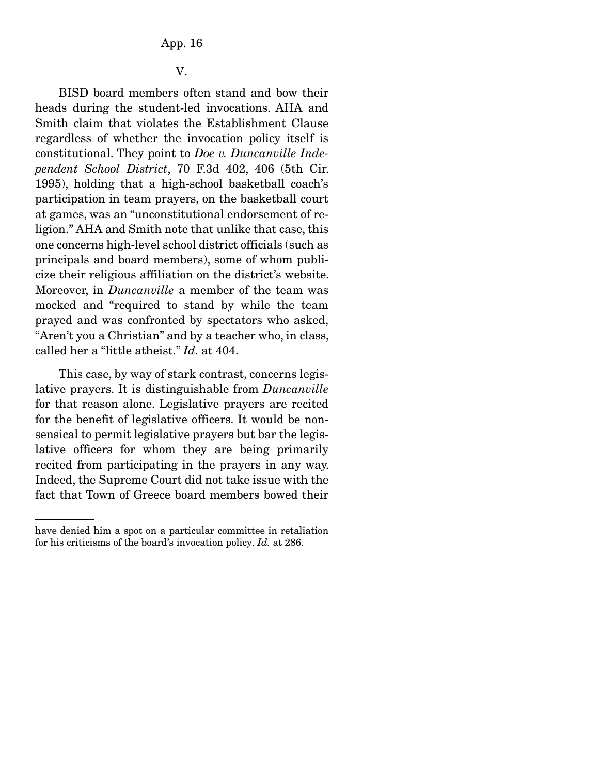### V.

 BISD board members often stand and bow their heads during the student-led invocations. AHA and Smith claim that violates the Establishment Clause regardless of whether the invocation policy itself is constitutional. They point to *Doe v. Duncanville Independent School District*, 70 F.3d 402, 406 (5th Cir. 1995), holding that a high-school basketball coach's participation in team prayers, on the basketball court at games, was an "unconstitutional endorsement of religion." AHA and Smith note that unlike that case, this one concerns high-level school district officials (such as principals and board members), some of whom publicize their religious affiliation on the district's website. Moreover, in *Duncanville* a member of the team was mocked and "required to stand by while the team prayed and was confronted by spectators who asked, "Aren't you a Christian" and by a teacher who, in class, called her a "little atheist." *Id.* at 404.

 This case, by way of stark contrast, concerns legislative prayers. It is distinguishable from *Duncanville*  for that reason alone. Legislative prayers are recited for the benefit of legislative officers. It would be nonsensical to permit legislative prayers but bar the legislative officers for whom they are being primarily recited from participating in the prayers in any way. Indeed, the Supreme Court did not take issue with the fact that Town of Greece board members bowed their

have denied him a spot on a particular committee in retaliation for his criticisms of the board's invocation policy. *Id.* at 286.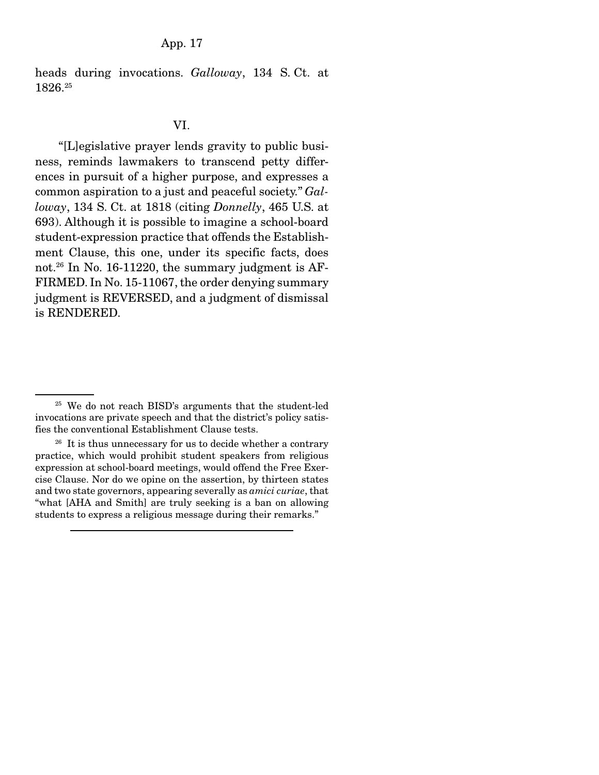heads during invocations. *Galloway*, 134 S. Ct. at 1826.25

### VI.

 "[L]egislative prayer lends gravity to public business, reminds lawmakers to transcend petty differences in pursuit of a higher purpose, and expresses a common aspiration to a just and peaceful society." *Galloway*, 134 S. Ct. at 1818 (citing *Donnelly*, 465 U.S. at 693). Although it is possible to imagine a school-board student-expression practice that offends the Establishment Clause, this one, under its specific facts, does not.26 In No. 16-11220, the summary judgment is AF-FIRMED. In No. 15-11067, the order denying summary judgment is REVERSED, and a judgment of dismissal is RENDERED.

<sup>25</sup> We do not reach BISD's arguments that the student-led invocations are private speech and that the district's policy satisfies the conventional Establishment Clause tests.

 $26$  It is thus unnecessary for us to decide whether a contrary practice, which would prohibit student speakers from religious expression at school-board meetings, would offend the Free Exercise Clause. Nor do we opine on the assertion, by thirteen states and two state governors, appearing severally as *amici curiae*, that "what [AHA and Smith] are truly seeking is a ban on allowing students to express a religious message during their remarks."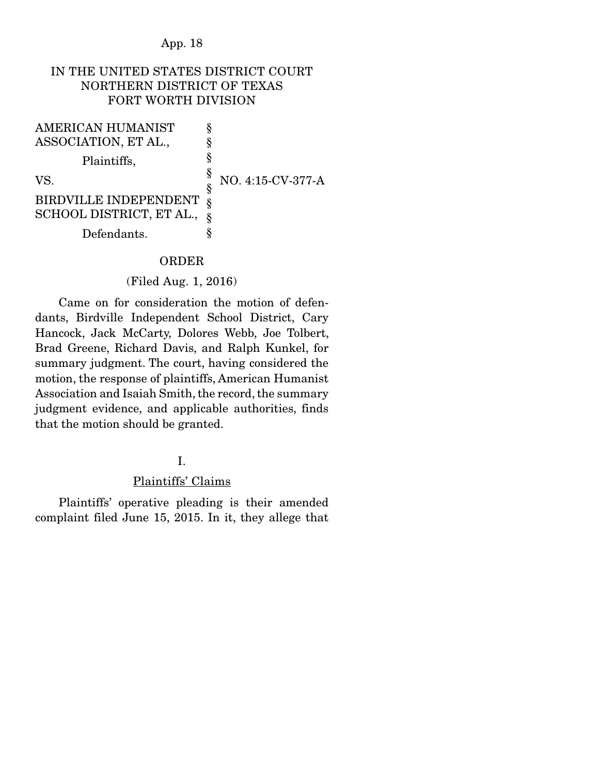## IN THE UNITED STATES DISTRICT COURT NORTHERN DISTRICT OF TEXAS FORT WORTH DIVISION

§ § § §

AMERICAN HUMANIST ASSOCIATION, ET AL.,

Plaintiffs,

VS.

§ NO. 4:15-CV-377-A

BIRDVILLE INDEPENDENT SCHOOL DISTRICT, ET AL., Defendants. § § §

### ORDER

#### (Filed Aug. 1, 2016)

 Came on for consideration the motion of defendants, Birdville Independent School District, Cary Hancock, Jack McCarty, Dolores Webb, Joe Tolbert, Brad Greene, Richard Davis, and Ralph Kunkel, for summary judgment. The court, having considered the motion, the response of plaintiffs, American Humanist Association and Isaiah Smith, the record, the summary judgment evidence, and applicable authorities, finds that the motion should be granted.

### I.

### Plaintiffs' Claims

 Plaintiffs' operative pleading is their amended complaint filed June 15, 2015. In it, they allege that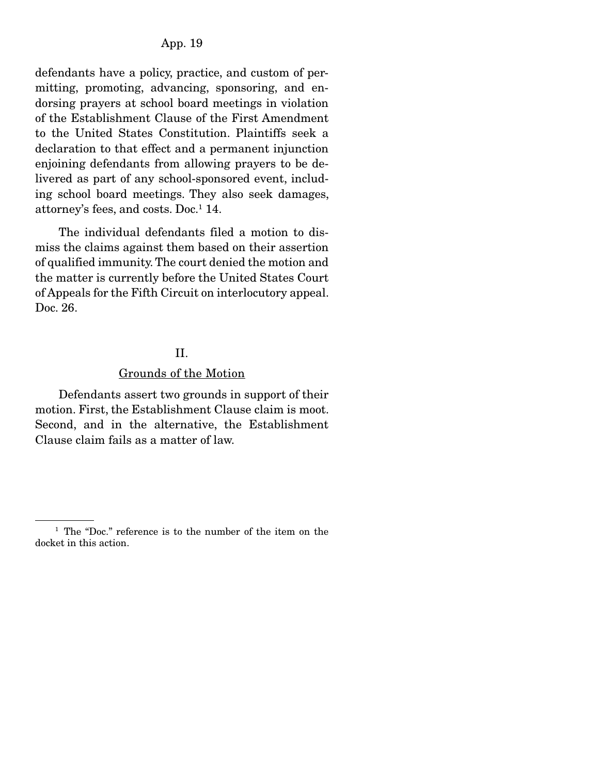defendants have a policy, practice, and custom of permitting, promoting, advancing, sponsoring, and endorsing prayers at school board meetings in violation of the Establishment Clause of the First Amendment to the United States Constitution. Plaintiffs seek a declaration to that effect and a permanent injunction enjoining defendants from allowing prayers to be delivered as part of any school-sponsored event, including school board meetings. They also seek damages, attorney's fees, and costs. Doc.1 14.

 The individual defendants filed a motion to dismiss the claims against them based on their assertion of qualified immunity. The court denied the motion and the matter is currently before the United States Court of Appeals for the Fifth Circuit on interlocutory appeal. Doc. 26.

#### II.

#### Grounds of the Motion

 Defendants assert two grounds in support of their motion. First, the Establishment Clause claim is moot. Second, and in the alternative, the Establishment Clause claim fails as a matter of law.

<sup>1</sup> The "Doc." reference is to the number of the item on the docket in this action.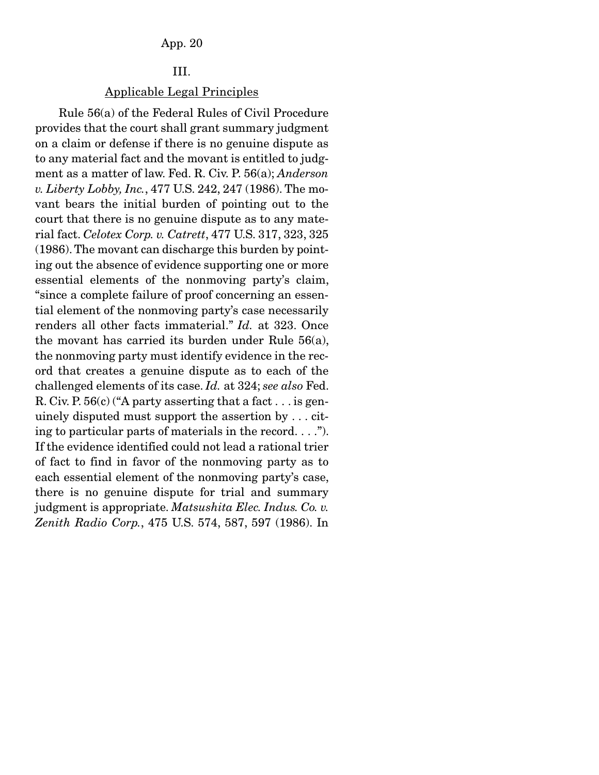## III.

## Applicable Legal Principles

 Rule 56(a) of the Federal Rules of Civil Procedure provides that the court shall grant summary judgment on a claim or defense if there is no genuine dispute as to any material fact and the movant is entitled to judgment as a matter of law. Fed. R. Civ. P. 56(a); *Anderson v. Liberty Lobby, Inc.*, 477 U.S. 242, 247 (1986). The movant bears the initial burden of pointing out to the court that there is no genuine dispute as to any material fact. *Celotex Corp. v. Catrett*, 477 U.S. 317, 323, 325 (1986). The movant can discharge this burden by pointing out the absence of evidence supporting one or more essential elements of the nonmoving party's claim, "since a complete failure of proof concerning an essential element of the nonmoving party's case necessarily renders all other facts immaterial." *Id.* at 323. Once the movant has carried its burden under Rule 56(a), the nonmoving party must identify evidence in the record that creates a genuine dispute as to each of the challenged elements of its case. *Id.* at 324; *see also* Fed. R. Civ. P.  $56(c)$  ("A party asserting that a fact  $\dots$  is genuinely disputed must support the assertion by . . . citing to particular parts of materials in the record. . . ."). If the evidence identified could not lead a rational trier of fact to find in favor of the nonmoving party as to each essential element of the nonmoving party's case, there is no genuine dispute for trial and summary judgment is appropriate. *Matsushita Elec. Indus. Co. v. Zenith Radio Corp.*, 475 U.S. 574, 587, 597 (1986). In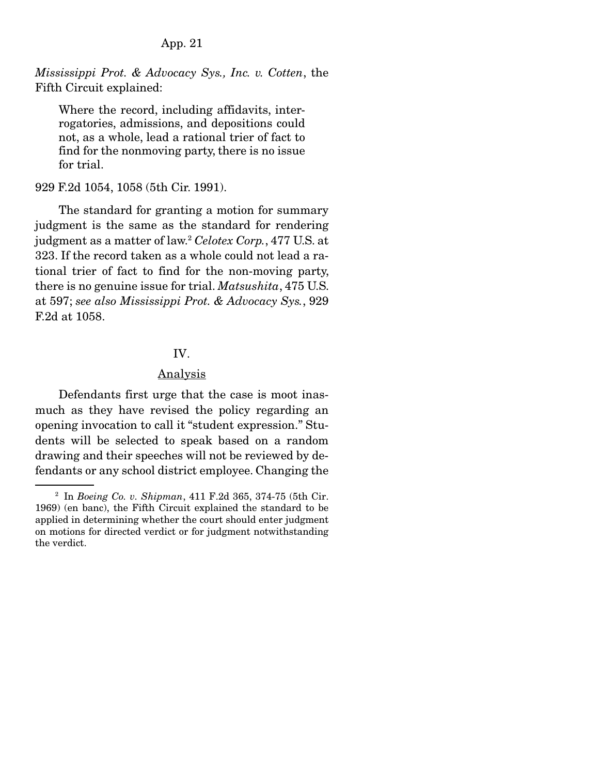*Mississippi Prot. & Advocacy Sys., Inc. v. Cotten*, the Fifth Circuit explained:

Where the record, including affidavits, interrogatories, admissions, and depositions could not, as a whole, lead a rational trier of fact to find for the nonmoving party, there is no issue for trial.

#### 929 F.2d 1054, 1058 (5th Cir. 1991).

 The standard for granting a motion for summary judgment is the same as the standard for rendering judgment as a matter of law.2  *Celotex Corp.*, 477 U.S. at 323. If the record taken as a whole could not lead a rational trier of fact to find for the non-moving party, there is no genuine issue for trial. *Matsushita*, 475 U.S. at 597; *see also Mississippi Prot. & Advocacy Sys.*, 929 F.2d at 1058.

#### IV.

## Analysis

 Defendants first urge that the case is moot inasmuch as they have revised the policy regarding an opening invocation to call it "student expression." Students will be selected to speak based on a random drawing and their speeches will not be reviewed by defendants or any school district employee. Changing the

<sup>2</sup> In *Boeing Co. v. Shipman*, 411 F.2d 365, 374-75 (5th Cir. 1969) (en banc), the Fifth Circuit explained the standard to be applied in determining whether the court should enter judgment on motions for directed verdict or for judgment notwithstanding the verdict.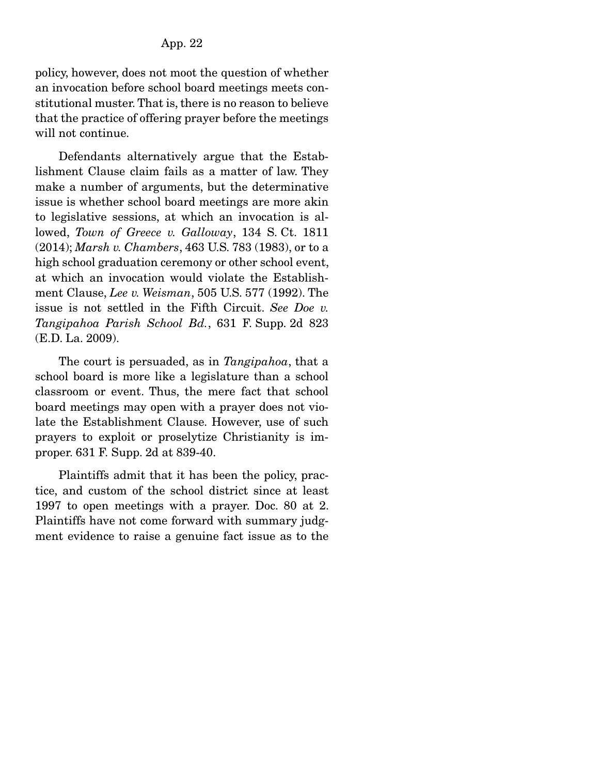policy, however, does not moot the question of whether an invocation before school board meetings meets constitutional muster. That is, there is no reason to believe that the practice of offering prayer before the meetings will not continue.

 Defendants alternatively argue that the Establishment Clause claim fails as a matter of law. They make a number of arguments, but the determinative issue is whether school board meetings are more akin to legislative sessions, at which an invocation is allowed, *Town of Greece v. Galloway*, 134 S. Ct. 1811 (2014); *Marsh v. Chambers*, 463 U.S. 783 (1983), or to a high school graduation ceremony or other school event, at which an invocation would violate the Establishment Clause, *Lee v. Weisman*, 505 U.S. 577 (1992). The issue is not settled in the Fifth Circuit. *See Doe v. Tangipahoa Parish School Bd.*, 631 F. Supp. 2d 823 (E.D. La. 2009).

 The court is persuaded, as in *Tangipahoa*, that a school board is more like a legislature than a school classroom or event. Thus, the mere fact that school board meetings may open with a prayer does not violate the Establishment Clause. However, use of such prayers to exploit or proselytize Christianity is improper. 631 F. Supp. 2d at 839-40.

 Plaintiffs admit that it has been the policy, practice, and custom of the school district since at least 1997 to open meetings with a prayer. Doc. 80 at 2. Plaintiffs have not come forward with summary judgment evidence to raise a genuine fact issue as to the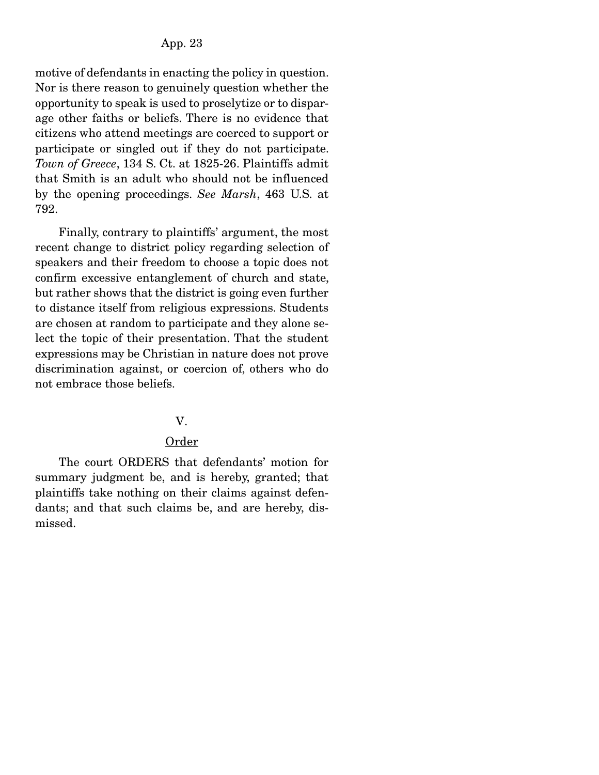motive of defendants in enacting the policy in question. Nor is there reason to genuinely question whether the opportunity to speak is used to proselytize or to disparage other faiths or beliefs. There is no evidence that citizens who attend meetings are coerced to support or participate or singled out if they do not participate. *Town of Greece*, 134 S. Ct. at 1825-26. Plaintiffs admit that Smith is an adult who should not be influenced by the opening proceedings. *See Marsh*, 463 U.S. at 792.

 Finally, contrary to plaintiffs' argument, the most recent change to district policy regarding selection of speakers and their freedom to choose a topic does not confirm excessive entanglement of church and state, but rather shows that the district is going even further to distance itself from religious expressions. Students are chosen at random to participate and they alone select the topic of their presentation. That the student expressions may be Christian in nature does not prove discrimination against, or coercion of, others who do not embrace those beliefs.

## V.

## Order

 The court ORDERS that defendants' motion for summary judgment be, and is hereby, granted; that plaintiffs take nothing on their claims against defendants; and that such claims be, and are hereby, dismissed.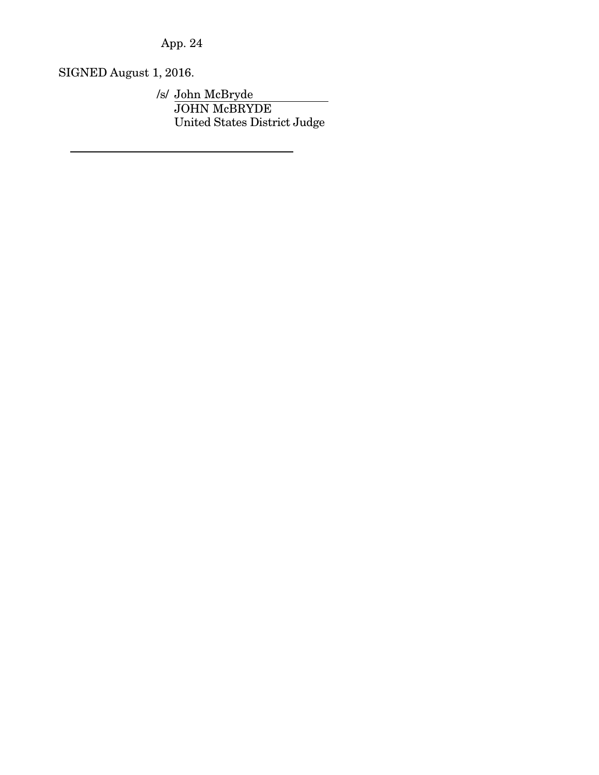SIGNED August 1, 2016.

/s/ John McBryde JOHN McBRYDE United States District Judge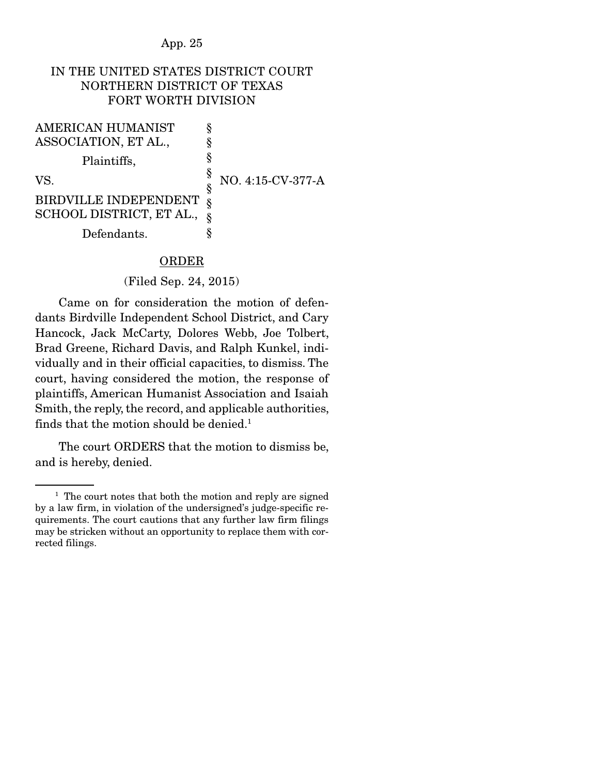## IN THE UNITED STATES DISTRICT COURT NORTHERN DISTRICT OF TEXAS FORT WORTH DIVISION

§ § § §

AMERICAN HUMANIST ASSOCIATION, ET AL.,

Plaintiffs,

VS.

§ NO. 4:15-CV-377-A

BIRDVILLE INDEPENDENT SCHOOL DISTRICT, ET AL., Defendants. § § §

## **ORDER**

#### (Filed Sep. 24, 2015)

 Came on for consideration the motion of defendants Birdville Independent School District, and Cary Hancock, Jack McCarty, Dolores Webb, Joe Tolbert, Brad Greene, Richard Davis, and Ralph Kunkel, individually and in their official capacities, to dismiss. The court, having considered the motion, the response of plaintiffs, American Humanist Association and Isaiah Smith, the reply, the record, and applicable authorities, finds that the motion should be denied.<sup>1</sup>

 The court ORDERS that the motion to dismiss be, and is hereby, denied.

 $<sup>1</sup>$  The court notes that both the motion and reply are signed</sup> by a law firm, in violation of the undersigned's judge-specific requirements. The court cautions that any further law firm filings may be stricken without an opportunity to replace them with corrected filings.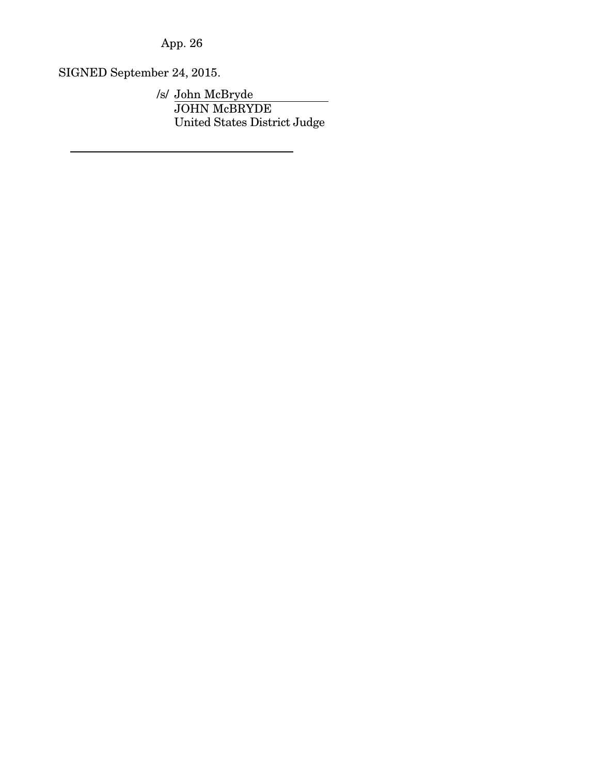SIGNED September 24, 2015.

/s/ John McBryde JOHN McBRYDE United States District Judge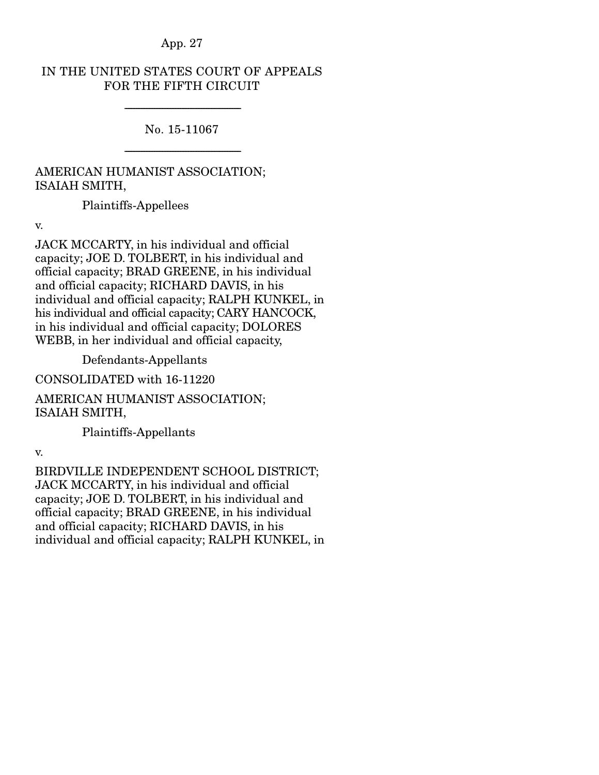## IN THE UNITED STATES COURT OF APPEALS FOR THE FIFTH CIRCUIT

No. 15-11067

-----------------------------------------------------------------------

-----------------------------------------------------------------------

# AMERICAN HUMANIST ASSOCIATION; ISAIAH SMITH,

Plaintiffs-Appellees

v.

JACK MCCARTY, in his individual and official capacity; JOE D. TOLBERT, in his individual and official capacity; BRAD GREENE, in his individual and official capacity; RICHARD DAVIS, in his individual and official capacity; RALPH KUNKEL, in his individual and official capacity; CARY HANCOCK, in his individual and official capacity; DOLORES WEBB, in her individual and official capacity,

Defendants-Appellants

CONSOLIDATED with 16-11220

AMERICAN HUMANIST ASSOCIATION; ISAIAH SMITH,

Plaintiffs-Appellants

v.

BIRDVILLE INDEPENDENT SCHOOL DISTRICT; JACK MCCARTY, in his individual and official capacity; JOE D. TOLBERT, in his individual and official capacity; BRAD GREENE, in his individual and official capacity; RICHARD DAVIS, in his individual and official capacity; RALPH KUNKEL, in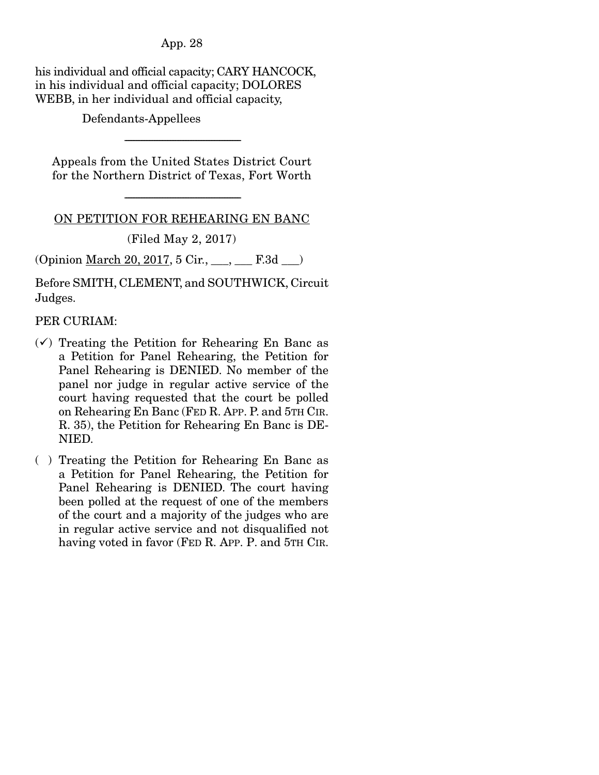his individual and official capacity; CARY HANCOCK, in his individual and official capacity; DOLORES WEBB, in her individual and official capacity,

Defendants-Appellees

Appeals from the United States District Court for the Northern District of Texas, Fort Worth

-----------------------------------------------------------------------

ON PETITION FOR REHEARING EN BANC

-----------------------------------------------------------------------

(Filed May 2, 2017)

(Opinion March 20, 2017, 5 Cir., \_\_\_, \_\_\_ F.3d \_\_\_)

Before SMITH, CLEMENT, and SOUTHWICK, Circuit Judges.

PER CURIAM:

- $(\checkmark)$  Treating the Petition for Rehearing En Banc as a Petition for Panel Rehearing, the Petition for Panel Rehearing is DENIED. No member of the panel nor judge in regular active service of the court having requested that the court be polled on Rehearing En Banc (FED R. APP. P. and 5TH CIR. R. 35), the Petition for Rehearing En Banc is DE-NIED.
- ( ) Treating the Petition for Rehearing En Banc as a Petition for Panel Rehearing, the Petition for Panel Rehearing is DENIED. The court having been polled at the request of one of the members of the court and a majority of the judges who are in regular active service and not disqualified not having voted in favor (FED R. APP. P. and 5TH CIR.